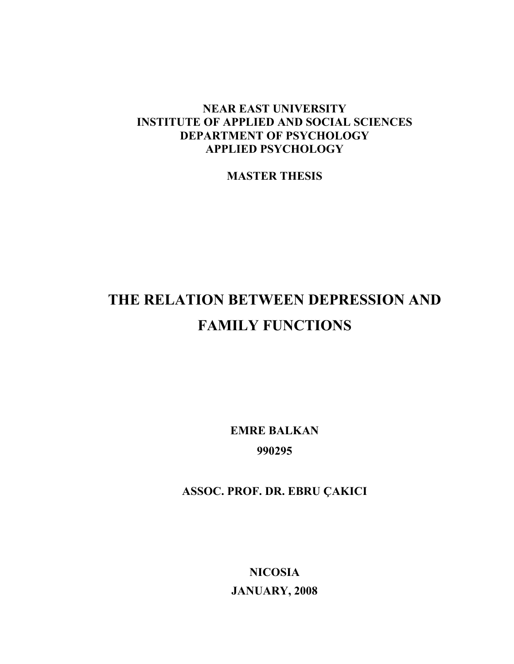# **NEAR EAST UNIVERSITY INSTITUTE OF APPLIED AND SOCIAL SCIENCES DEPARTMENT OF PSYCHOLOGY APPLIED PSYCHOLOGY**

**MASTER THESIS** 

# **THE RELATION BETWEEN DEPRESSION AND FAMILY FUNCTIONS**

**EMRE BALKAN 990295** 

**ASSOC. PROF. DR. EBRU ÇAKICI** 

**NICOSIA JANUARY, 2008**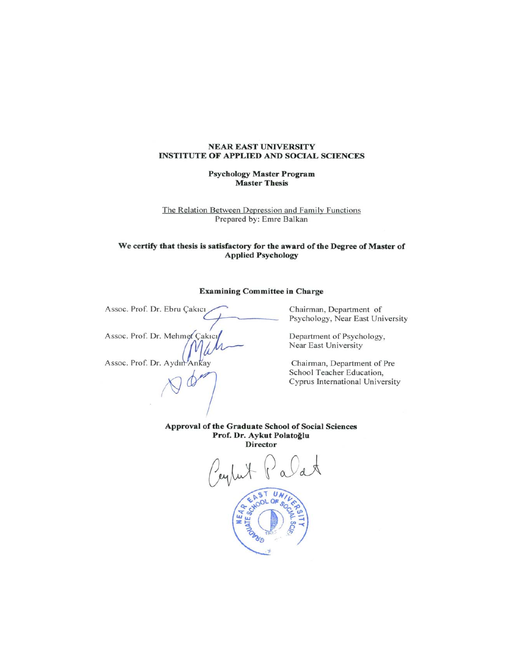#### **NEAR EAST UNIVERSITY INSTITUTE OF APPLIED AND SOCIAL SCIENCES**

#### **Psychology Master Program Master Thesis**

The Relation Between Depression and Family Functions Prepared by: Emre Balkan

#### We certify that thesis is satisfactory for the award of the Degree of Master of **Applied Psychology**

#### **Examining Committee in Charge**

Assoc. Prof. Dr. Ebru Çakıcı Assoc. Prof. Dr. Mehmet Çakıcı Assoc. Prof. Dr. Aydın Ankay

Chairman, Department of Psychology, Near East University

Department of Psychology, Near East University

Chairman, Department of Pre School Teacher Education, Cyprus International University

Approval of the Graduate School of Social Sciences Prof. Dr. Aykut Polatoğlu **Director** 

EAST UN **HOOL OF** ą. NEA.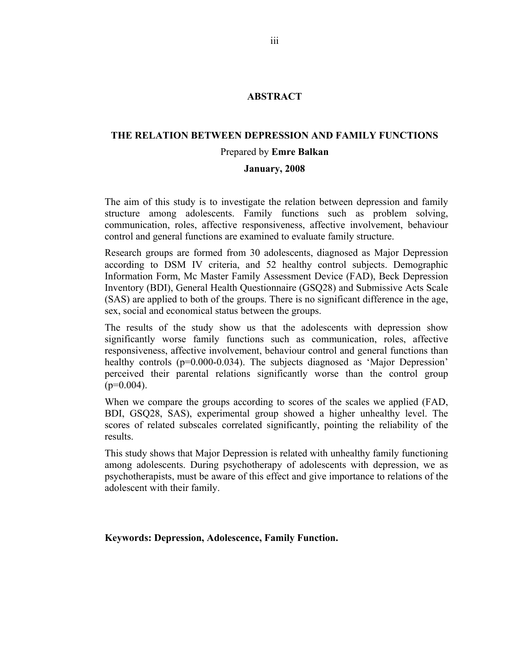# **ABSTRACT**

# **THE RELATION BETWEEN DEPRESSION AND FAMILY FUNCTIONS**  Prepared by **Emre Balkan**

# **January, 2008**

The aim of this study is to investigate the relation between depression and family structure among adolescents. Family functions such as problem solving, communication, roles, affective responsiveness, affective involvement, behaviour control and general functions are examined to evaluate family structure.

Research groups are formed from 30 adolescents, diagnosed as Major Depression according to DSM IV criteria, and 52 healthy control subjects. Demographic Information Form, Mc Master Family Assessment Device (FAD), Beck Depression Inventory (BDI), General Health Questionnaire (GSQ28) and Submissive Acts Scale (SAS) are applied to both of the groups. There is no significant difference in the age, sex, social and economical status between the groups.

The results of the study show us that the adolescents with depression show significantly worse family functions such as communication, roles, affective responsiveness, affective involvement, behaviour control and general functions than healthy controls (p=0.000-0.034). The subjects diagnosed as 'Major Depression' perceived their parental relations significantly worse than the control group  $(p=0.004)$ .

When we compare the groups according to scores of the scales we applied (FAD, BDI, GSQ28, SAS), experimental group showed a higher unhealthy level. The scores of related subscales correlated significantly, pointing the reliability of the results.

This study shows that Major Depression is related with unhealthy family functioning among adolescents. During psychotherapy of adolescents with depression, we as psychotherapists, must be aware of this effect and give importance to relations of the adolescent with their family.

**Keywords: Depression, Adolescence, Family Function.**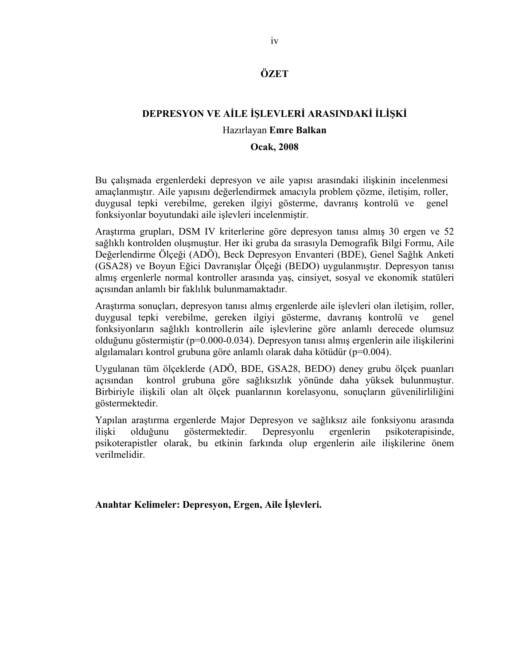# **ÖZET**

# **DEPRESYON VE AİLE İŞLEVLERİ ARASINDAKİ İLİŞKİ**

# Hazırlayan **Emre Balkan**

### **Ocak, 2008**

Bu çalışmada ergenlerdeki depresyon ve aile yapısı arasındaki ilişkinin incelenmesi amaçlanmıştır. Aile yapısını değerlendirmek amacıyla problem çözme, iletişim, roller, duygusal tepki verebilme, gereken ilgiyi gösterme, davranış kontrolü ve genel fonksiyonlar boyutundaki aile işlevleri incelenmiştir.

Araştırma grupları, DSM IV kriterlerine göre depresyon tanısı almış 30 ergen ve 52 sağlıklı kontrolden oluşmuştur. Her iki gruba da sırasıyla Demografik Bilgi Formu, Aile Değerlendirme Ölçeği (ADÖ), Beck Depresyon Envanteri (BDE), Genel Sağlık Anketi (GSA28) ve Boyun Eğici Davranışlar Ölçeği (BEDO) uygulanmıştır. Depresyon tanısı almış ergenlerle normal kontroller arasında yaş, cinsiyet, sosyal ve ekonomik statüleri açısından anlamlı bir faklılık bulunmamaktadır.

Araştırma sonuçları, depresyon tanısı almış ergenlerde aile işlevleri olan iletişim, roller, duygusal tepki verebilme, gereken ilgiyi gösterme, davranış kontrolü ve genel fonksiyonların sağlıklı kontrollerin aile işlevlerine göre anlamlı derecede olumsuz olduğunu göstermiştir (p=0.000-0.034). Depresyon tanısı almış ergenlerin aile ilişkilerini algılamaları kontrol grubuna göre anlamlı olarak daha kötüdür (p=0.004).

Uygulanan tüm ölçeklerde (ADÖ, BDE, GSA28, BEDO) deney grubu ölçek puanları açısından kontrol grubuna göre sağlıksızlık yönünde daha yüksek bulunmuştur. Birbiriyle ilişkili olan alt ölçek puanlarının korelasyonu, sonuçların güvenilirliliğini göstermektedir.

Yapılan araştırma ergenlerde Major Depresyon ve sağlıksız aile fonksiyonu arasında ilişki olduğunu göstermektedir. Depresyonlu ergenlerin psikoterapisinde, psikoterapistler olarak, bu etkinin farkında olup ergenlerin aile ilişkilerine önem verilmelidir.

**Anahtar Kelimeler: Depresyon, Ergen, Aile İşlevleri.**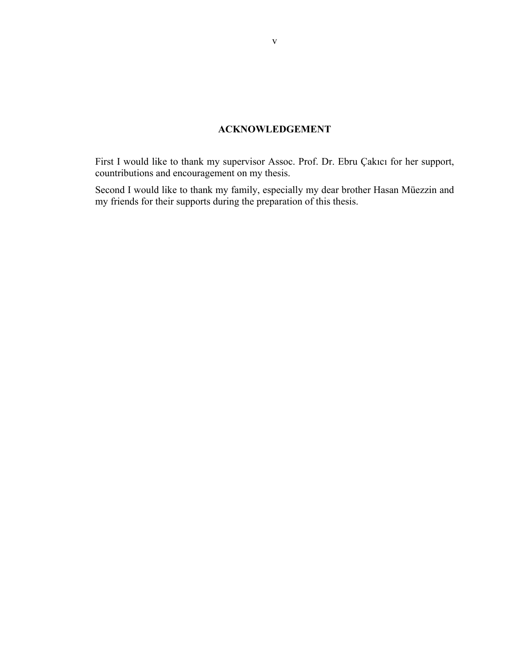# **ACKNOWLEDGEMENT**

<span id="page-4-0"></span>First I would like to thank my supervisor Assoc. Prof. Dr. Ebru Çakıcı for her support, countributions and encouragement on my thesis.

Second I would like to thank my family, especially my dear brother Hasan Müezzin and my friends for their supports during the preparation of this thesis.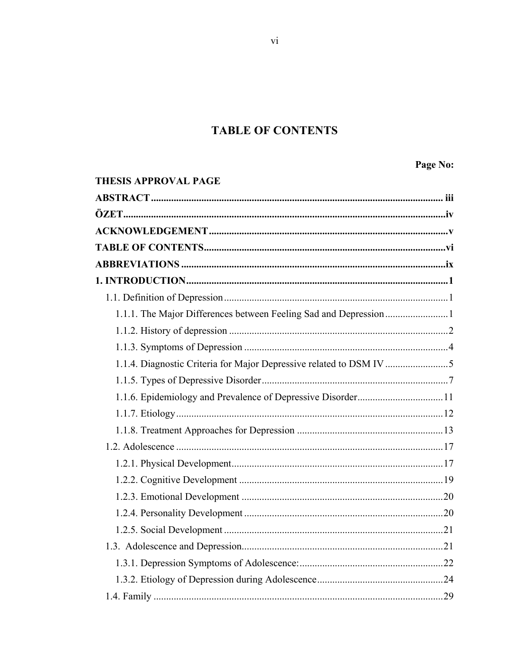# **TABLE OF CONTENTS**

Page No:

<span id="page-5-0"></span>

| <b>THESIS APPROVAL PAGE</b> |  |
|-----------------------------|--|
|                             |  |
|                             |  |
|                             |  |
|                             |  |
|                             |  |
|                             |  |
|                             |  |
|                             |  |
|                             |  |
|                             |  |
|                             |  |
|                             |  |
|                             |  |
|                             |  |
|                             |  |
|                             |  |
|                             |  |
|                             |  |
|                             |  |
|                             |  |
|                             |  |
|                             |  |
|                             |  |
|                             |  |
|                             |  |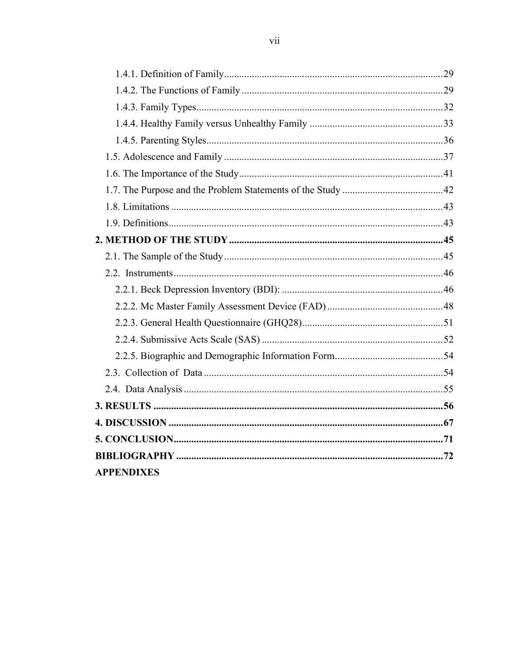| <b>APPENDIXES</b> |  |
|-------------------|--|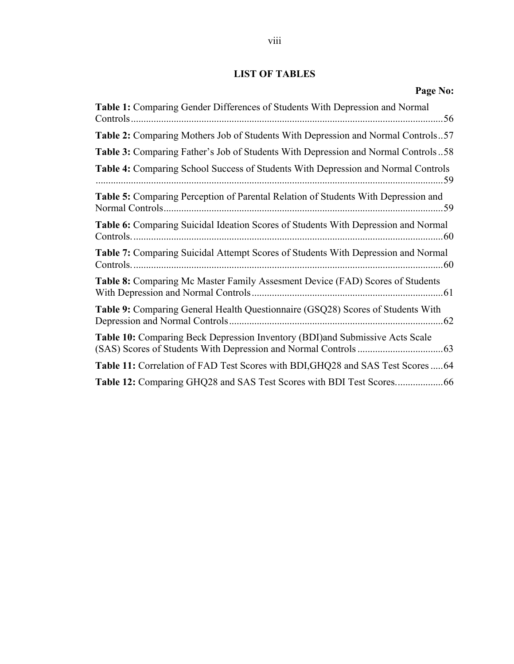# **LIST OF TABLES**

| Page No:                                                                           |
|------------------------------------------------------------------------------------|
| Table 1: Comparing Gender Differences of Students With Depression and Normal       |
| Table 2: Comparing Mothers Job of Students With Depression and Normal Controls57   |
| Table 3: Comparing Father's Job of Students With Depression and Normal Controls58  |
| Table 4: Comparing School Success of Students With Depression and Normal Controls  |
| Table 5: Comparing Perception of Parental Relation of Students With Depression and |
| Table 6: Comparing Suicidal Ideation Scores of Students With Depression and Normal |
| Table 7: Comparing Suicidal Attempt Scores of Students With Depression and Normal  |
| Table 8: Comparing Mc Master Family Assesment Device (FAD) Scores of Students      |
| Table 9: Comparing General Health Questionnaire (GSQ28) Scores of Students With    |
| Table 10: Comparing Beck Depression Inventory (BDI) and Submissive Acts Scale      |
| Table 11: Correlation of FAD Test Scores with BDI, GHQ28 and SAS Test Scores 64    |
|                                                                                    |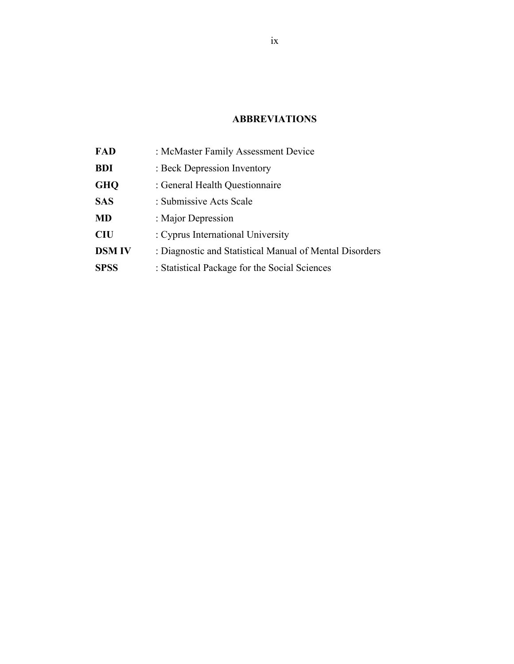# **ABBREVIATIONS**

<span id="page-8-0"></span>

| FAD           | : McMaster Family Assessment Device                     |
|---------------|---------------------------------------------------------|
| <b>BDI</b>    | : Beck Depression Inventory                             |
| <b>GHQ</b>    | : General Health Questionnaire                          |
| <b>SAS</b>    | : Submissive Acts Scale                                 |
| <b>MD</b>     | : Major Depression                                      |
| <b>CIU</b>    | : Cyprus International University                       |
| <b>DSM IV</b> | : Diagnostic and Statistical Manual of Mental Disorders |
| <b>SPSS</b>   | : Statistical Package for the Social Sciences           |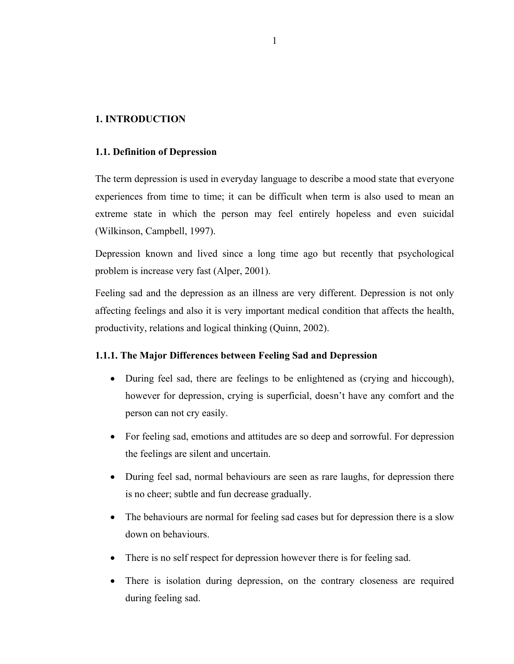# <span id="page-9-0"></span>**1. INTRODUCTION**

### **1.1. Definition of Depression**

The term depression is used in everyday language to describe a mood state that everyone experiences from time to time; it can be difficult when term is also used to mean an extreme state in which the person may feel entirely hopeless and even suicidal (Wilkinson, Campbell, 1997).

Depression known and lived since a long time ago but recently that psychological problem is increase very fast (Alper, 2001).

Feeling sad and the depression as an illness are very different. Depression is not only affecting feelings and also it is very important medical condition that affects the health, productivity, relations and logical thinking (Quinn, 2002).

# **1.1.1. The Major Differences between Feeling Sad and Depression**

- During feel sad, there are feelings to be enlightened as (crying and hiccough), however for depression, crying is superficial, doesn't have any comfort and the person can not cry easily.
- For feeling sad, emotions and attitudes are so deep and sorrowful. For depression the feelings are silent and uncertain.
- During feel sad, normal behaviours are seen as rare laughs, for depression there is no cheer; subtle and fun decrease gradually.
- The behaviours are normal for feeling sad cases but for depression there is a slow down on behaviours.
- There is no self respect for depression however there is for feeling sad.
- There is isolation during depression, on the contrary closeness are required during feeling sad.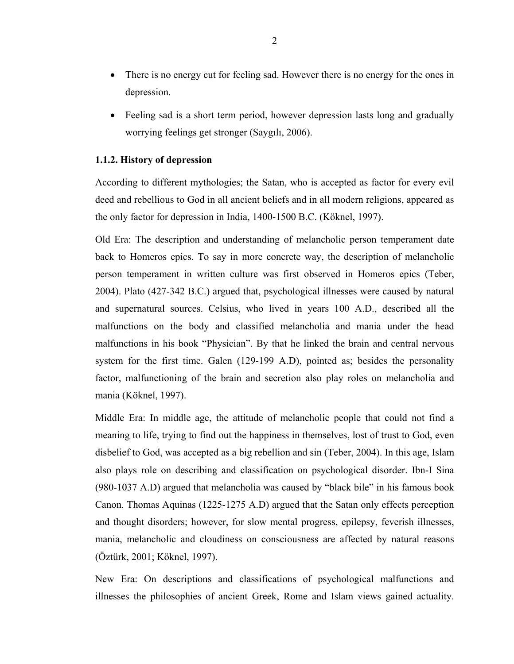- <span id="page-10-0"></span>• There is no energy cut for feeling sad. However there is no energy for the ones in depression.
- Feeling sad is a short term period, however depression lasts long and gradually worrying feelings get stronger (Saygılı, 2006).

# **1.1.2. History of depression**

According to different mythologies; the Satan, who is accepted as factor for every evil deed and rebellious to God in all ancient beliefs and in all modern religions, appeared as the only factor for depression in India, 1400-1500 B.C. (Köknel, 1997).

Old Era: The description and understanding of melancholic person temperament date back to Homeros epics. To say in more concrete way, the description of melancholic person temperament in written culture was first observed in Homeros epics (Teber, 2004). Plato (427-342 B.C.) argued that, psychological illnesses were caused by natural and supernatural sources. Celsius, who lived in years 100 A.D., described all the malfunctions on the body and classified melancholia and mania under the head malfunctions in his book "Physician". By that he linked the brain and central nervous system for the first time. Galen (129-199 A.D), pointed as; besides the personality factor, malfunctioning of the brain and secretion also play roles on melancholia and mania (Köknel, 1997).

Middle Era: In middle age, the attitude of melancholic people that could not find a meaning to life, trying to find out the happiness in themselves, lost of trust to God, even disbelief to God, was accepted as a big rebellion and sin (Teber, 2004). In this age, Islam also plays role on describing and classification on psychological disorder. Ibn-I Sina (980-1037 A.D) argued that melancholia was caused by "black bile" in his famous book Canon. Thomas Aquinas (1225-1275 A.D) argued that the Satan only effects perception and thought disorders; however, for slow mental progress, epilepsy, feverish illnesses, mania, melancholic and cloudiness on consciousness are affected by natural reasons (Öztürk, 2001; Köknel, 1997).

New Era: On descriptions and classifications of psychological malfunctions and illnesses the philosophies of ancient Greek, Rome and Islam views gained actuality.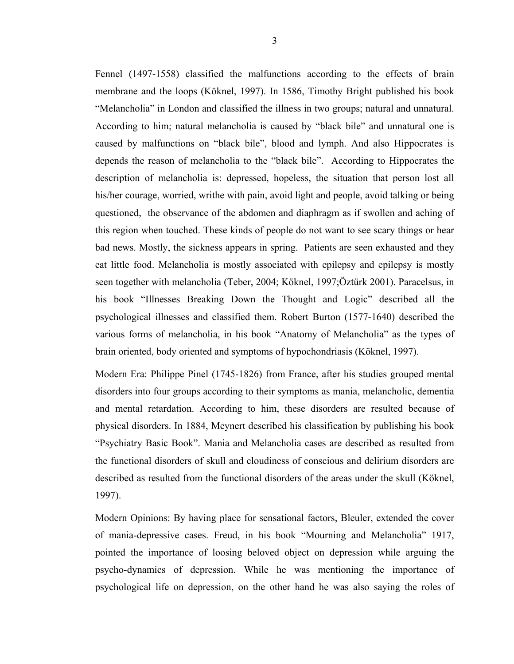Fennel (1497-1558) classified the malfunctions according to the effects of brain membrane and the loops (Köknel, 1997). In 1586, Timothy Bright published his book "Melancholia" in London and classified the illness in two groups; natural and unnatural. According to him; natural melancholia is caused by "black bile" and unnatural one is caused by malfunctions on "black bile", blood and lymph. And also Hippocrates is depends the reason of melancholia to the "black bile". According to Hippocrates the description of melancholia is: depressed, hopeless, the situation that person lost all his/her courage, worried, writhe with pain, avoid light and people, avoid talking or being questioned, the observance of the abdomen and diaphragm as if swollen and aching of this region when touched. These kinds of people do not want to see scary things or hear bad news. Mostly, the sickness appears in spring. Patients are seen exhausted and they eat little food. Melancholia is mostly associated with epilepsy and epilepsy is mostly seen together with melancholia (Teber, 2004; Köknel, 1997;Öztürk 2001). Paracelsus, in his book "Illnesses Breaking Down the Thought and Logic" described all the psychological illnesses and classified them. Robert Burton (1577-1640) described the various forms of melancholia, in his book "Anatomy of Melancholia" as the types of brain oriented, body oriented and symptoms of hypochondriasis (Köknel, 1997).

Modern Era: Philippe Pinel (1745-1826) from France, after his studies grouped mental disorders into four groups according to their symptoms as mania, melancholic, dementia and mental retardation. According to him, these disorders are resulted because of physical disorders. In 1884, Meynert described his classification by publishing his book "Psychiatry Basic Book". Mania and Melancholia cases are described as resulted from the functional disorders of skull and cloudiness of conscious and delirium disorders are described as resulted from the functional disorders of the areas under the skull (Köknel, 1997).

Modern Opinions: By having place for sensational factors, Bleuler, extended the cover of mania-depressive cases. Freud, in his book "Mourning and Melancholia" 1917, pointed the importance of loosing beloved object on depression while arguing the psycho-dynamics of depression. While he was mentioning the importance of psychological life on depression, on the other hand he was also saying the roles of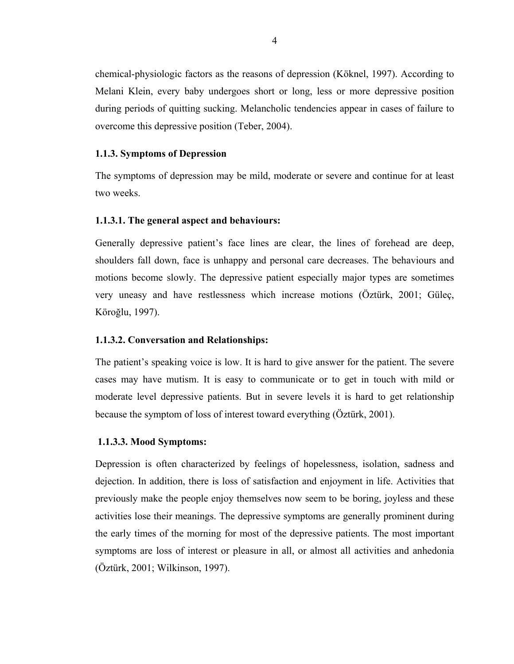<span id="page-12-0"></span>chemical-physiologic factors as the reasons of depression (Köknel, 1997). According to Melani Klein, every baby undergoes short or long, less or more depressive position during periods of quitting sucking. Melancholic tendencies appear in cases of failure to overcome this depressive position (Teber, 2004).

### **1.1.3. Symptoms of Depression**

The symptoms of depression may be mild, moderate or severe and continue for at least two weeks.

# **1.1.3.1. The general aspect and behaviours:**

Generally depressive patient's face lines are clear, the lines of forehead are deep, shoulders fall down, face is unhappy and personal care decreases. The behaviours and motions become slowly. The depressive patient especially major types are sometimes very uneasy and have restlessness which increase motions (Öztürk, 2001; Güleç, Köroğlu, 1997).

# **1.1.3.2. Conversation and Relationships:**

The patient's speaking voice is low. It is hard to give answer for the patient. The severe cases may have mutism. It is easy to communicate or to get in touch with mild or moderate level depressive patients. But in severe levels it is hard to get relationship because the symptom of loss of interest toward everything (Öztürk, 2001).

#### **1.1.3.3. Mood Symptoms:**

Depression is often characterized by feelings of hopelessness, isolation, sadness and dejection. In addition, there is loss of satisfaction and enjoyment in life. Activities that previously make the people enjoy themselves now seem to be boring, joyless and these activities lose their meanings. The depressive symptoms are generally prominent during the early times of the morning for most of the depressive patients. The most important symptoms are loss of interest or pleasure in all, or almost all activities and anhedonia (Öztürk, 2001; Wilkinson, 1997).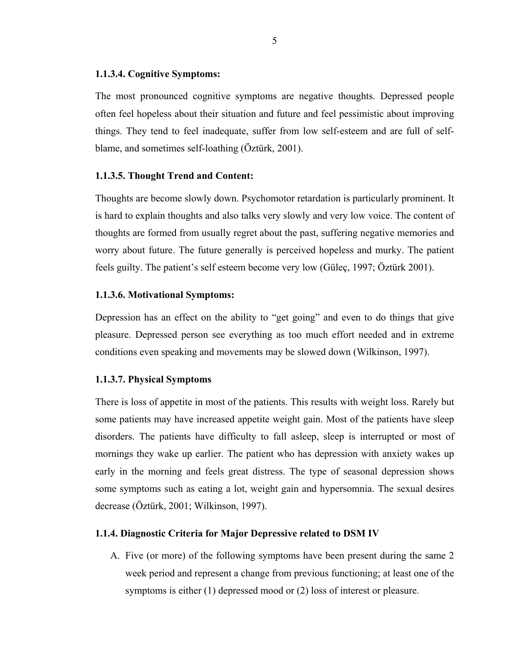#### <span id="page-13-0"></span>**1.1.3.4. Cognitive Symptoms:**

The most pronounced cognitive symptoms are negative thoughts. Depressed people often feel hopeless about their situation and future and feel pessimistic about improving things. They tend to feel inadequate, suffer from low self-esteem and are full of selfblame, and sometimes self-loathing (Öztürk, 2001).

#### **1.1.3.5. Thought Trend and Content:**

Thoughts are become slowly down. Psychomotor retardation is particularly prominent. It is hard to explain thoughts and also talks very slowly and very low voice. The content of thoughts are formed from usually regret about the past, suffering negative memories and worry about future. The future generally is perceived hopeless and murky. The patient feels guilty. The patient's self esteem become very low (Güleç, 1997; Öztürk 2001).

#### **1.1.3.6. Motivational Symptoms:**

Depression has an effect on the ability to "get going" and even to do things that give pleasure. Depressed person see everything as too much effort needed and in extreme conditions even speaking and movements may be slowed down (Wilkinson, 1997).

#### **1.1.3.7. Physical Symptoms**

There is loss of appetite in most of the patients. This results with weight loss. Rarely but some patients may have increased appetite weight gain. Most of the patients have sleep disorders. The patients have difficulty to fall asleep, sleep is interrupted or most of mornings they wake up earlier. The patient who has depression with anxiety wakes up early in the morning and feels great distress. The type of seasonal depression shows some symptoms such as eating a lot, weight gain and hypersomnia. The sexual desires decrease (Öztürk, 2001; Wilkinson, 1997).

#### **1.1.4. Diagnostic Criteria for Major Depressive related to DSM IV**

A. Five (or more) of the following symptoms have been present during the same 2 week period and represent a change from previous functioning; at least one of the symptoms is either (1) depressed mood or (2) loss of interest or pleasure.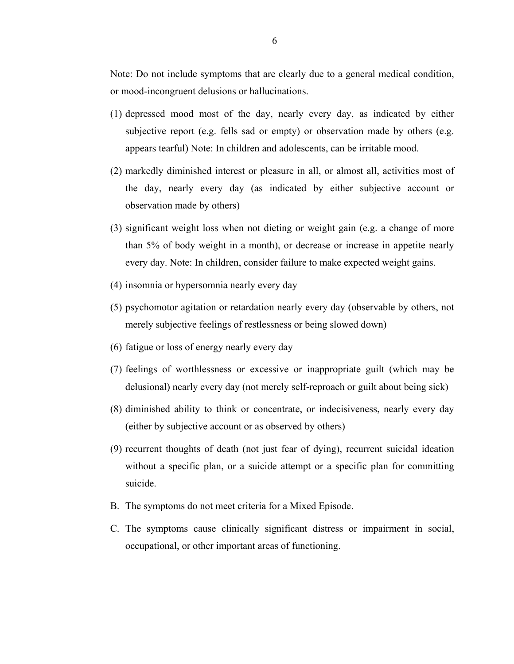Note: Do not include symptoms that are clearly due to a general medical condition, or mood-incongruent delusions or hallucinations.

- (1) depressed mood most of the day, nearly every day, as indicated by either subjective report (e.g. fells sad or empty) or observation made by others (e.g. appears tearful) Note: In children and adolescents, can be irritable mood.
- (2) markedly diminished interest or pleasure in all, or almost all, activities most of the day, nearly every day (as indicated by either subjective account or observation made by others)
- (3) significant weight loss when not dieting or weight gain (e.g. a change of more than 5% of body weight in a month), or decrease or increase in appetite nearly every day. Note: In children, consider failure to make expected weight gains.
- (4) insomnia or hypersomnia nearly every day
- (5) psychomotor agitation or retardation nearly every day (observable by others, not merely subjective feelings of restlessness or being slowed down)
- (6) fatigue or loss of energy nearly every day
- (7) feelings of worthlessness or excessive or inappropriate guilt (which may be delusional) nearly every day (not merely self-reproach or guilt about being sick)
- (8) diminished ability to think or concentrate, or indecisiveness, nearly every day (either by subjective account or as observed by others)
- (9) recurrent thoughts of death (not just fear of dying), recurrent suicidal ideation without a specific plan, or a suicide attempt or a specific plan for committing suicide.
- B. The symptoms do not meet criteria for a Mixed Episode.
- C. The symptoms cause clinically significant distress or impairment in social, occupational, or other important areas of functioning.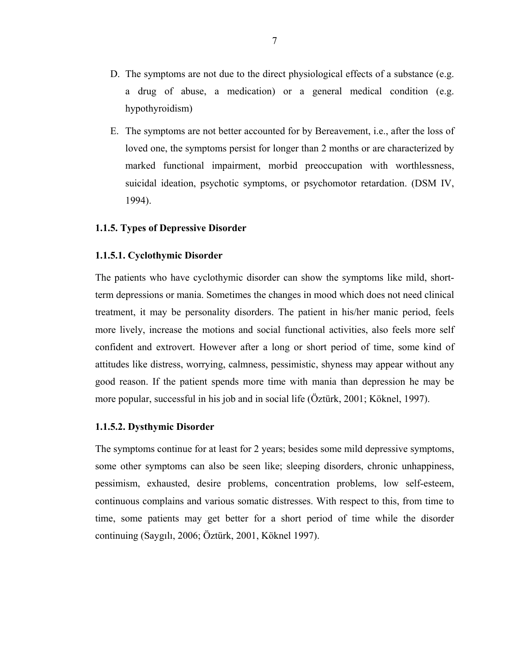- <span id="page-15-0"></span>D. The symptoms are not due to the direct physiological effects of a substance (e.g. a drug of abuse, a medication) or a general medical condition (e.g. hypothyroidism)
- E. The symptoms are not better accounted for by Bereavement, i.e., after the loss of loved one, the symptoms persist for longer than 2 months or are characterized by marked functional impairment, morbid preoccupation with worthlessness, suicidal ideation, psychotic symptoms, or psychomotor retardation. (DSM IV, 1994).

#### **1.1.5. Types of Depressive Disorder**

#### **1.1.5.1. Cyclothymic Disorder**

The patients who have cyclothymic disorder can show the symptoms like mild, shortterm depressions or mania. Sometimes the changes in mood which does not need clinical treatment, it may be personality disorders. The patient in his/her manic period, feels more lively, increase the motions and social functional activities, also feels more self confident and extrovert. However after a long or short period of time, some kind of attitudes like distress, worrying, calmness, pessimistic, shyness may appear without any good reason. If the patient spends more time with mania than depression he may be more popular, successful in his job and in social life (Öztürk, 2001; Köknel, 1997).

# **1.1.5.2. Dysthymic Disorder**

The symptoms continue for at least for 2 years; besides some mild depressive symptoms, some other symptoms can also be seen like; sleeping disorders, chronic unhappiness, pessimism, exhausted, desire problems, concentration problems, low self-esteem, continuous complains and various somatic distresses. With respect to this, from time to time, some patients may get better for a short period of time while the disorder continuing (Saygılı, 2006; Öztürk, 2001, Köknel 1997).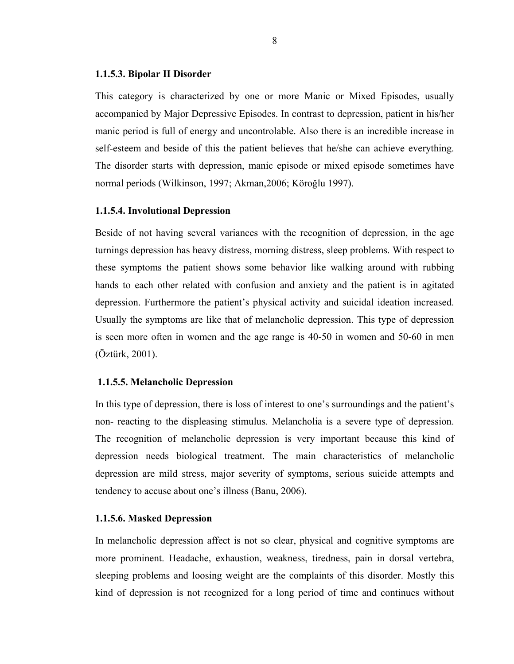#### **1.1.5.3. Bipolar II Disorder**

This category is characterized by one or more Manic or Mixed Episodes, usually accompanied by Major Depressive Episodes. In contrast to depression, patient in his/her manic period is full of energy and uncontrolable. Also there is an incredible increase in self-esteem and beside of this the patient believes that he/she can achieve everything. The disorder starts with depression, manic episode or mixed episode sometimes have normal periods (Wilkinson, 1997; Akman,2006; Köroğlu 1997).

#### **1.1.5.4. Involutional Depression**

Beside of not having several variances with the recognition of depression, in the age turnings depression has heavy distress, morning distress, sleep problems. With respect to these symptoms the patient shows some behavior like walking around with rubbing hands to each other related with confusion and anxiety and the patient is in agitated depression. Furthermore the patient's physical activity and suicidal ideation increased. Usually the symptoms are like that of melancholic depression. This type of depression is seen more often in women and the age range is 40-50 in women and 50-60 in men (Öztürk, 2001).

#### **1.1.5.5. Melancholic Depression**

In this type of depression, there is loss of interest to one's surroundings and the patient's non- reacting to the displeasing stimulus. Melancholia is a severe type of depression. The recognition of melancholic depression is very important because this kind of depression needs biological treatment. The main characteristics of melancholic depression are mild stress, major severity of symptoms, serious suicide attempts and tendency to accuse about one's illness (Banu, 2006).

#### **1.1.5.6. Masked Depression**

In melancholic depression affect is not so clear, physical and cognitive symptoms are more prominent. Headache, exhaustion, weakness, tiredness, pain in dorsal vertebra, sleeping problems and loosing weight are the complaints of this disorder. Mostly this kind of depression is not recognized for a long period of time and continues without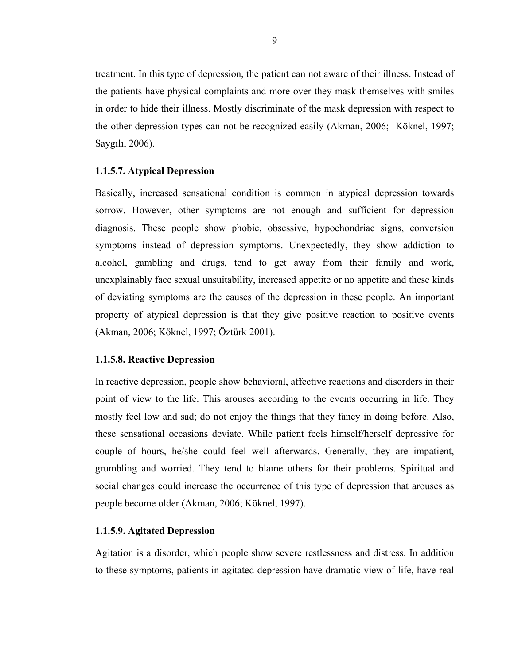treatment. In this type of depression, the patient can not aware of their illness. Instead of the patients have physical complaints and more over they mask themselves with smiles in order to hide their illness. Mostly discriminate of the mask depression with respect to the other depression types can not be recognized easily (Akman, 2006; Köknel, 1997; Saygılı, 2006).

# **1.1.5.7. Atypical Depression**

Basically, increased sensational condition is common in atypical depression towards sorrow. However, other symptoms are not enough and sufficient for depression diagnosis. These people show phobic, obsessive, hypochondriac signs, conversion symptoms instead of depression symptoms. Unexpectedly, they show addiction to alcohol, gambling and drugs, tend to get away from their family and work, unexplainably face sexual unsuitability, increased appetite or no appetite and these kinds of deviating symptoms are the causes of the depression in these people. An important property of atypical depression is that they give positive reaction to positive events (Akman, 2006; Köknel, 1997; Öztürk 2001).

#### **1.1.5.8. Reactive Depression**

In reactive depression, people show behavioral, affective reactions and disorders in their point of view to the life. This arouses according to the events occurring in life. They mostly feel low and sad; do not enjoy the things that they fancy in doing before. Also, these sensational occasions deviate. While patient feels himself/herself depressive for couple of hours, he/she could feel well afterwards. Generally, they are impatient, grumbling and worried. They tend to blame others for their problems. Spiritual and social changes could increase the occurrence of this type of depression that arouses as people become older (Akman, 2006; Köknel, 1997).

### **1.1.5.9. Agitated Depression**

Agitation is a disorder, which people show severe restlessness and distress. In addition to these symptoms, patients in agitated depression have dramatic view of life, have real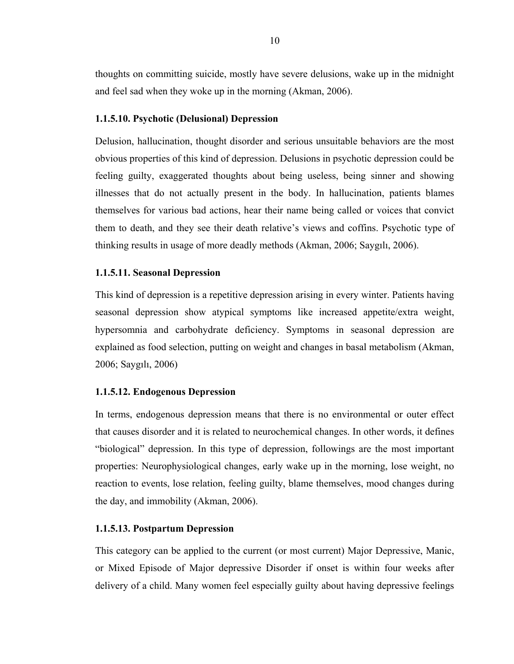thoughts on committing suicide, mostly have severe delusions, wake up in the midnight and feel sad when they woke up in the morning (Akman, 2006).

# **1.1.5.10. Psychotic (Delusional) Depression**

Delusion, hallucination, thought disorder and serious unsuitable behaviors are the most obvious properties of this kind of depression. Delusions in psychotic depression could be feeling guilty, exaggerated thoughts about being useless, being sinner and showing illnesses that do not actually present in the body. In hallucination, patients blames themselves for various bad actions, hear their name being called or voices that convict them to death, and they see their death relative's views and coffins. Psychotic type of thinking results in usage of more deadly methods (Akman, 2006; Saygılı, 2006).

# **1.1.5.11. Seasonal Depression**

This kind of depression is a repetitive depression arising in every winter. Patients having seasonal depression show atypical symptoms like increased appetite/extra weight, hypersomnia and carbohydrate deficiency. Symptoms in seasonal depression are explained as food selection, putting on weight and changes in basal metabolism (Akman, 2006; Saygılı, 2006)

#### **1.1.5.12. Endogenous Depression**

In terms, endogenous depression means that there is no environmental or outer effect that causes disorder and it is related to neurochemical changes. In other words, it defines "biological" depression. In this type of depression, followings are the most important properties: Neurophysiological changes, early wake up in the morning, lose weight, no reaction to events, lose relation, feeling guilty, blame themselves, mood changes during the day, and immobility (Akman, 2006).

#### **1.1.5.13. Postpartum Depression**

This category can be applied to the current (or most current) Major Depressive, Manic, or Mixed Episode of Major depressive Disorder if onset is within four weeks after delivery of a child. Many women feel especially guilty about having depressive feelings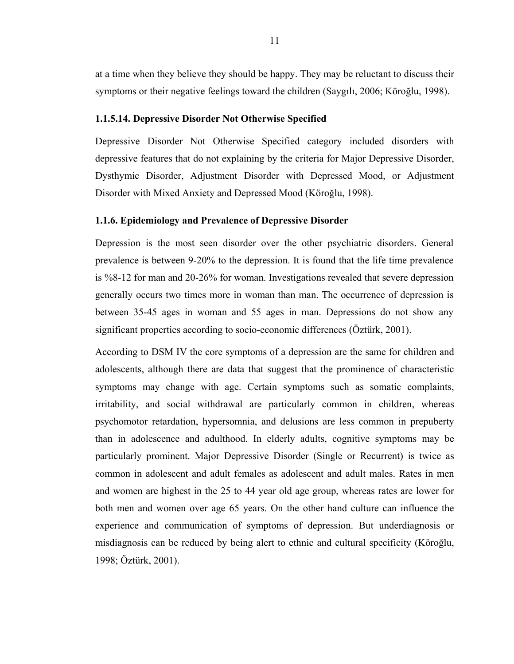<span id="page-19-0"></span>at a time when they believe they should be happy. They may be reluctant to discuss their symptoms or their negative feelings toward the children (Saygılı, 2006; Köroğlu, 1998).

#### **1.1.5.14. Depressive Disorder Not Otherwise Specified**

Depressive Disorder Not Otherwise Specified category included disorders with depressive features that do not explaining by the criteria for Major Depressive Disorder, Dysthymic Disorder, Adjustment Disorder with Depressed Mood, or Adjustment Disorder with Mixed Anxiety and Depressed Mood (Köroğlu, 1998).

#### **1.1.6. Epidemiology and Prevalence of Depressive Disorder**

Depression is the most seen disorder over the other psychiatric disorders. General prevalence is between 9-20% to the depression. It is found that the life time prevalence is %8-12 for man and 20-26% for woman. Investigations revealed that severe depression generally occurs two times more in woman than man. The occurrence of depression is between 35-45 ages in woman and 55 ages in man. Depressions do not show any significant properties according to socio-economic differences (Öztürk, 2001).

According to DSM IV the core symptoms of a depression are the same for children and adolescents, although there are data that suggest that the prominence of characteristic symptoms may change with age. Certain symptoms such as somatic complaints, irritability, and social withdrawal are particularly common in children, whereas psychomotor retardation, hypersomnia, and delusions are less common in prepuberty than in adolescence and adulthood. In elderly adults, cognitive symptoms may be particularly prominent. Major Depressive Disorder (Single or Recurrent) is twice as common in adolescent and adult females as adolescent and adult males. Rates in men and women are highest in the 25 to 44 year old age group, whereas rates are lower for both men and women over age 65 years. On the other hand culture can influence the experience and communication of symptoms of depression. But underdiagnosis or misdiagnosis can be reduced by being alert to ethnic and cultural specificity (Köroğlu, 1998; Öztürk, 2001).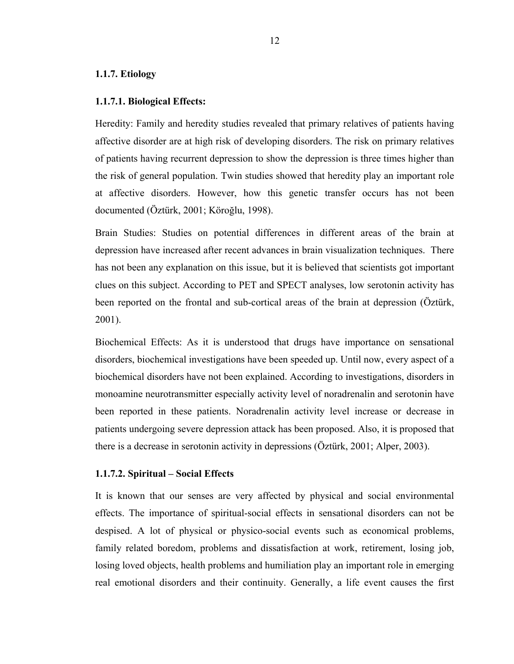# <span id="page-20-0"></span>**1.1.7. Etiology**

#### **1.1.7.1. Biological Effects:**

Heredity: Family and heredity studies revealed that primary relatives of patients having affective disorder are at high risk of developing disorders. The risk on primary relatives of patients having recurrent depression to show the depression is three times higher than the risk of general population. Twin studies showed that heredity play an important role at affective disorders. However, how this genetic transfer occurs has not been documented (Öztürk, 2001; Köroğlu, 1998).

Brain Studies: Studies on potential differences in different areas of the brain at depression have increased after recent advances in brain visualization techniques. There has not been any explanation on this issue, but it is believed that scientists got important clues on this subject. According to PET and SPECT analyses, low serotonin activity has been reported on the frontal and sub-cortical areas of the brain at depression (Öztürk, 2001).

Biochemical Effects: As it is understood that drugs have importance on sensational disorders, biochemical investigations have been speeded up. Until now, every aspect of a biochemical disorders have not been explained. According to investigations, disorders in monoamine neurotransmitter especially activity level of noradrenalin and serotonin have been reported in these patients. Noradrenalin activity level increase or decrease in patients undergoing severe depression attack has been proposed. Also, it is proposed that there is a decrease in serotonin activity in depressions (Öztürk, 2001; Alper, 2003).

#### **1.1.7.2. Spiritual – Social Effects**

It is known that our senses are very affected by physical and social environmental effects. The importance of spiritual-social effects in sensational disorders can not be despised. A lot of physical or physico-social events such as economical problems, family related boredom, problems and dissatisfaction at work, retirement, losing job, losing loved objects, health problems and humiliation play an important role in emerging real emotional disorders and their continuity. Generally, a life event causes the first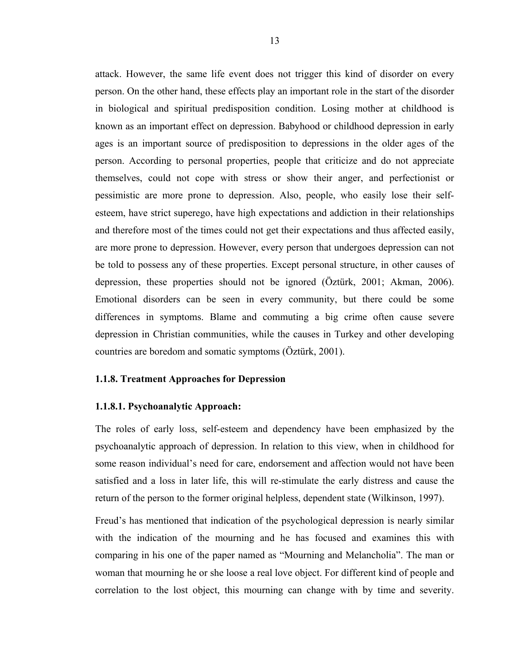<span id="page-21-0"></span>attack. However, the same life event does not trigger this kind of disorder on every person. On the other hand, these effects play an important role in the start of the disorder in biological and spiritual predisposition condition. Losing mother at childhood is known as an important effect on depression. Babyhood or childhood depression in early ages is an important source of predisposition to depressions in the older ages of the person. According to personal properties, people that criticize and do not appreciate themselves, could not cope with stress or show their anger, and perfectionist or pessimistic are more prone to depression. Also, people, who easily lose their selfesteem, have strict superego, have high expectations and addiction in their relationships and therefore most of the times could not get their expectations and thus affected easily, are more prone to depression. However, every person that undergoes depression can not be told to possess any of these properties. Except personal structure, in other causes of depression, these properties should not be ignored (Öztürk, 2001; Akman, 2006). Emotional disorders can be seen in every community, but there could be some differences in symptoms. Blame and commuting a big crime often cause severe depression in Christian communities, while the causes in Turkey and other developing countries are boredom and somatic symptoms (Öztürk, 2001).

#### **1.1.8. Treatment Approaches for Depression**

#### **1.1.8.1. Psychoanalytic Approach:**

The roles of early loss, self-esteem and dependency have been emphasized by the psychoanalytic approach of depression. In relation to this view, when in childhood for some reason individual's need for care, endorsement and affection would not have been satisfied and a loss in later life, this will re-stimulate the early distress and cause the return of the person to the former original helpless, dependent state (Wilkinson, 1997).

Freud's has mentioned that indication of the psychological depression is nearly similar with the indication of the mourning and he has focused and examines this with comparing in his one of the paper named as "Mourning and Melancholia". The man or woman that mourning he or she loose a real love object. For different kind of people and correlation to the lost object, this mourning can change with by time and severity.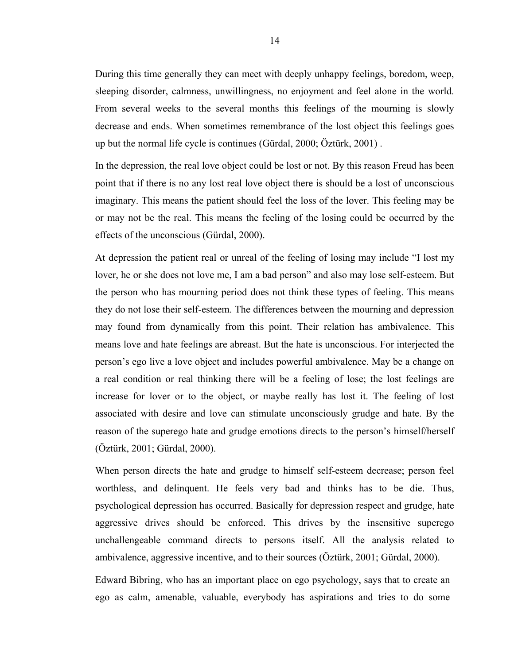During this time generally they can meet with deeply unhappy feelings, boredom, weep, sleeping disorder, calmness, unwillingness, no enjoyment and feel alone in the world. From several weeks to the several months this feelings of the mourning is slowly decrease and ends. When sometimes remembrance of the lost object this feelings goes up but the normal life cycle is continues (Gürdal, 2000; Öztürk, 2001) .

In the depression, the real love object could be lost or not. By this reason Freud has been point that if there is no any lost real love object there is should be a lost of unconscious imaginary. This means the patient should feel the loss of the lover. This feeling may be or may not be the real. This means the feeling of the losing could be occurred by the effects of the unconscious (Gürdal, 2000).

At depression the patient real or unreal of the feeling of losing may include "I lost my lover, he or she does not love me, I am a bad person" and also may lose self-esteem. But the person who has mourning period does not think these types of feeling. This means they do not lose their self-esteem. The differences between the mourning and depression may found from dynamically from this point. Their relation has ambivalence. This means love and hate feelings are abreast. But the hate is unconscious. For interjected the person's ego live a love object and includes powerful ambivalence. May be a change on a real condition or real thinking there will be a feeling of lose; the lost feelings are increase for lover or to the object, or maybe really has lost it. The feeling of lost associated with desire and love can stimulate unconsciously grudge and hate. By the reason of the superego hate and grudge emotions directs to the person's himself/herself (Öztürk, 2001; Gürdal, 2000).

When person directs the hate and grudge to himself self-esteem decrease; person feel worthless, and delinquent. He feels very bad and thinks has to be die. Thus, psychological depression has occurred. Basically for depression respect and grudge, hate aggressive drives should be enforced. This drives by the insensitive superego unchallengeable command directs to persons itself. All the analysis related to ambivalence, aggressive incentive, and to their sources (Öztürk, 2001; Gürdal, 2000).

Edward Bibring, who has an important place on ego psychology, says that to create an ego as calm, amenable, valuable, everybody has aspirations and tries to do some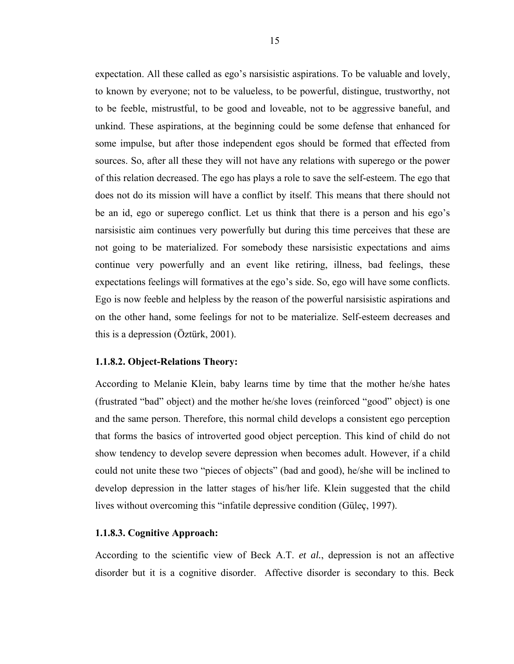expectation. All these called as ego's narsisistic aspirations. To be valuable and lovely, to known by everyone; not to be valueless, to be powerful, distingue, trustworthy, not to be feeble, mistrustful, to be good and loveable, not to be aggressive baneful, and unkind. These aspirations, at the beginning could be some defense that enhanced for some impulse, but after those independent egos should be formed that effected from sources. So, after all these they will not have any relations with superego or the power of this relation decreased. The ego has plays a role to save the self-esteem. The ego that does not do its mission will have a conflict by itself. This means that there should not be an id, ego or superego conflict. Let us think that there is a person and his ego's narsisistic aim continues very powerfully but during this time perceives that these are not going to be materialized. For somebody these narsisistic expectations and aims continue very powerfully and an event like retiring, illness, bad feelings, these expectations feelings will formatives at the ego's side. So, ego will have some conflicts. Ego is now feeble and helpless by the reason of the powerful narsisistic aspirations and on the other hand, some feelings for not to be materialize. Self-esteem decreases and this is a depression (Öztürk, 2001).

### **1.1.8.2. Object-Relations Theory:**

According to Melanie Klein, baby learns time by time that the mother he/she hates (frustrated "bad" object) and the mother he/she loves (reinforced "good" object) is one and the same person. Therefore, this normal child develops a consistent ego perception that forms the basics of introverted good object perception. This kind of child do not show tendency to develop severe depression when becomes adult. However, if a child could not unite these two "pieces of objects" (bad and good), he/she will be inclined to develop depression in the latter stages of his/her life. Klein suggested that the child lives without overcoming this "infatile depressive condition (Güleç, 1997).

#### **1.1.8.3. Cognitive Approach:**

According to the scientific view of Beck A.T. *et al.*, depression is not an affective disorder but it is a cognitive disorder. Affective disorder is secondary to this. Beck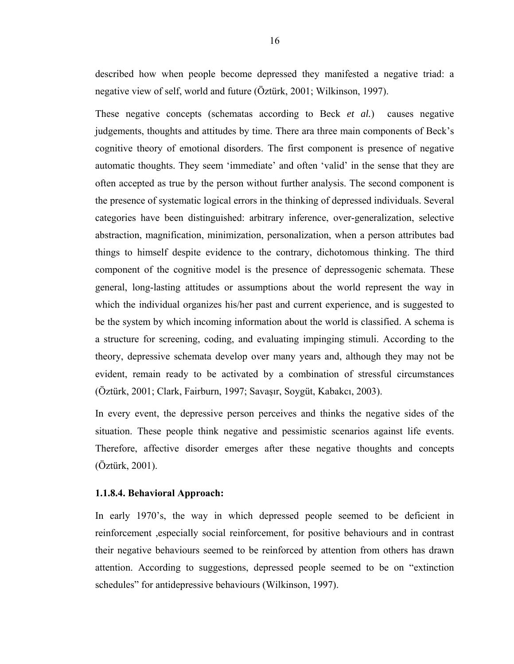described how when people become depressed they manifested a negative triad: a negative view of self, world and future (Öztürk, 2001; Wilkinson, 1997).

These negative concepts (schematas according to Beck *et al.*) causes negative judgements, thoughts and attitudes by time. There ara three main components of Beck's cognitive theory of emotional disorders. The first component is presence of negative automatic thoughts. They seem 'immediate' and often 'valid' in the sense that they are often accepted as true by the person without further analysis. The second component is the presence of systematic logical errors in the thinking of depressed individuals. Several categories have been distinguished: arbitrary inference, over-generalization, selective abstraction, magnification, minimization, personalization, when a person attributes bad things to himself despite evidence to the contrary, dichotomous thinking. The third component of the cognitive model is the presence of depressogenic schemata. These general, long-lasting attitudes or assumptions about the world represent the way in which the individual organizes his/her past and current experience, and is suggested to be the system by which incoming information about the world is classified. A schema is a structure for screening, coding, and evaluating impinging stimuli. According to the theory, depressive schemata develop over many years and, although they may not be evident, remain ready to be activated by a combination of stressful circumstances (Öztürk, 2001; Clark, Fairburn, 1997; Savaşır, Soygüt, Kabakcı, 2003).

In every event, the depressive person perceives and thinks the negative sides of the situation. These people think negative and pessimistic scenarios against life events. Therefore, affective disorder emerges after these negative thoughts and concepts (Öztürk, 2001).

# **1.1.8.4. Behavioral Approach:**

In early 1970's, the way in which depressed people seemed to be deficient in reinforcement ,especially social reinforcement, for positive behaviours and in contrast their negative behaviours seemed to be reinforced by attention from others has drawn attention. According to suggestions, depressed people seemed to be on "extinction schedules" for antidepressive behaviours (Wilkinson, 1997).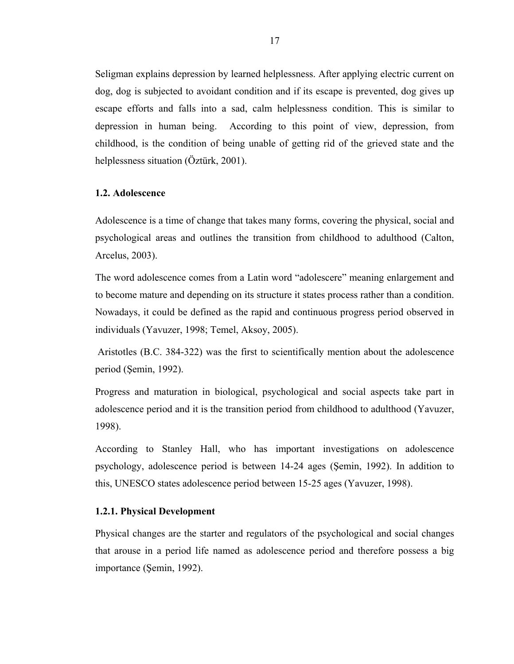<span id="page-25-0"></span>Seligman explains depression by learned helplessness. After applying electric current on dog, dog is subjected to avoidant condition and if its escape is prevented, dog gives up escape efforts and falls into a sad, calm helplessness condition. This is similar to depression in human being. According to this point of view, depression, from childhood, is the condition of being unable of getting rid of the grieved state and the helplessness situation (Öztürk, 2001).

#### **1.2. Adolescence**

Adolescence is a time of change that takes many forms, covering the physical, social and psychological areas and outlines the transition from childhood to adulthood (Calton, Arcelus, 2003).

The word adolescence comes from a Latin word "adolescere" meaning enlargement and to become mature and depending on its structure it states process rather than a condition. Nowadays, it could be defined as the rapid and continuous progress period observed in individuals (Yavuzer, 1998; Temel, Aksoy, 2005).

 Aristotles (B.C. 384-322) was the first to scientifically mention about the adolescence period (Şemin, 1992).

Progress and maturation in biological, psychological and social aspects take part in adolescence period and it is the transition period from childhood to adulthood (Yavuzer, 1998).

According to Stanley Hall, who has important investigations on adolescence psychology, adolescence period is between 14-24 ages (Şemin, 1992). In addition to this, UNESCO states adolescence period between 15-25 ages (Yavuzer, 1998).

# **1.2.1. Physical Development**

Physical changes are the starter and regulators of the psychological and social changes that arouse in a period life named as adolescence period and therefore possess a big importance (Şemin, 1992).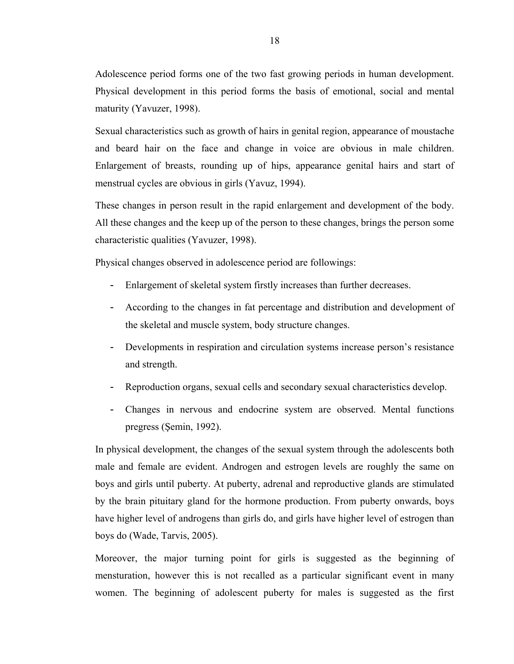Adolescence period forms one of the two fast growing periods in human development. Physical development in this period forms the basis of emotional, social and mental maturity (Yavuzer, 1998).

Sexual characteristics such as growth of hairs in genital region, appearance of moustache and beard hair on the face and change in voice are obvious in male children. Enlargement of breasts, rounding up of hips, appearance genital hairs and start of menstrual cycles are obvious in girls (Yavuz, 1994).

These changes in person result in the rapid enlargement and development of the body. All these changes and the keep up of the person to these changes, brings the person some characteristic qualities (Yavuzer, 1998).

Physical changes observed in adolescence period are followings:

- Enlargement of skeletal system firstly increases than further decreases.
- According to the changes in fat percentage and distribution and development of the skeletal and muscle system, body structure changes.
- Developments in respiration and circulation systems increase person's resistance and strength.
- Reproduction organs, sexual cells and secondary sexual characteristics develop.
- Changes in nervous and endocrine system are observed. Mental functions pregress (Şemin, 1992).

In physical development, the changes of the sexual system through the adolescents both male and female are evident. Androgen and estrogen levels are roughly the same on boys and girls until puberty. At puberty, adrenal and reproductive glands are stimulated by the brain pituitary gland for the hormone production. From puberty onwards, boys have higher level of androgens than girls do, and girls have higher level of estrogen than boys do (Wade, Tarvis, 2005).

Moreover, the major turning point for girls is suggested as the beginning of mensturation, however this is not recalled as a particular significant event in many women. The beginning of adolescent puberty for males is suggested as the first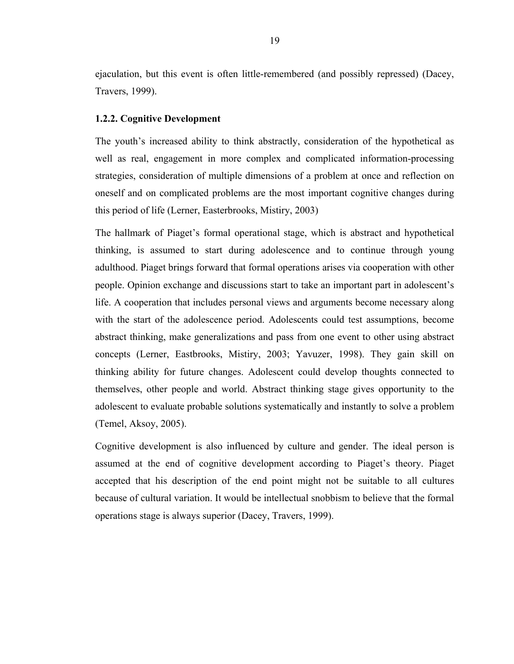<span id="page-27-0"></span>ejaculation, but this event is often little-remembered (and possibly repressed) (Dacey, Travers, 1999).

### **1.2.2. Cognitive Development**

The youth's increased ability to think abstractly, consideration of the hypothetical as well as real, engagement in more complex and complicated information-processing strategies, consideration of multiple dimensions of a problem at once and reflection on oneself and on complicated problems are the most important cognitive changes during this period of life (Lerner, Easterbrooks, Mistiry, 2003)

The hallmark of Piaget's formal operational stage, which is abstract and hypothetical thinking, is assumed to start during adolescence and to continue through young adulthood. Piaget brings forward that formal operations arises via cooperation with other people. Opinion exchange and discussions start to take an important part in adolescent's life. A cooperation that includes personal views and arguments become necessary along with the start of the adolescence period. Adolescents could test assumptions, become abstract thinking, make generalizations and pass from one event to other using abstract concepts (Lerner, Eastbrooks, Mistiry, 2003; Yavuzer, 1998). They gain skill on thinking ability for future changes. Adolescent could develop thoughts connected to themselves, other people and world. Abstract thinking stage gives opportunity to the adolescent to evaluate probable solutions systematically and instantly to solve a problem (Temel, Aksoy, 2005).

Cognitive development is also influenced by culture and gender. The ideal person is assumed at the end of cognitive development according to Piaget's theory. Piaget accepted that his description of the end point might not be suitable to all cultures because of cultural variation. It would be intellectual snobbism to believe that the formal operations stage is always superior (Dacey, Travers, 1999).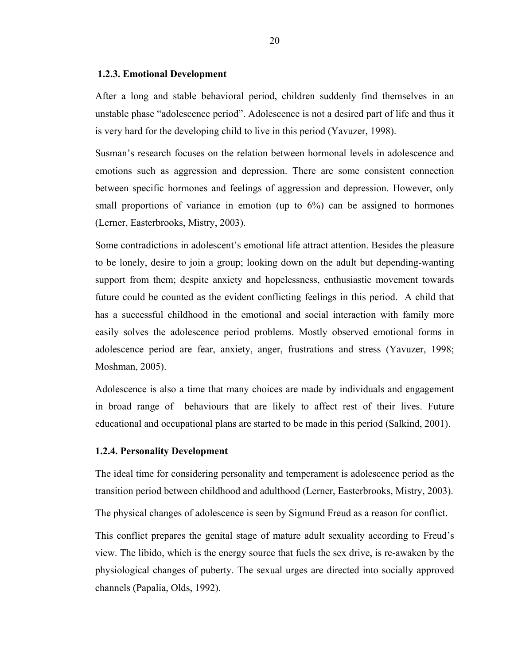#### <span id="page-28-0"></span> **1.2.3. Emotional Development**

After a long and stable behavioral period, children suddenly find themselves in an unstable phase "adolescence period". Adolescence is not a desired part of life and thus it is very hard for the developing child to live in this period (Yavuzer, 1998).

Susman's research focuses on the relation between hormonal levels in adolescence and emotions such as aggression and depression. There are some consistent connection between specific hormones and feelings of aggression and depression. However, only small proportions of variance in emotion (up to 6%) can be assigned to hormones (Lerner, Easterbrooks, Mistry, 2003).

Some contradictions in adolescent's emotional life attract attention. Besides the pleasure to be lonely, desire to join a group; looking down on the adult but depending-wanting support from them; despite anxiety and hopelessness, enthusiastic movement towards future could be counted as the evident conflicting feelings in this period. A child that has a successful childhood in the emotional and social interaction with family more easily solves the adolescence period problems. Mostly observed emotional forms in adolescence period are fear, anxiety, anger, frustrations and stress (Yavuzer, 1998; Moshman, 2005).

Adolescence is also a time that many choices are made by individuals and engagement in broad range of behaviours that are likely to affect rest of their lives. Future educational and occupational plans are started to be made in this period (Salkind, 2001).

#### **1.2.4. Personality Development**

The ideal time for considering personality and temperament is adolescence period as the transition period between childhood and adulthood (Lerner, Easterbrooks, Mistry, 2003).

The physical changes of adolescence is seen by Sigmund Freud as a reason for conflict.

This conflict prepares the genital stage of mature adult sexuality according to Freud's view. The libido, which is the energy source that fuels the sex drive, is re-awaken by the physiological changes of puberty. The sexual urges are directed into socially approved channels (Papalia, Olds, 1992).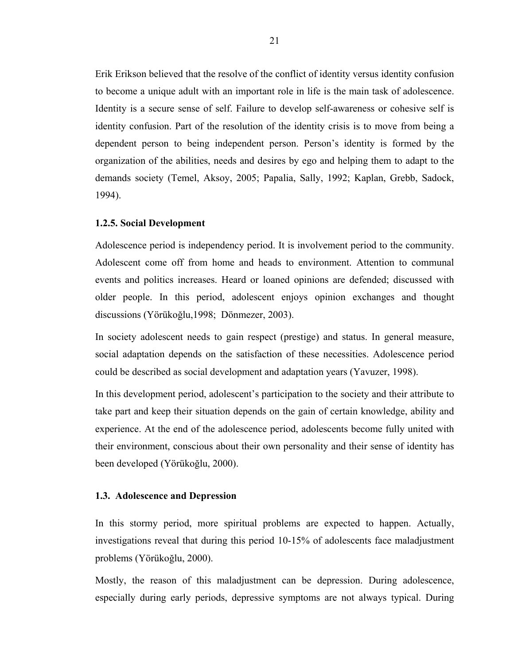<span id="page-29-0"></span>Erik Erikson believed that the resolve of the conflict of identity versus identity confusion to become a unique adult with an important role in life is the main task of adolescence. Identity is a secure sense of self. Failure to develop self-awareness or cohesive self is identity confusion. Part of the resolution of the identity crisis is to move from being a dependent person to being independent person. Person's identity is formed by the organization of the abilities, needs and desires by ego and helping them to adapt to the demands society (Temel, Aksoy, 2005; Papalia, Sally, 1992; Kaplan, Grebb, Sadock, 1994).

### **1.2.5. Social Development**

Adolescence period is independency period. It is involvement period to the community. Adolescent come off from home and heads to environment. Attention to communal events and politics increases. Heard or loaned opinions are defended; discussed with older people. In this period, adolescent enjoys opinion exchanges and thought discussions (Yörükoğlu,1998; Dönmezer, 2003).

In society adolescent needs to gain respect (prestige) and status. In general measure, social adaptation depends on the satisfaction of these necessities. Adolescence period could be described as social development and adaptation years (Yavuzer, 1998).

In this development period, adolescent's participation to the society and their attribute to take part and keep their situation depends on the gain of certain knowledge, ability and experience. At the end of the adolescence period, adolescents become fully united with their environment, conscious about their own personality and their sense of identity has been developed (Yörükoğlu, 2000).

#### **1.3. Adolescence and Depression**

In this stormy period, more spiritual problems are expected to happen. Actually, investigations reveal that during this period 10-15% of adolescents face maladjustment problems (Yörükoğlu, 2000).

Mostly, the reason of this maladjustment can be depression. During adolescence, especially during early periods, depressive symptoms are not always typical. During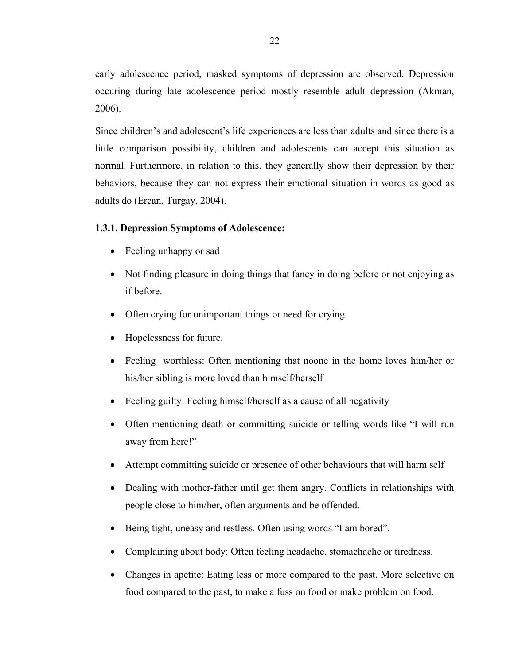<span id="page-30-0"></span>early adolescence period, masked symptoms of depression are observed. Depression occuring during late adolescence period mostly resemble adult depression (Akman, 2006).

Since children's and adolescent's life experiences are less than adults and since there is a little comparison possibility, children and adolescents can accept this situation as normal. Furthermore, in relation to this, they generally show their depression by their behaviors, because they can not express their emotional situation in words as good as adults do (Ercan, Turgay, 2004).

# **1.3.1. Depression Symptoms of Adolescence:**

- Feeling unhappy or sad
- Not finding pleasure in doing things that fancy in doing before or not enjoying as if before.
- Often crying for unimportant things or need for crying
- Hopelessness for future.
- Feeling worthless: Often mentioning that noone in the home loves him/her or his/her sibling is more loved than himself/herself
- Feeling guilty: Feeling himself/herself as a cause of all negativity
- Often mentioning death or committing suicide or telling words like "I will run away from here!"
- Attempt committing suicide or presence of other behaviours that will harm self
- Dealing with mother-father until get them angry. Conflicts in relationships with people close to him/her, often arguments and be offended.
- Being tight, uneasy and restless. Often using words "I am bored".
- Complaining about body: Often feeling headache, stomachache or tiredness.
- Changes in apetite: Eating less or more compared to the past. More selective on food compared to the past, to make a fuss on food or make problem on food.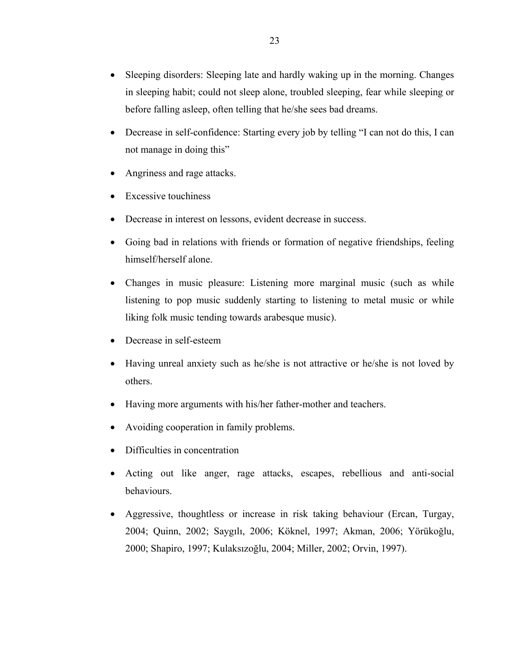- Sleeping disorders: Sleeping late and hardly waking up in the morning. Changes in sleeping habit; could not sleep alone, troubled sleeping, fear while sleeping or before falling asleep, often telling that he/she sees bad dreams.
- Decrease in self-confidence: Starting every job by telling "I can not do this, I can not manage in doing this"
- Angriness and rage attacks.
- **Excessive touchiness**
- Decrease in interest on lessons, evident decrease in success.
- Going bad in relations with friends or formation of negative friendships, feeling himself/herself alone.
- Changes in music pleasure: Listening more marginal music (such as while listening to pop music suddenly starting to listening to metal music or while liking folk music tending towards arabesque music).
- Decrease in self-esteem
- Having unreal anxiety such as he/she is not attractive or he/she is not loved by others.
- Having more arguments with his/her father-mother and teachers.
- Avoiding cooperation in family problems.
- Difficulties in concentration
- Acting out like anger, rage attacks, escapes, rebellious and anti-social behaviours.
- Aggressive, thoughtless or increase in risk taking behaviour (Ercan, Turgay, 2004; Quinn, 2002; Saygılı, 2006; Köknel, 1997; Akman, 2006; Yörükoğlu, 2000; Shapiro, 1997; Kulaksızoğlu, 2004; Miller, 2002; Orvin, 1997).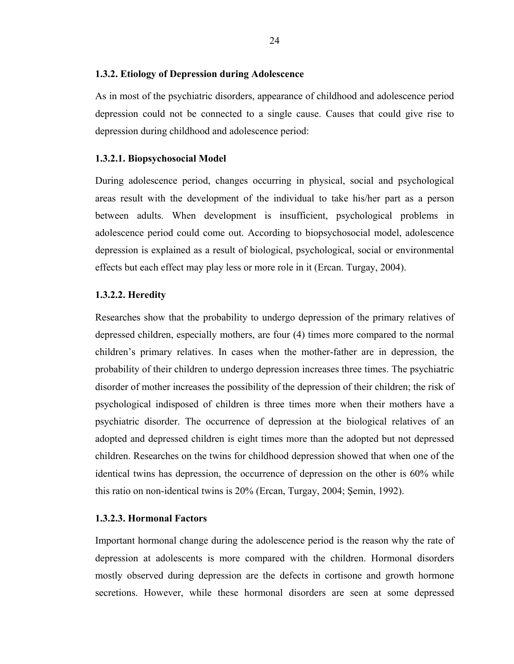#### <span id="page-32-0"></span>**1.3.2. Etiology of Depression during Adolescence**

As in most of the psychiatric disorders, appearance of childhood and adolescence period depression could not be connected to a single cause. Causes that could give rise to depression during childhood and adolescence period:

#### **1.3.2.1. Biopsychosocial Model**

During adolescence period, changes occurring in physical, social and psychological areas result with the development of the individual to take his/her part as a person between adults. When development is insufficient, psychological problems in adolescence period could come out. According to biopsychosocial model, adolescence depression is explained as a result of biological, psychological, social or environmental effects but each effect may play less or more role in it (Ercan. Turgay, 2004).

#### **1.3.2.2. Heredity**

Researches show that the probability to undergo depression of the primary relatives of depressed children, especially mothers, are four (4) times more compared to the normal children's primary relatives. In cases when the mother-father are in depression, the probability of their children to undergo depression increases three times. The psychiatric disorder of mother increases the possibility of the depression of their children; the risk of psychological indisposed of children is three times more when their mothers have a psychiatric disorder. The occurrence of depression at the biological relatives of an adopted and depressed children is eight times more than the adopted but not depressed children. Researches on the twins for childhood depression showed that when one of the identical twins has depression, the occurrence of depression on the other is 60% while this ratio on non-identical twins is 20% (Ercan, Turgay, 2004; Şemin, 1992).

### **1.3.2.3. Hormonal Factors**

Important hormonal change during the adolescence period is the reason why the rate of depression at adolescents is more compared with the children. Hormonal disorders mostly observed during depression are the defects in cortisone and growth hormone secretions. However, while these hormonal disorders are seen at some depressed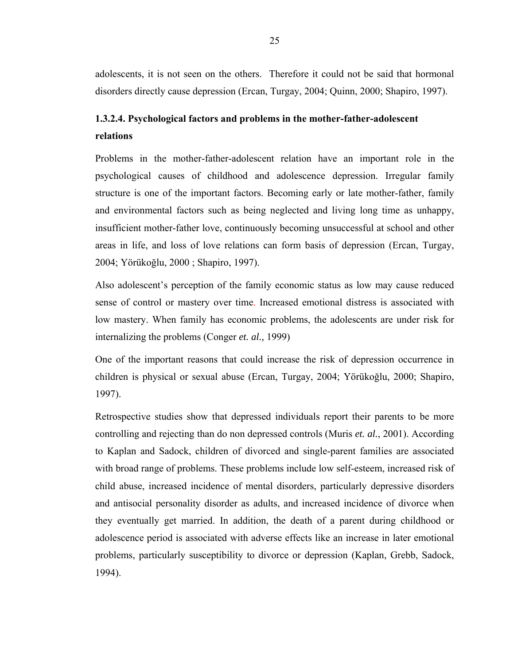adolescents, it is not seen on the others. Therefore it could not be said that hormonal disorders directly cause depression (Ercan, Turgay, 2004; Quinn, 2000; Shapiro, 1997).

# **1.3.2.4. Psychological factors and problems in the mother-father-adolescent relations**

Problems in the mother-father-adolescent relation have an important role in the psychological causes of childhood and adolescence depression. Irregular family structure is one of the important factors. Becoming early or late mother-father, family and environmental factors such as being neglected and living long time as unhappy, insufficient mother-father love, continuously becoming unsuccessful at school and other areas in life, and loss of love relations can form basis of depression (Ercan, Turgay, 2004; Yörükoğlu, 2000 ; Shapiro, 1997).

Also adolescent's perception of the family economic status as low may cause reduced sense of control or mastery over time. Increased emotional distress is associated with low mastery. When family has economic problems, the adolescents are under risk for internalizing the problems (Conger *et. al.,* 1999)

One of the important reasons that could increase the risk of depression occurrence in children is physical or sexual abuse (Ercan, Turgay, 2004; Yörükoğlu, 2000; Shapiro, 1997).

Retrospective studies show that depressed individuals report their parents to be more controlling and rejecting than do non depressed controls (Muris *et. al.*, 2001). According to Kaplan and Sadock, children of divorced and single-parent families are associated with broad range of problems. These problems include low self-esteem, increased risk of child abuse, increased incidence of mental disorders, particularly depressive disorders and antisocial personality disorder as adults, and increased incidence of divorce when they eventually get married. In addition, the death of a parent during childhood or adolescence period is associated with adverse effects like an increase in later emotional problems, particularly susceptibility to divorce or depression (Kaplan, Grebb, Sadock, 1994).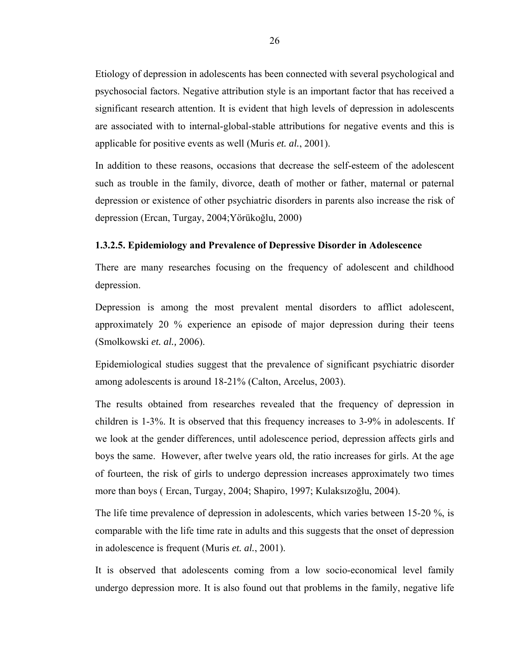Etiology of depression in adolescents has been connected with several psychological and psychosocial factors. Negative attribution style is an important factor that has received a significant research attention. It is evident that high levels of depression in adolescents are associated with to internal-global-stable attributions for negative events and this is applicable for positive events as well (Muris *et. al.*, 2001).

In addition to these reasons, occasions that decrease the self-esteem of the adolescent such as trouble in the family, divorce, death of mother or father, maternal or paternal depression or existence of other psychiatric disorders in parents also increase the risk of depression (Ercan, Turgay, 2004;Yörükoğlu, 2000)

#### **1.3.2.5. Epidemiology and Prevalence of Depressive Disorder in Adolescence**

There are many researches focusing on the frequency of adolescent and childhood depression.

Depression is among the most prevalent mental disorders to afflict adolescent, approximately 20 % experience an episode of major depression during their teens (Smolkowski *et. al.,* 2006).

Epidemiological studies suggest that the prevalence of significant psychiatric disorder among adolescents is around 18-21% (Calton, Arcelus, 2003).

The results obtained from researches revealed that the frequency of depression in children is 1-3%. It is observed that this frequency increases to 3-9% in adolescents. If we look at the gender differences, until adolescence period, depression affects girls and boys the same. However, after twelve years old, the ratio increases for girls. At the age of fourteen, the risk of girls to undergo depression increases approximately two times more than boys ( Ercan, Turgay, 2004; Shapiro, 1997; Kulaksızoğlu, 2004).

The life time prevalence of depression in adolescents, which varies between 15-20 %, is comparable with the life time rate in adults and this suggests that the onset of depression in adolescence is frequent (Muris *et. al.*, 2001).

It is observed that adolescents coming from a low socio-economical level family undergo depression more. It is also found out that problems in the family, negative life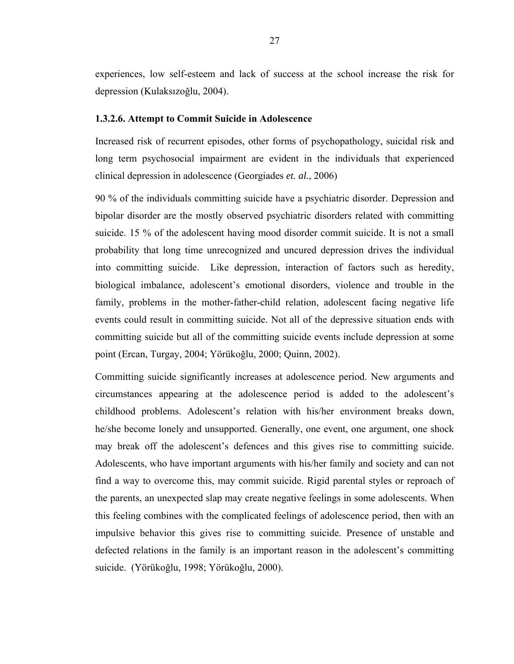experiences, low self-esteem and lack of success at the school increase the risk for depression (Kulaksızoğlu, 2004).

#### **1.3.2.6. Attempt to Commit Suicide in Adolescence**

Increased risk of recurrent episodes, other forms of psychopathology, suicidal risk and long term psychosocial impairment are evident in the individuals that experienced clinical depression in adolescence (Georgiades *et. al.*, 2006)

90 % of the individuals committing suicide have a psychiatric disorder. Depression and bipolar disorder are the mostly observed psychiatric disorders related with committing suicide. 15 % of the adolescent having mood disorder commit suicide. It is not a small probability that long time unrecognized and uncured depression drives the individual into committing suicide. Like depression, interaction of factors such as heredity, biological imbalance, adolescent's emotional disorders, violence and trouble in the family, problems in the mother-father-child relation, adolescent facing negative life events could result in committing suicide. Not all of the depressive situation ends with committing suicide but all of the committing suicide events include depression at some point (Ercan, Turgay, 2004; Yörükoğlu, 2000; Quinn, 2002).

Committing suicide significantly increases at adolescence period. New arguments and circumstances appearing at the adolescence period is added to the adolescent's childhood problems. Adolescent's relation with his/her environment breaks down, he/she become lonely and unsupported. Generally, one event, one argument, one shock may break off the adolescent's defences and this gives rise to committing suicide. Adolescents, who have important arguments with his/her family and society and can not find a way to overcome this, may commit suicide. Rigid parental styles or reproach of the parents, an unexpected slap may create negative feelings in some adolescents. When this feeling combines with the complicated feelings of adolescence period, then with an impulsive behavior this gives rise to committing suicide. Presence of unstable and defected relations in the family is an important reason in the adolescent's committing suicide. (Yörükoğlu, 1998; Yörükoğlu, 2000).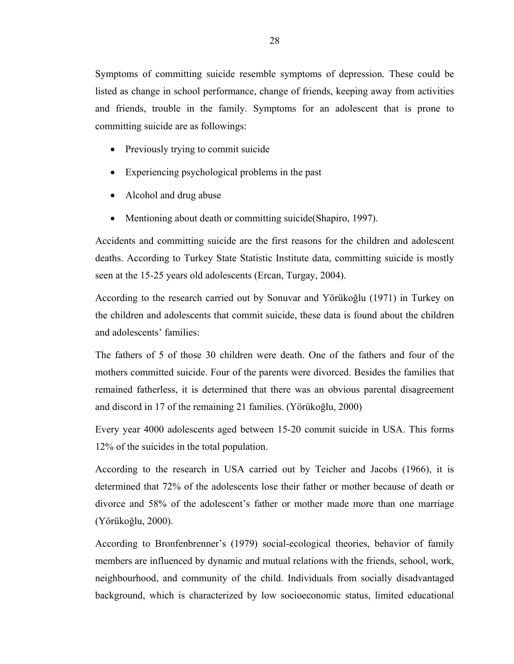Symptoms of committing suicide resemble symptoms of depression. These could be listed as change in school performance, change of friends, keeping away from activities and friends, trouble in the family. Symptoms for an adolescent that is prone to committing suicide are as followings:

- Previously trying to commit suicide
- Experiencing psychological problems in the past
- Alcohol and drug abuse
- Mentioning about death or committing suicide (Shapiro, 1997).

Accidents and committing suicide are the first reasons for the children and adolescent deaths. According to Turkey State Statistic Institute data, committing suicide is mostly seen at the 15-25 years old adolescents (Ercan, Turgay, 2004).

According to the research carried out by Sonuvar and Yörükoğlu (1971) in Turkey on the children and adolescents that commit suicide, these data is found about the children and adolescents' families:

The fathers of 5 of those 30 children were death. One of the fathers and four of the mothers committed suicide. Four of the parents were divorced. Besides the families that remained fatherless, it is determined that there was an obvious parental disagreement and discord in 17 of the remaining 21 families. (Yörükoğlu, 2000)

Every year 4000 adolescents aged between 15-20 commit suicide in USA. This forms 12% of the suicides in the total population.

According to the research in USA carried out by Teicher and Jacobs (1966), it is determined that 72% of the adolescents lose their father or mother because of death or divorce and 58% of the adolescent's father or mother made more than one marriage (Yörükoğlu, 2000).

According to Bronfenbrenner's (1979) social-ecological theories, behavior of family members are influenced by dynamic and mutual relations with the friends, school, work, neighbourhood, and community of the child. Individuals from socially disadvantaged background, which is characterized by low socioeconomic status, limited educational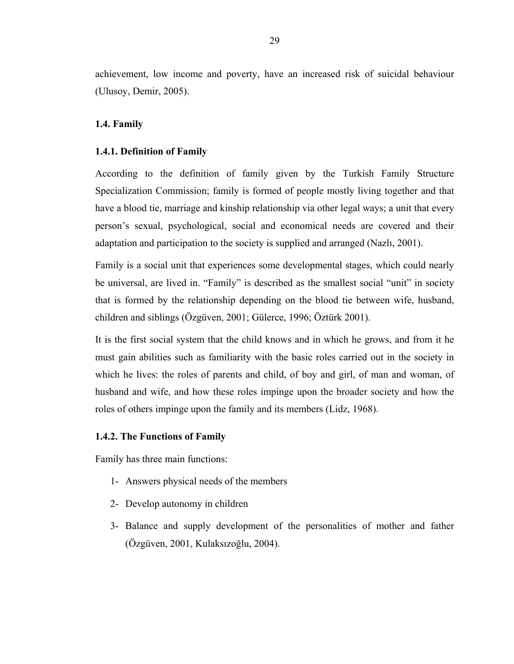achievement, low income and poverty, have an increased risk of suicidal behaviour (Ulusoy, Demir, 2005).

## **1.4. Family**

### **1.4.1. Definition of Family**

According to the definition of family given by the Turkish Family Structure Specialization Commission; family is formed of people mostly living together and that have a blood tie, marriage and kinship relationship via other legal ways; a unit that every person's sexual, psychological, social and economical needs are covered and their adaptation and participation to the society is supplied and arranged (Nazlı, 2001).

Family is a social unit that experiences some developmental stages, which could nearly be universal, are lived in. "Family" is described as the smallest social "unit" in society that is formed by the relationship depending on the blood tie between wife, husband, children and siblings (Özgüven, 2001; Gülerce, 1996; Öztürk 2001).

It is the first social system that the child knows and in which he grows, and from it he must gain abilities such as familiarity with the basic roles carried out in the society in which he lives: the roles of parents and child, of boy and girl, of man and woman, of husband and wife, and how these roles impinge upon the broader society and how the roles of others impinge upon the family and its members (Lidz, 1968).

### **1.4.2. The Functions of Family**

Family has three main functions:

- 1- Answers physical needs of the members
- 2- Develop autonomy in children
- 3- Balance and supply development of the personalities of mother and father (Özgüven, 2001, Kulaksızoğlu, 2004).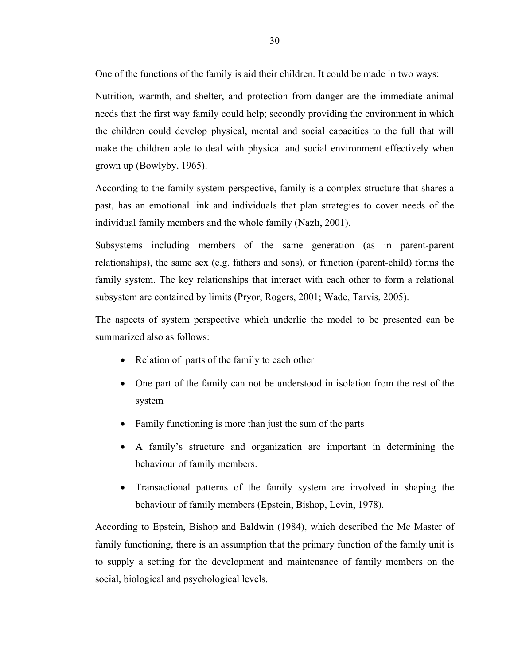One of the functions of the family is aid their children. It could be made in two ways:

Nutrition, warmth, and shelter, and protection from danger are the immediate animal needs that the first way family could help; secondly providing the environment in which the children could develop physical, mental and social capacities to the full that will make the children able to deal with physical and social environment effectively when grown up (Bowlyby, 1965).

According to the family system perspective, family is a complex structure that shares a past, has an emotional link and individuals that plan strategies to cover needs of the individual family members and the whole family (Nazlı, 2001).

Subsystems including members of the same generation (as in parent-parent relationships), the same sex (e.g. fathers and sons), or function (parent-child) forms the family system. The key relationships that interact with each other to form a relational subsystem are contained by limits (Pryor, Rogers, 2001; Wade, Tarvis, 2005).

The aspects of system perspective which underlie the model to be presented can be summarized also as follows:

- Relation of parts of the family to each other
- One part of the family can not be understood in isolation from the rest of the system
- Family functioning is more than just the sum of the parts
- A family's structure and organization are important in determining the behaviour of family members.
- Transactional patterns of the family system are involved in shaping the behaviour of family members (Epstein, Bishop, Levin, 1978).

According to Epstein, Bishop and Baldwin (1984), which described the Mc Master of family functioning, there is an assumption that the primary function of the family unit is to supply a setting for the development and maintenance of family members on the social, biological and psychological levels.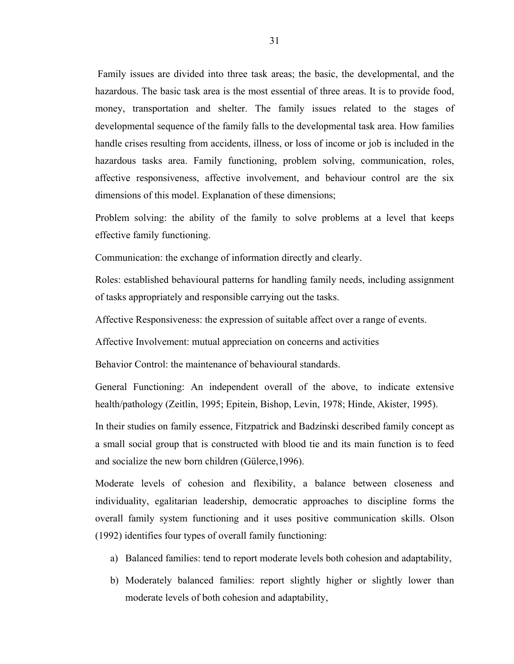Family issues are divided into three task areas; the basic, the developmental, and the hazardous. The basic task area is the most essential of three areas. It is to provide food, money, transportation and shelter. The family issues related to the stages of developmental sequence of the family falls to the developmental task area. How families handle crises resulting from accidents, illness, or loss of income or job is included in the hazardous tasks area. Family functioning, problem solving, communication, roles, affective responsiveness, affective involvement, and behaviour control are the six dimensions of this model. Explanation of these dimensions;

Problem solving: the ability of the family to solve problems at a level that keeps effective family functioning.

Communication: the exchange of information directly and clearly.

Roles: established behavioural patterns for handling family needs, including assignment of tasks appropriately and responsible carrying out the tasks.

Affective Responsiveness: the expression of suitable affect over a range of events.

Affective Involvement: mutual appreciation on concerns and activities

Behavior Control: the maintenance of behavioural standards.

General Functioning: An independent overall of the above, to indicate extensive health/pathology (Zeitlin, 1995; Epitein, Bishop, Levin, 1978; Hinde, Akister, 1995).

In their studies on family essence, Fitzpatrick and Badzinski described family concept as a small social group that is constructed with blood tie and its main function is to feed and socialize the new born children (Gülerce,1996).

Moderate levels of cohesion and flexibility, a balance between closeness and individuality, egalitarian leadership, democratic approaches to discipline forms the overall family system functioning and it uses positive communication skills. Olson (1992) identifies four types of overall family functioning:

- a) Balanced families: tend to report moderate levels both cohesion and adaptability,
- b) Moderately balanced families: report slightly higher or slightly lower than moderate levels of both cohesion and adaptability,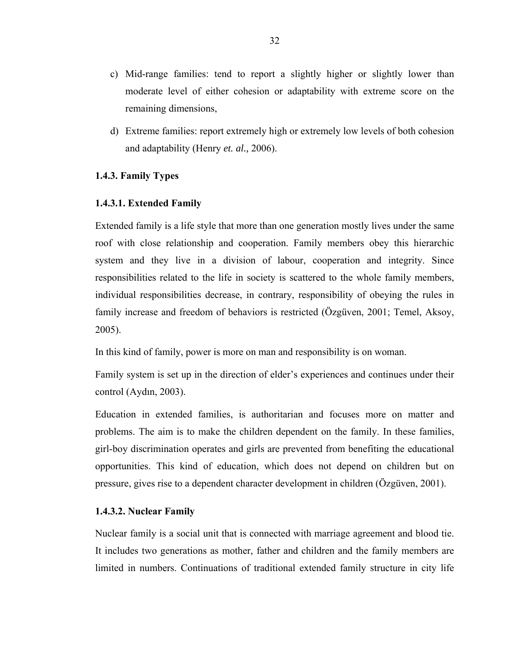- c) Mid-range families: tend to report a slightly higher or slightly lower than moderate level of either cohesion or adaptability with extreme score on the remaining dimensions,
- d) Extreme families: report extremely high or extremely low levels of both cohesion and adaptability (Henry *et. al.,* 2006).

# **1.4.3. Family Types**

# **1.4.3.1. Extended Family**

Extended family is a life style that more than one generation mostly lives under the same roof with close relationship and cooperation. Family members obey this hierarchic system and they live in a division of labour, cooperation and integrity. Since responsibilities related to the life in society is scattered to the whole family members, individual responsibilities decrease, in contrary, responsibility of obeying the rules in family increase and freedom of behaviors is restricted (Özgüven, 2001; Temel, Aksoy, 2005).

In this kind of family, power is more on man and responsibility is on woman.

Family system is set up in the direction of elder's experiences and continues under their control (Aydın, 2003).

Education in extended families, is authoritarian and focuses more on matter and problems. The aim is to make the children dependent on the family. In these families, girl-boy discrimination operates and girls are prevented from benefiting the educational opportunities. This kind of education, which does not depend on children but on pressure, gives rise to a dependent character development in children (Özgüven, 2001).

# **1.4.3.2. Nuclear Family**

Nuclear family is a social unit that is connected with marriage agreement and blood tie. It includes two generations as mother, father and children and the family members are limited in numbers. Continuations of traditional extended family structure in city life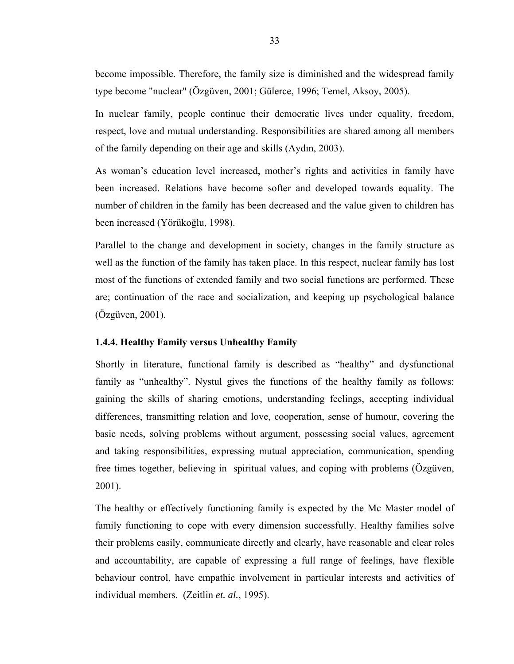become impossible. Therefore, the family size is diminished and the widespread family type become "nuclear" (Özgüven, 2001; Gülerce, 1996; Temel, Aksoy, 2005).

In nuclear family, people continue their democratic lives under equality, freedom, respect, love and mutual understanding. Responsibilities are shared among all members of the family depending on their age and skills (Aydın, 2003).

As woman's education level increased, mother's rights and activities in family have been increased. Relations have become softer and developed towards equality. The number of children in the family has been decreased and the value given to children has been increased (Yörükoğlu, 1998).

Parallel to the change and development in society, changes in the family structure as well as the function of the family has taken place. In this respect, nuclear family has lost most of the functions of extended family and two social functions are performed. These are; continuation of the race and socialization, and keeping up psychological balance (Özgüven, 2001).

# **1.4.4. Healthy Family versus Unhealthy Family**

Shortly in literature, functional family is described as "healthy" and dysfunctional family as "unhealthy". Nystul gives the functions of the healthy family as follows: gaining the skills of sharing emotions, understanding feelings, accepting individual differences, transmitting relation and love, cooperation, sense of humour, covering the basic needs, solving problems without argument, possessing social values, agreement and taking responsibilities, expressing mutual appreciation, communication, spending free times together, believing in spiritual values, and coping with problems (Özgüven, 2001).

The healthy or effectively functioning family is expected by the Mc Master model of family functioning to cope with every dimension successfully. Healthy families solve their problems easily, communicate directly and clearly, have reasonable and clear roles and accountability, are capable of expressing a full range of feelings, have flexible behaviour control, have empathic involvement in particular interests and activities of individual members. (Zeitlin *et. al.*, 1995).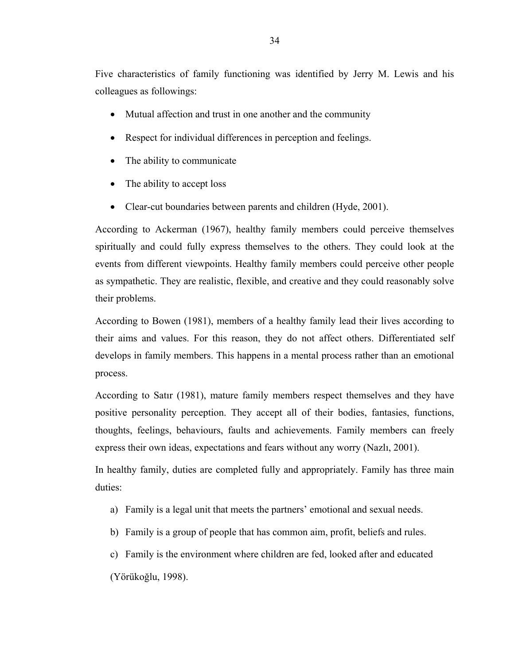Five characteristics of family functioning was identified by Jerry M. Lewis and his colleagues as followings:

- Mutual affection and trust in one another and the community
- Respect for individual differences in perception and feelings.
- The ability to communicate
- The ability to accept loss
- Clear-cut boundaries between parents and children (Hyde, 2001).

According to Ackerman (1967), healthy family members could perceive themselves spiritually and could fully express themselves to the others. They could look at the events from different viewpoints. Healthy family members could perceive other people as sympathetic. They are realistic, flexible, and creative and they could reasonably solve their problems.

According to Bowen (1981), members of a healthy family lead their lives according to their aims and values. For this reason, they do not affect others. Differentiated self develops in family members. This happens in a mental process rather than an emotional process.

According to Satır (1981), mature family members respect themselves and they have positive personality perception. They accept all of their bodies, fantasies, functions, thoughts, feelings, behaviours, faults and achievements. Family members can freely express their own ideas, expectations and fears without any worry (Nazlı, 2001).

In healthy family, duties are completed fully and appropriately. Family has three main duties:

- a) Family is a legal unit that meets the partners' emotional and sexual needs.
- b) Family is a group of people that has common aim, profit, beliefs and rules.
- c) Family is the environment where children are fed, looked after and educated (Yörükoğlu, 1998).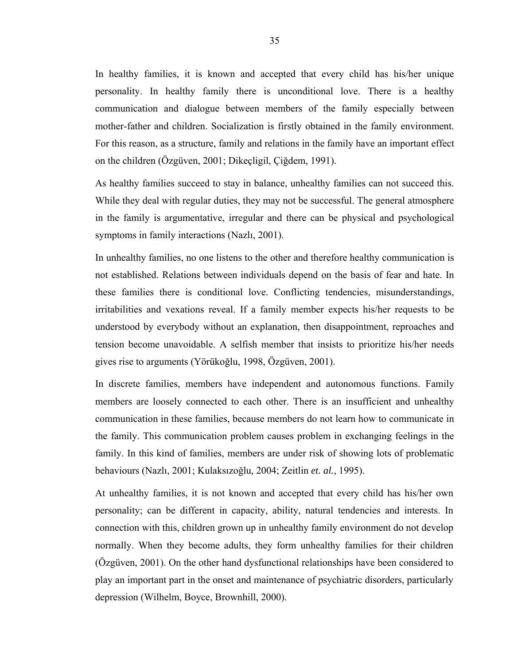In healthy families, it is known and accepted that every child has his/her unique personality. In healthy family there is unconditional love. There is a healthy communication and dialogue between members of the family especially between mother-father and children. Socialization is firstly obtained in the family environment. For this reason, as a structure, family and relations in the family have an important effect on the children (Özgüven, 2001; Dikeçligil, Çiğdem, 1991).

As healthy families succeed to stay in balance, unhealthy families can not succeed this. While they deal with regular duties, they may not be successful. The general atmosphere in the family is argumentative, irregular and there can be physical and psychological symptoms in family interactions (Nazlı, 2001).

In unhealthy families, no one listens to the other and therefore healthy communication is not established. Relations between individuals depend on the basis of fear and hate. In these families there is conditional love. Conflicting tendencies, misunderstandings, irritabilities and vexations reveal. If a family member expects his/her requests to be understood by everybody without an explanation, then disappointment, reproaches and tension become unavoidable. A selfish member that insists to prioritize his/her needs gives rise to arguments (Yörükoğlu, 1998, Özgüven, 2001).

In discrete families, members have independent and autonomous functions. Family members are loosely connected to each other. There is an insufficient and unhealthy communication in these families, because members do not learn how to communicate in the family. This communication problem causes problem in exchanging feelings in the family. In this kind of families, members are under risk of showing lots of problematic behaviours (Nazlı, 2001; Kulaksızoğlu*,* 2004; Zeitlin *et. al.*, 1995).

At unhealthy families, it is not known and accepted that every child has his/her own personality; can be different in capacity, ability, natural tendencies and interests. In connection with this, children grown up in unhealthy family environment do not develop normally. When they become adults, they form unhealthy families for their children (Özgüven, 2001). On the other hand dysfunctional relationships have been considered to play an important part in the onset and maintenance of psychiatric disorders, particularly depression (Wilhelm, Boyce, Brownhill, 2000).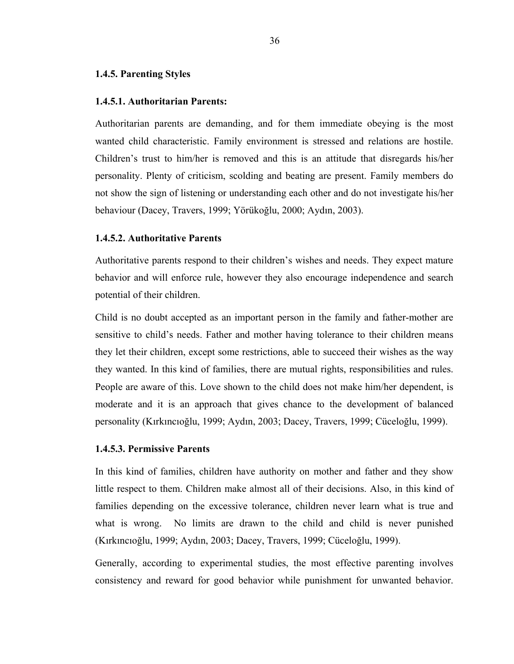#### **1.4.5. Parenting Styles**

#### **1.4.5.1. Authoritarian Parents:**

Authoritarian parents are demanding, and for them immediate obeying is the most wanted child characteristic. Family environment is stressed and relations are hostile. Children's trust to him/her is removed and this is an attitude that disregards his/her personality. Plenty of criticism, scolding and beating are present. Family members do not show the sign of listening or understanding each other and do not investigate his/her behaviour (Dacey, Travers, 1999; Yörükoğlu, 2000; Aydın, 2003).

#### **1.4.5.2. Authoritative Parents**

Authoritative parents respond to their children's wishes and needs. They expect mature behavior and will enforce rule, however they also encourage independence and search potential of their children.

Child is no doubt accepted as an important person in the family and father-mother are sensitive to child's needs. Father and mother having tolerance to their children means they let their children, except some restrictions, able to succeed their wishes as the way they wanted. In this kind of families, there are mutual rights, responsibilities and rules. People are aware of this. Love shown to the child does not make him/her dependent, is moderate and it is an approach that gives chance to the development of balanced personality (Kırkıncıoğlu, 1999; Aydın, 2003; Dacey, Travers, 1999; Cüceloğlu, 1999).

# **1.4.5.3. Permissive Parents**

In this kind of families, children have authority on mother and father and they show little respect to them. Children make almost all of their decisions. Also, in this kind of families depending on the excessive tolerance, children never learn what is true and what is wrong. No limits are drawn to the child and child is never punished (Kırkıncıoğlu, 1999; Aydın, 2003; Dacey, Travers, 1999; Cüceloğlu, 1999).

Generally, according to experimental studies, the most effective parenting involves consistency and reward for good behavior while punishment for unwanted behavior.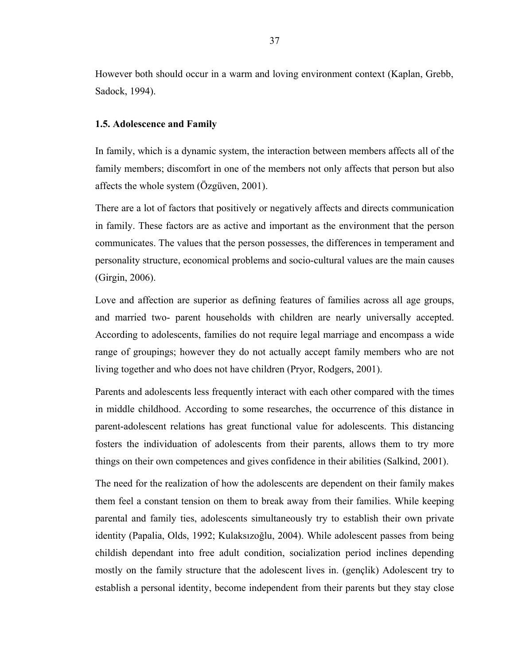However both should occur in a warm and loving environment context (Kaplan, Grebb, Sadock, 1994).

#### **1.5. Adolescence and Family**

In family, which is a dynamic system, the interaction between members affects all of the family members; discomfort in one of the members not only affects that person but also affects the whole system (Özgüven, 2001).

There are a lot of factors that positively or negatively affects and directs communication in family. These factors are as active and important as the environment that the person communicates. The values that the person possesses, the differences in temperament and personality structure, economical problems and socio-cultural values are the main causes (Girgin, 2006).

Love and affection are superior as defining features of families across all age groups, and married two- parent households with children are nearly universally accepted. According to adolescents, families do not require legal marriage and encompass a wide range of groupings; however they do not actually accept family members who are not living together and who does not have children (Pryor, Rodgers, 2001).

Parents and adolescents less frequently interact with each other compared with the times in middle childhood. According to some researches, the occurrence of this distance in parent-adolescent relations has great functional value for adolescents. This distancing fosters the individuation of adolescents from their parents, allows them to try more things on their own competences and gives confidence in their abilities (Salkind, 2001).

The need for the realization of how the adolescents are dependent on their family makes them feel a constant tension on them to break away from their families. While keeping parental and family ties, adolescents simultaneously try to establish their own private identity (Papalia, Olds, 1992; Kulaksızoğlu, 2004). While adolescent passes from being childish dependant into free adult condition, socialization period inclines depending mostly on the family structure that the adolescent lives in. (gençlik) Adolescent try to establish a personal identity, become independent from their parents but they stay close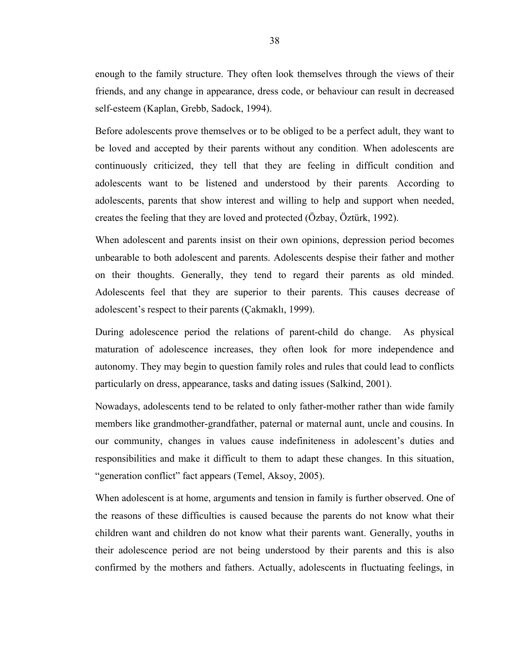enough to the family structure. They often look themselves through the views of their friends, and any change in appearance, dress code, or behaviour can result in decreased self-esteem (Kaplan, Grebb, Sadock, 1994).

Before adolescents prove themselves or to be obliged to be a perfect adult, they want to be loved and accepted by their parents without any condition. When adolescents are continuously criticized, they tell that they are feeling in difficult condition and adolescents want to be listened and understood by their parents. According to adolescents, parents that show interest and willing to help and support when needed, creates the feeling that they are loved and protected (Özbay, Öztürk, 1992).

When adolescent and parents insist on their own opinions, depression period becomes unbearable to both adolescent and parents. Adolescents despise their father and mother on their thoughts. Generally, they tend to regard their parents as old minded. Adolescents feel that they are superior to their parents. This causes decrease of adolescent's respect to their parents (Çakmaklı, 1999).

During adolescence period the relations of parent-child do change. As physical maturation of adolescence increases, they often look for more independence and autonomy. They may begin to question family roles and rules that could lead to conflicts particularly on dress, appearance, tasks and dating issues (Salkind, 2001).

Nowadays, adolescents tend to be related to only father-mother rather than wide family members like grandmother-grandfather, paternal or maternal aunt, uncle and cousins. In our community, changes in values cause indefiniteness in adolescent's duties and responsibilities and make it difficult to them to adapt these changes. In this situation, "generation conflict" fact appears (Temel, Aksoy, 2005).

When adolescent is at home, arguments and tension in family is further observed. One of the reasons of these difficulties is caused because the parents do not know what their children want and children do not know what their parents want. Generally, youths in their adolescence period are not being understood by their parents and this is also confirmed by the mothers and fathers. Actually, adolescents in fluctuating feelings, in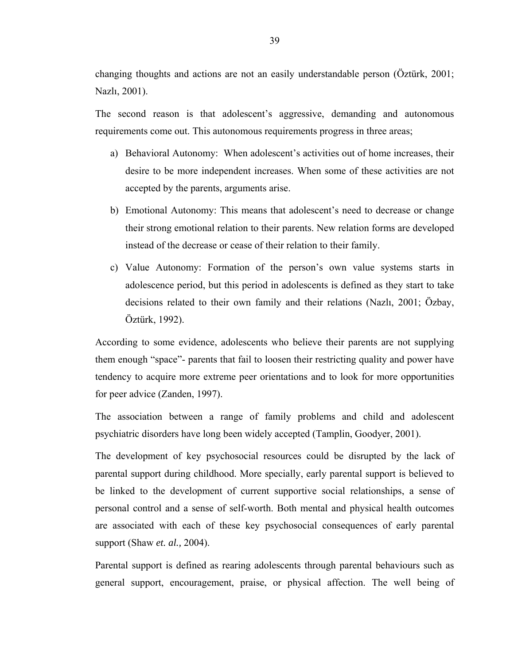changing thoughts and actions are not an easily understandable person (Öztürk, 2001; Nazlı, 2001).

The second reason is that adolescent's aggressive, demanding and autonomous requirements come out. This autonomous requirements progress in three areas;

- a) Behavioral Autonomy: When adolescent's activities out of home increases, their desire to be more independent increases. When some of these activities are not accepted by the parents, arguments arise.
- b) Emotional Autonomy: This means that adolescent's need to decrease or change their strong emotional relation to their parents. New relation forms are developed instead of the decrease or cease of their relation to their family.
- c) Value Autonomy: Formation of the person's own value systems starts in adolescence period, but this period in adolescents is defined as they start to take decisions related to their own family and their relations (Nazlı, 2001; Özbay, Öztürk, 1992).

According to some evidence, adolescents who believe their parents are not supplying them enough "space"- parents that fail to loosen their restricting quality and power have tendency to acquire more extreme peer orientations and to look for more opportunities for peer advice (Zanden, 1997).

The association between a range of family problems and child and adolescent psychiatric disorders have long been widely accepted (Tamplin, Goodyer, 2001).

The development of key psychosocial resources could be disrupted by the lack of parental support during childhood. More specially, early parental support is believed to be linked to the development of current supportive social relationships, a sense of personal control and a sense of self-worth. Both mental and physical health outcomes are associated with each of these key psychosocial consequences of early parental support (Shaw *et. al.,* 2004).

Parental support is defined as rearing adolescents through parental behaviours such as general support, encouragement, praise, or physical affection. The well being of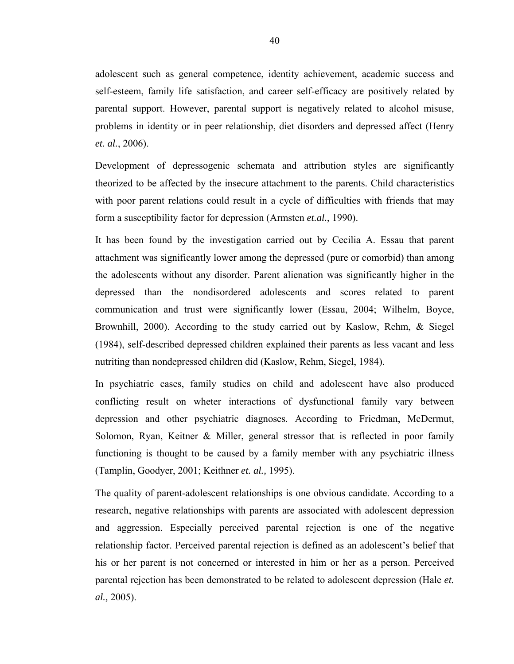adolescent such as general competence, identity achievement, academic success and self-esteem, family life satisfaction, and career self-efficacy are positively related by parental support. However, parental support is negatively related to alcohol misuse, problems in identity or in peer relationship, diet disorders and depressed affect (Henry *et. al.*, 2006).

Development of depressogenic schemata and attribution styles are significantly theorized to be affected by the insecure attachment to the parents. Child characteristics with poor parent relations could result in a cycle of difficulties with friends that may form a susceptibility factor for depression (Armsten *et.al.*, 1990).

It has been found by the investigation carried out by Cecilia A. Essau that parent attachment was significantly lower among the depressed (pure or comorbid) than among the adolescents without any disorder. Parent alienation was significantly higher in the depressed than the nondisordered adolescents and scores related to parent communication and trust were significantly lower (Essau, 2004; Wilhelm, Boyce, Brownhill, 2000). According to the study carried out by Kaslow, Rehm, & Siegel (1984), self-described depressed children explained their parents as less vacant and less nutriting than nondepressed children did (Kaslow, Rehm, Siegel, 1984).

In psychiatric cases, family studies on child and adolescent have also produced conflicting result on wheter interactions of dysfunctional family vary between depression and other psychiatric diagnoses. According to Friedman, McDermut, Solomon, Ryan, Keitner & Miller, general stressor that is reflected in poor family functioning is thought to be caused by a family member with any psychiatric illness (Tamplin, Goodyer, 2001; Keithner *et. al.,* 1995).

The quality of parent-adolescent relationships is one obvious candidate. According to a research, negative relationships with parents are associated with adolescent depression and aggression. Especially perceived parental rejection is one of the negative relationship factor. Perceived parental rejection is defined as an adolescent's belief that his or her parent is not concerned or interested in him or her as a person. Perceived parental rejection has been demonstrated to be related to adolescent depression (Hale *et. al.,* 2005).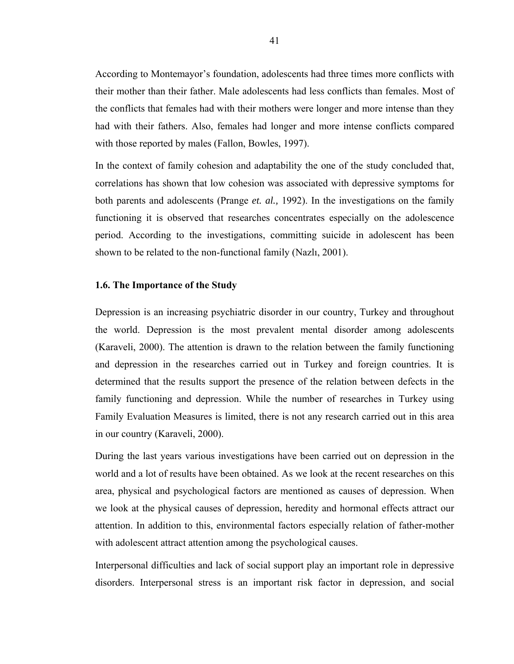According to Montemayor's foundation, adolescents had three times more conflicts with their mother than their father. Male adolescents had less conflicts than females. Most of the conflicts that females had with their mothers were longer and more intense than they had with their fathers. Also, females had longer and more intense conflicts compared with those reported by males (Fallon, Bowles, 1997).

In the context of family cohesion and adaptability the one of the study concluded that, correlations has shown that low cohesion was associated with depressive symptoms for both parents and adolescents (Prange *et. al.,* 1992). In the investigations on the family functioning it is observed that researches concentrates especially on the adolescence period. According to the investigations, committing suicide in adolescent has been shown to be related to the non-functional family (Nazlı, 2001).

#### **1.6. The Importance of the Study**

Depression is an increasing psychiatric disorder in our country, Turkey and throughout the world. Depression is the most prevalent mental disorder among adolescents (Karaveli, 2000). The attention is drawn to the relation between the family functioning and depression in the researches carried out in Turkey and foreign countries. It is determined that the results support the presence of the relation between defects in the family functioning and depression. While the number of researches in Turkey using Family Evaluation Measures is limited, there is not any research carried out in this area in our country (Karaveli, 2000).

During the last years various investigations have been carried out on depression in the world and a lot of results have been obtained. As we look at the recent researches on this area, physical and psychological factors are mentioned as causes of depression. When we look at the physical causes of depression, heredity and hormonal effects attract our attention. In addition to this, environmental factors especially relation of father-mother with adolescent attract attention among the psychological causes.

Interpersonal difficulties and lack of social support play an important role in depressive disorders. Interpersonal stress is an important risk factor in depression, and social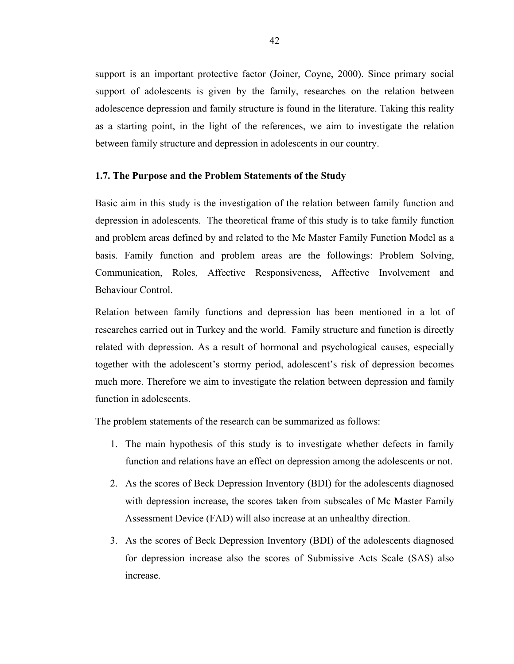support is an important protective factor (Joiner, Coyne, 2000). Since primary social support of adolescents is given by the family, researches on the relation between adolescence depression and family structure is found in the literature. Taking this reality as a starting point, in the light of the references, we aim to investigate the relation between family structure and depression in adolescents in our country.

### **1.7. The Purpose and the Problem Statements of the Study**

Basic aim in this study is the investigation of the relation between family function and depression in adolescents. The theoretical frame of this study is to take family function and problem areas defined by and related to the Mc Master Family Function Model as a basis. Family function and problem areas are the followings: Problem Solving, Communication, Roles, Affective Responsiveness, Affective Involvement and Behaviour Control.

Relation between family functions and depression has been mentioned in a lot of researches carried out in Turkey and the world. Family structure and function is directly related with depression. As a result of hormonal and psychological causes, especially together with the adolescent's stormy period, adolescent's risk of depression becomes much more. Therefore we aim to investigate the relation between depression and family function in adolescents.

The problem statements of the research can be summarized as follows:

- 1. The main hypothesis of this study is to investigate whether defects in family function and relations have an effect on depression among the adolescents or not.
- 2. As the scores of Beck Depression Inventory (BDI) for the adolescents diagnosed with depression increase, the scores taken from subscales of Mc Master Family Assessment Device (FAD) will also increase at an unhealthy direction.
- 3. As the scores of Beck Depression Inventory (BDI) of the adolescents diagnosed for depression increase also the scores of Submissive Acts Scale (SAS) also increase.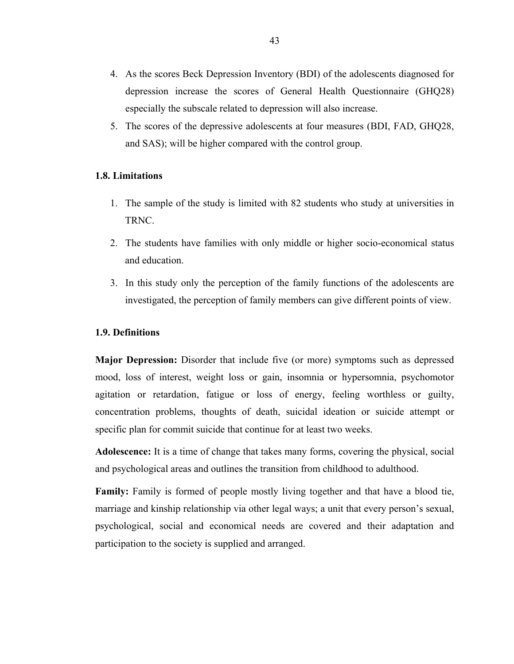- 4. As the scores Beck Depression Inventory (BDI) of the adolescents diagnosed for depression increase the scores of General Health Questionnaire (GHQ28) especially the subscale related to depression will also increase.
- 5. The scores of the depressive adolescents at four measures (BDI, FAD, GHQ28, and SAS); will be higher compared with the control group.

## **1.8. Limitations**

- 1. The sample of the study is limited with 82 students who study at universities in TRNC.
- 2. The students have families with only middle or higher socio-economical status and education.
- 3. In this study only the perception of the family functions of the adolescents are investigated, the perception of family members can give different points of view.

### **1.9. Definitions**

**Major Depression:** Disorder that include five (or more) symptoms such as depressed mood, loss of interest, weight loss or gain, insomnia or hypersomnia, psychomotor agitation or retardation, fatigue or loss of energy, feeling worthless or guilty, concentration problems, thoughts of death, suicidal ideation or suicide attempt or specific plan for commit suicide that continue for at least two weeks.

**Adolescence:** It is a time of change that takes many forms, covering the physical, social and psychological areas and outlines the transition from childhood to adulthood.

**Family:** Family is formed of people mostly living together and that have a blood tie, marriage and kinship relationship via other legal ways; a unit that every person's sexual, psychological, social and economical needs are covered and their adaptation and participation to the society is supplied and arranged.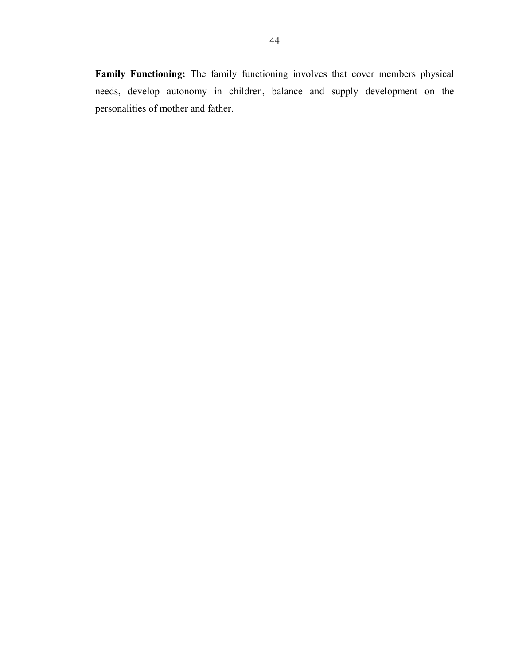**Family Functioning:** The family functioning involves that cover members physical needs, develop autonomy in children, balance and supply development on the personalities of mother and father.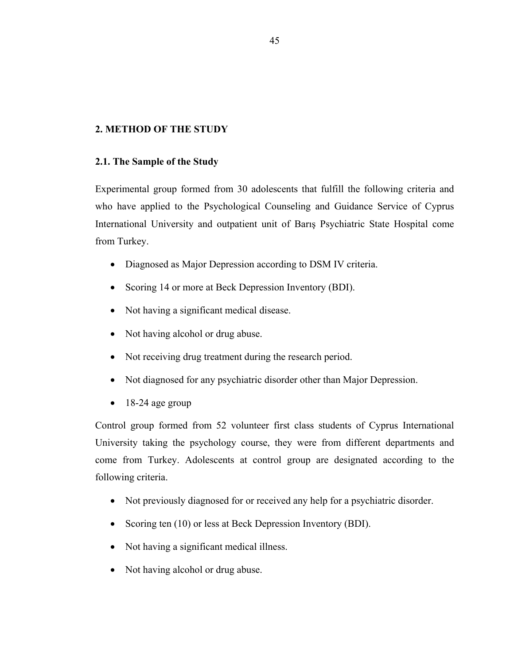# **2. METHOD OF THE STUDY**

## **2.1. The Sample of the Study**

Experimental group formed from 30 adolescents that fulfill the following criteria and who have applied to the Psychological Counseling and Guidance Service of Cyprus International University and outpatient unit of Barış Psychiatric State Hospital come from Turkey.

- Diagnosed as Major Depression according to DSM IV criteria.
- Scoring 14 or more at Beck Depression Inventory (BDI).
- Not having a significant medical disease.
- Not having alcohol or drug abuse.
- Not receiving drug treatment during the research period.
- Not diagnosed for any psychiatric disorder other than Major Depression.
- 18-24 age group

Control group formed from 52 volunteer first class students of Cyprus International University taking the psychology course, they were from different departments and come from Turkey. Adolescents at control group are designated according to the following criteria.

- Not previously diagnosed for or received any help for a psychiatric disorder.
- Scoring ten (10) or less at Beck Depression Inventory (BDI).
- Not having a significant medical illness.
- Not having alcohol or drug abuse.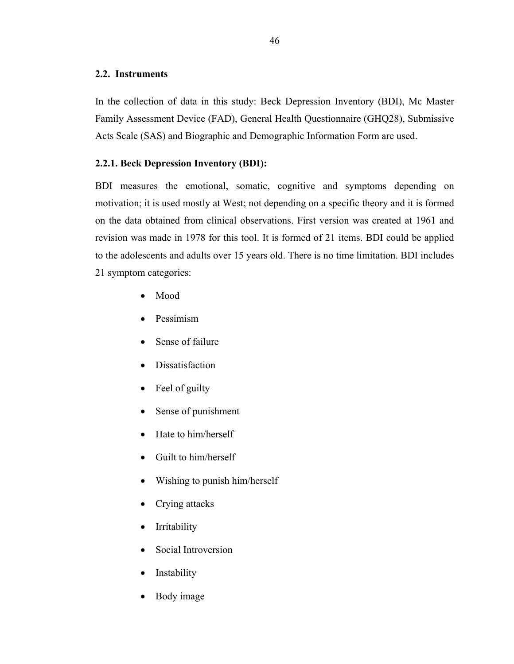## **2.2. Instruments**

In the collection of data in this study: Beck Depression Inventory (BDI), Mc Master Family Assessment Device (FAD), General Health Questionnaire (GHQ28), Submissive Acts Scale (SAS) and Biographic and Demographic Information Form are used.

# **2.2.1. Beck Depression Inventory (BDI):**

BDI measures the emotional, somatic, cognitive and symptoms depending on motivation; it is used mostly at West; not depending on a specific theory and it is formed on the data obtained from clinical observations. First version was created at 1961 and revision was made in 1978 for this tool. It is formed of 21 items. BDI could be applied to the adolescents and adults over 15 years old. There is no time limitation. BDI includes 21 symptom categories:

- Mood
- Pessimism
- Sense of failure
- **Dissatisfaction**
- Feel of guilty
- Sense of punishment
- Hate to him/herself
- Guilt to him/herself
- Wishing to punish him/herself
- Crying attacks
- Irritability
- Social Introversion
- **Instability**
- Body image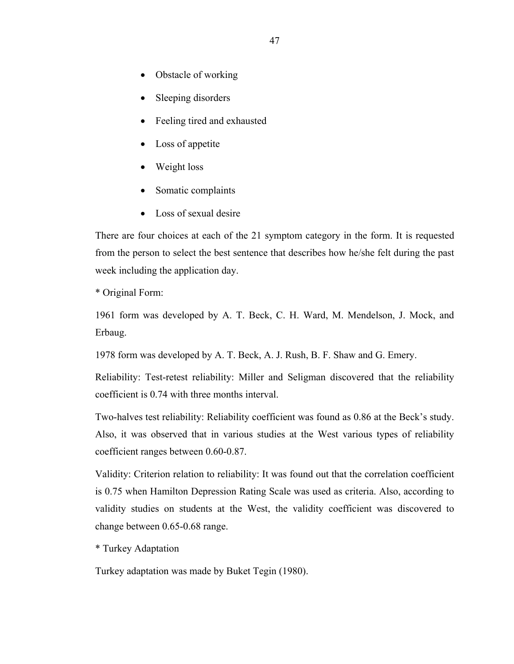- Obstacle of working
- Sleeping disorders
- Feeling tired and exhausted
- Loss of appetite
- Weight loss
- Somatic complaints
- Loss of sexual desire

There are four choices at each of the 21 symptom category in the form. It is requested from the person to select the best sentence that describes how he/she felt during the past week including the application day.

\* Original Form:

1961 form was developed by A. T. Beck, C. H. Ward, M. Mendelson, J. Mock, and Erbaug.

1978 form was developed by A. T. Beck, A. J. Rush, B. F. Shaw and G. Emery.

Reliability: Test-retest reliability: Miller and Seligman discovered that the reliability coefficient is 0.74 with three months interval.

Two-halves test reliability: Reliability coefficient was found as 0.86 at the Beck's study. Also, it was observed that in various studies at the West various types of reliability coefficient ranges between 0.60-0.87.

Validity: Criterion relation to reliability: It was found out that the correlation coefficient is 0.75 when Hamilton Depression Rating Scale was used as criteria. Also, according to validity studies on students at the West, the validity coefficient was discovered to change between 0.65-0.68 range.

\* Turkey Adaptation

Turkey adaptation was made by Buket Tegin (1980).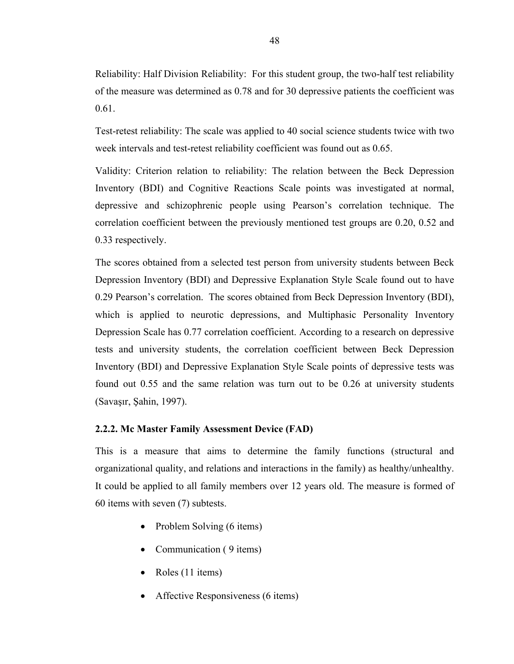Reliability: Half Division Reliability: For this student group, the two-half test reliability of the measure was determined as 0.78 and for 30 depressive patients the coefficient was 0.61.

Test-retest reliability: The scale was applied to 40 social science students twice with two week intervals and test-retest reliability coefficient was found out as 0.65.

Validity: Criterion relation to reliability: The relation between the Beck Depression Inventory (BDI) and Cognitive Reactions Scale points was investigated at normal, depressive and schizophrenic people using Pearson's correlation technique. The correlation coefficient between the previously mentioned test groups are 0.20, 0.52 and 0.33 respectively.

The scores obtained from a selected test person from university students between Beck Depression Inventory (BDI) and Depressive Explanation Style Scale found out to have 0.29 Pearson's correlation. The scores obtained from Beck Depression Inventory (BDI), which is applied to neurotic depressions, and Multiphasic Personality Inventory Depression Scale has 0.77 correlation coefficient. According to a research on depressive tests and university students, the correlation coefficient between Beck Depression Inventory (BDI) and Depressive Explanation Style Scale points of depressive tests was found out 0.55 and the same relation was turn out to be 0.26 at university students (Savaşır, Şahin, 1997).

# **2.2.2. Mc Master Family Assessment Device (FAD)**

This is a measure that aims to determine the family functions (structural and organizational quality, and relations and interactions in the family) as healthy/unhealthy. It could be applied to all family members over 12 years old. The measure is formed of 60 items with seven (7) subtests.

- Problem Solving (6 items)
- Communication (9 items)
- Roles (11 items)
- Affective Responsiveness (6 items)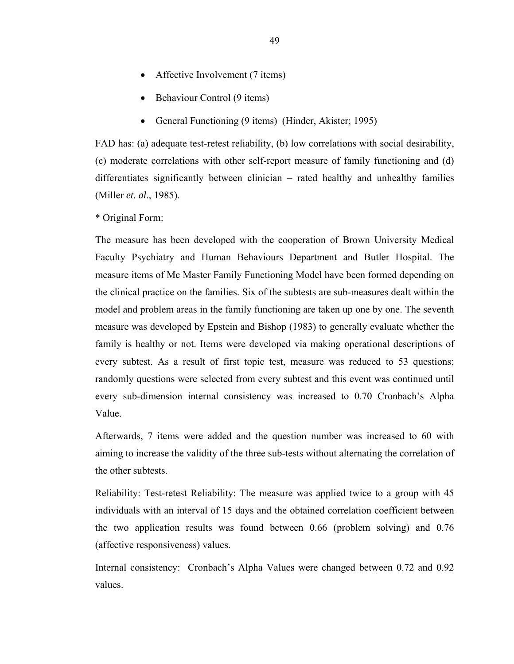- Affective Involvement (7 items)
- Behaviour Control (9 items)
- General Functioning (9 items) (Hinder, Akister; 1995)

FAD has: (a) adequate test-retest reliability, (b) low correlations with social desirability, (c) moderate correlations with other self-report measure of family functioning and (d) differentiates significantly between clinician – rated healthy and unhealthy families (Miller *et. al*., 1985).

\* Original Form:

The measure has been developed with the cooperation of Brown University Medical Faculty Psychiatry and Human Behaviours Department and Butler Hospital. The measure items of Mc Master Family Functioning Model have been formed depending on the clinical practice on the families. Six of the subtests are sub-measures dealt within the model and problem areas in the family functioning are taken up one by one. The seventh measure was developed by Epstein and Bishop (1983) to generally evaluate whether the family is healthy or not. Items were developed via making operational descriptions of every subtest. As a result of first topic test, measure was reduced to 53 questions; randomly questions were selected from every subtest and this event was continued until every sub-dimension internal consistency was increased to 0.70 Cronbach's Alpha Value.

Afterwards, 7 items were added and the question number was increased to 60 with aiming to increase the validity of the three sub-tests without alternating the correlation of the other subtests.

Reliability: Test-retest Reliability: The measure was applied twice to a group with 45 individuals with an interval of 15 days and the obtained correlation coefficient between the two application results was found between 0.66 (problem solving) and 0.76 (affective responsiveness) values.

Internal consistency: Cronbach's Alpha Values were changed between 0.72 and 0.92 values.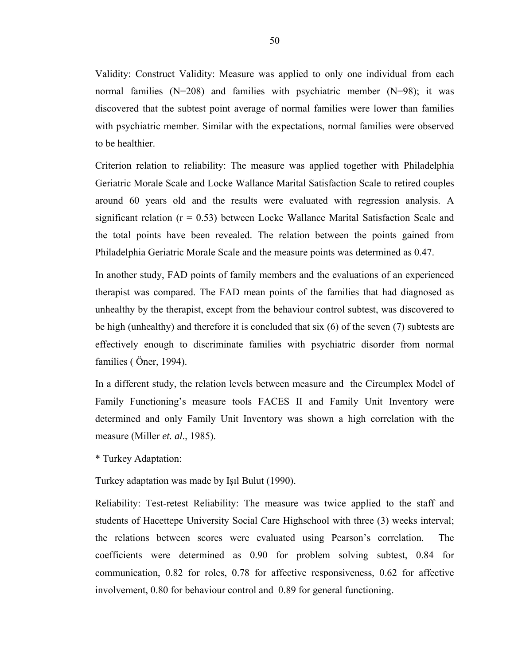Validity: Construct Validity: Measure was applied to only one individual from each normal families  $(N=208)$  and families with psychiatric member  $(N=98)$ ; it was discovered that the subtest point average of normal families were lower than families with psychiatric member. Similar with the expectations, normal families were observed to be healthier.

Criterion relation to reliability: The measure was applied together with Philadelphia Geriatric Morale Scale and Locke Wallance Marital Satisfaction Scale to retired couples around 60 years old and the results were evaluated with regression analysis. A significant relation  $(r = 0.53)$  between Locke Wallance Marital Satisfaction Scale and the total points have been revealed. The relation between the points gained from Philadelphia Geriatric Morale Scale and the measure points was determined as 0.47.

In another study, FAD points of family members and the evaluations of an experienced therapist was compared. The FAD mean points of the families that had diagnosed as unhealthy by the therapist, except from the behaviour control subtest, was discovered to be high (unhealthy) and therefore it is concluded that six (6) of the seven (7) subtests are effectively enough to discriminate families with psychiatric disorder from normal families ( Öner, 1994).

In a different study, the relation levels between measure and the Circumplex Model of Family Functioning's measure tools FACES II and Family Unit Inventory were determined and only Family Unit Inventory was shown a high correlation with the measure (Miller *et. al*., 1985).

\* Turkey Adaptation:

Turkey adaptation was made by Işıl Bulut (1990).

Reliability: Test-retest Reliability: The measure was twice applied to the staff and students of Hacettepe University Social Care Highschool with three (3) weeks interval; the relations between scores were evaluated using Pearson's correlation. The coefficients were determined as 0.90 for problem solving subtest, 0.84 for communication, 0.82 for roles, 0.78 for affective responsiveness, 0.62 for affective involvement, 0.80 for behaviour control and 0.89 for general functioning.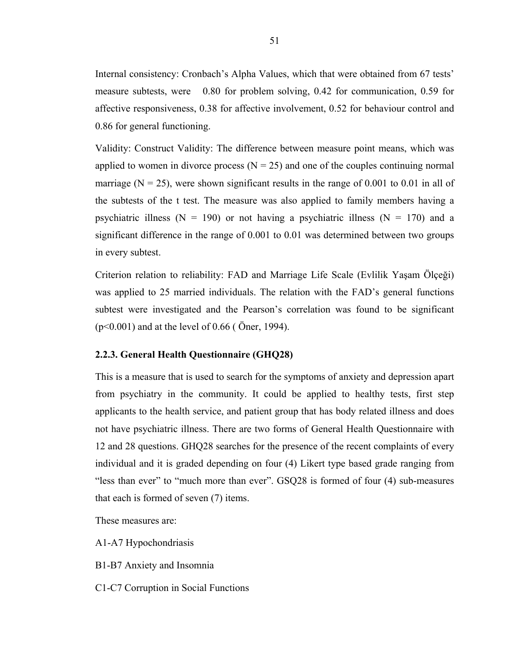Internal consistency: Cronbach's Alpha Values, which that were obtained from 67 tests' measure subtests, were 0.80 for problem solving, 0.42 for communication, 0.59 for affective responsiveness, 0.38 for affective involvement, 0.52 for behaviour control and 0.86 for general functioning.

Validity: Construct Validity: The difference between measure point means, which was applied to women in divorce process  $(N = 25)$  and one of the couples continuing normal marriage ( $N = 25$ ), were shown significant results in the range of 0.001 to 0.01 in all of the subtests of the t test. The measure was also applied to family members having a psychiatric illness ( $N = 190$ ) or not having a psychiatric illness ( $N = 170$ ) and a significant difference in the range of 0.001 to 0.01 was determined between two groups in every subtest.

Criterion relation to reliability: FAD and Marriage Life Scale (Evlilik Yaşam Ölçeği) was applied to 25 married individuals. The relation with the FAD's general functions subtest were investigated and the Pearson's correlation was found to be significant (p<0.001) and at the level of 0.66 ( Öner, 1994).

## **2.2.3. General Health Questionnaire (GHQ28)**

This is a measure that is used to search for the symptoms of anxiety and depression apart from psychiatry in the community. It could be applied to healthy tests, first step applicants to the health service, and patient group that has body related illness and does not have psychiatric illness. There are two forms of General Health Questionnaire with 12 and 28 questions. GHQ28 searches for the presence of the recent complaints of every individual and it is graded depending on four (4) Likert type based grade ranging from "less than ever" to "much more than ever". GSQ28 is formed of four (4) sub-measures that each is formed of seven (7) items.

These measures are:

- A1-A7 Hypochondriasis
- B1-B7 Anxiety and Insomnia
- C1-C7 Corruption in Social Functions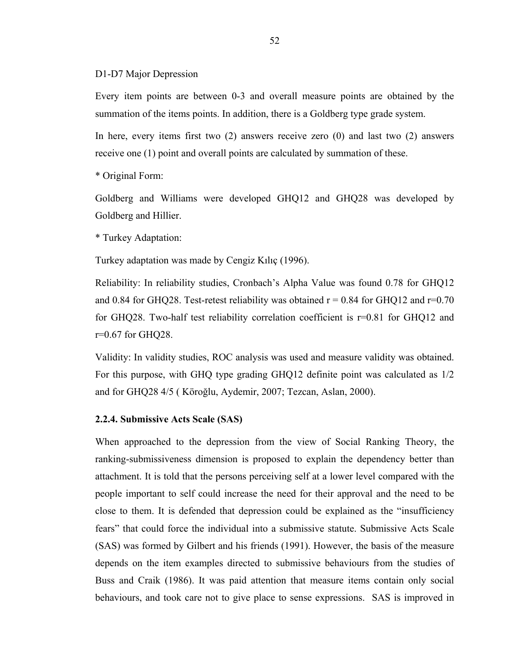#### D1-D7 Major Depression

Every item points are between 0-3 and overall measure points are obtained by the summation of the items points. In addition, there is a Goldberg type grade system.

In here, every items first two (2) answers receive zero (0) and last two (2) answers receive one (1) point and overall points are calculated by summation of these.

\* Original Form:

Goldberg and Williams were developed GHQ12 and GHQ28 was developed by Goldberg and Hillier.

\* Turkey Adaptation:

Turkey adaptation was made by Cengiz Kılıç (1996).

Reliability: In reliability studies, Cronbach's Alpha Value was found 0.78 for GHQ12 and 0.84 for GHQ28. Test-retest reliability was obtained  $r = 0.84$  for GHQ12 and  $r = 0.70$ for GHQ28. Two-half test reliability correlation coefficient is r=0.81 for GHQ12 and r=0.67 for GHQ28.

Validity: In validity studies, ROC analysis was used and measure validity was obtained. For this purpose, with GHQ type grading GHQ12 definite point was calculated as 1/2 and for GHQ28 4/5 ( Köroğlu, Aydemir, 2007; Tezcan, Aslan, 2000).

### **2.2.4. Submissive Acts Scale (SAS)**

When approached to the depression from the view of Social Ranking Theory, the ranking-submissiveness dimension is proposed to explain the dependency better than attachment. It is told that the persons perceiving self at a lower level compared with the people important to self could increase the need for their approval and the need to be close to them. It is defended that depression could be explained as the "insufficiency fears" that could force the individual into a submissive statute. Submissive Acts Scale (SAS) was formed by Gilbert and his friends (1991). However, the basis of the measure depends on the item examples directed to submissive behaviours from the studies of Buss and Craik (1986). It was paid attention that measure items contain only social behaviours, and took care not to give place to sense expressions. SAS is improved in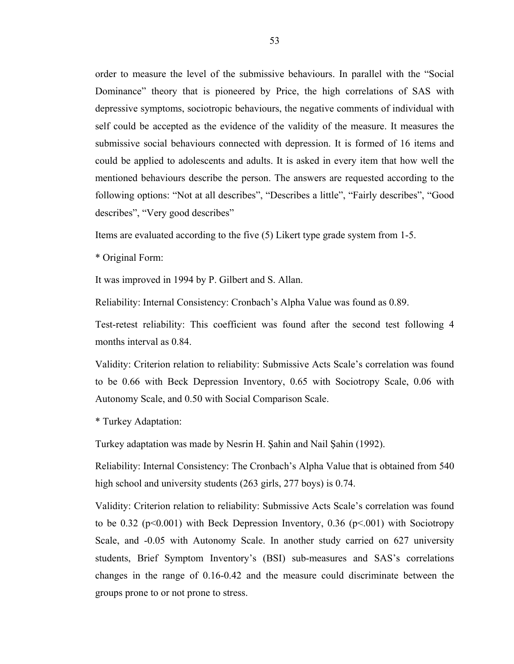order to measure the level of the submissive behaviours. In parallel with the "Social Dominance" theory that is pioneered by Price, the high correlations of SAS with depressive symptoms, sociotropic behaviours, the negative comments of individual with self could be accepted as the evidence of the validity of the measure. It measures the submissive social behaviours connected with depression. It is formed of 16 items and could be applied to adolescents and adults. It is asked in every item that how well the mentioned behaviours describe the person. The answers are requested according to the following options: "Not at all describes", "Describes a little", "Fairly describes", "Good describes", "Very good describes"

Items are evaluated according to the five (5) Likert type grade system from 1-5.

\* Original Form:

It was improved in 1994 by P. Gilbert and S. Allan.

Reliability: Internal Consistency: Cronbach's Alpha Value was found as 0.89.

Test-retest reliability: This coefficient was found after the second test following 4 months interval as 0.84.

Validity: Criterion relation to reliability: Submissive Acts Scale's correlation was found to be 0.66 with Beck Depression Inventory, 0.65 with Sociotropy Scale, 0.06 with Autonomy Scale, and 0.50 with Social Comparison Scale.

\* Turkey Adaptation:

Turkey adaptation was made by Nesrin H. Şahin and Nail Şahin (1992).

Reliability: Internal Consistency: The Cronbach's Alpha Value that is obtained from 540 high school and university students (263 girls, 277 boys) is 0.74.

Validity: Criterion relation to reliability: Submissive Acts Scale's correlation was found to be 0.32 ( $p<0.001$ ) with Beck Depression Inventory, 0.36 ( $p<0.01$ ) with Sociotropy Scale, and -0.05 with Autonomy Scale. In another study carried on 627 university students, Brief Symptom Inventory's (BSI) sub-measures and SAS's correlations changes in the range of 0.16-0.42 and the measure could discriminate between the groups prone to or not prone to stress.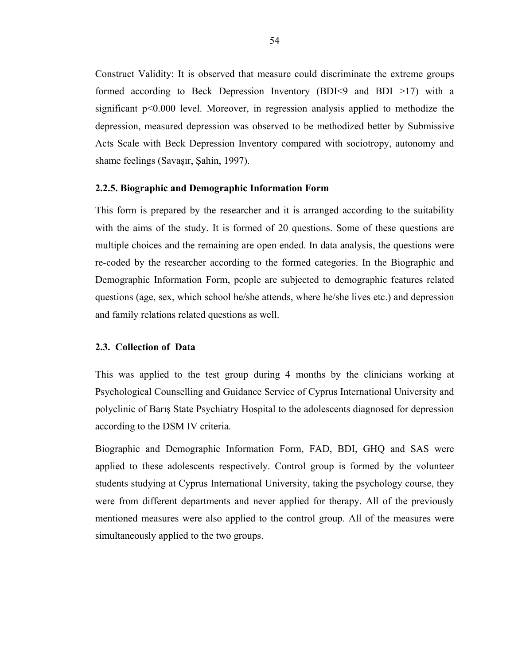Construct Validity: It is observed that measure could discriminate the extreme groups formed according to Beck Depression Inventory (BDI<9 and BDI >17) with a significant p<0.000 level. Moreover, in regression analysis applied to methodize the depression, measured depression was observed to be methodized better by Submissive Acts Scale with Beck Depression Inventory compared with sociotropy, autonomy and shame feelings (Savaşır, Şahin, 1997).

### **2.2.5. Biographic and Demographic Information Form**

This form is prepared by the researcher and it is arranged according to the suitability with the aims of the study. It is formed of 20 questions. Some of these questions are multiple choices and the remaining are open ended. In data analysis, the questions were re-coded by the researcher according to the formed categories. In the Biographic and Demographic Information Form, people are subjected to demographic features related questions (age, sex, which school he/she attends, where he/she lives etc.) and depression and family relations related questions as well.

#### **2.3. Collection of Data**

This was applied to the test group during 4 months by the clinicians working at Psychological Counselling and Guidance Service of Cyprus International University and polyclinic of Barış State Psychiatry Hospital to the adolescents diagnosed for depression according to the DSM IV criteria.

Biographic and Demographic Information Form, FAD, BDI, GHQ and SAS were applied to these adolescents respectively. Control group is formed by the volunteer students studying at Cyprus International University, taking the psychology course, they were from different departments and never applied for therapy. All of the previously mentioned measures were also applied to the control group. All of the measures were simultaneously applied to the two groups.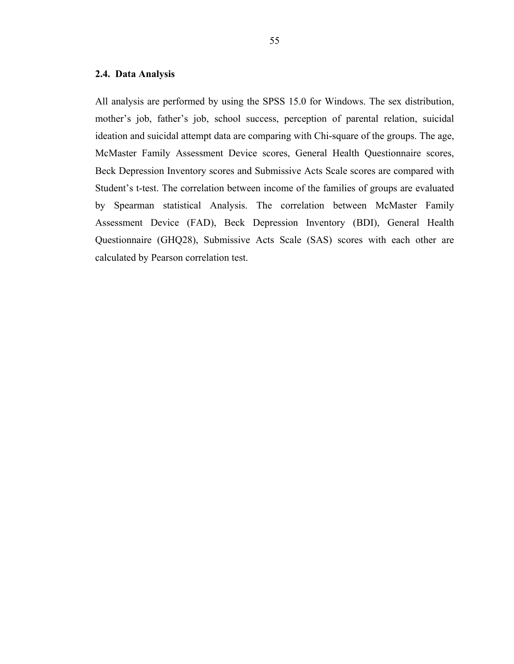## **2.4. Data Analysis**

All analysis are performed by using the SPSS 15.0 for Windows. The sex distribution, mother's job, father's job, school success, perception of parental relation, suicidal ideation and suicidal attempt data are comparing with Chi-square of the groups. The age, McMaster Family Assessment Device scores, General Health Questionnaire scores, Beck Depression Inventory scores and Submissive Acts Scale scores are compared with Student's t-test. The correlation between income of the families of groups are evaluated by Spearman statistical Analysis. The correlation between McMaster Family Assessment Device (FAD), Beck Depression Inventory (BDI), General Health Questionnaire (GHQ28), Submissive Acts Scale (SAS) scores with each other are calculated by Pearson correlation test.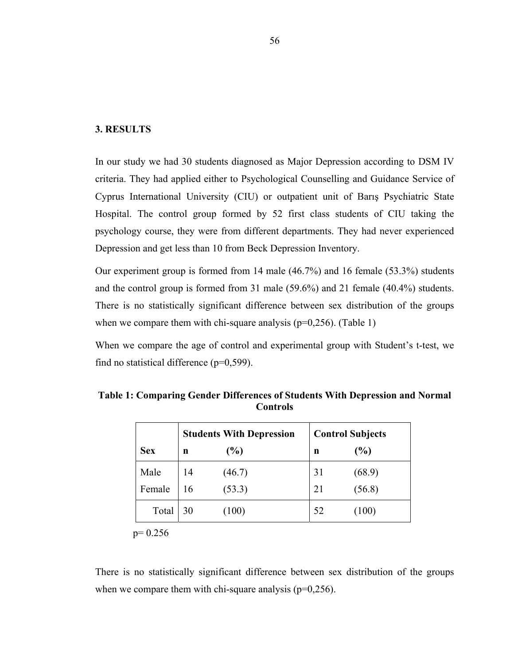## **3. RESULTS**

In our study we had 30 students diagnosed as Major Depression according to DSM IV criteria. They had applied either to Psychological Counselling and Guidance Service of Cyprus International University (CIU) or outpatient unit of Barış Psychiatric State Hospital. The control group formed by 52 first class students of CIU taking the psychology course, they were from different departments. They had never experienced Depression and get less than 10 from Beck Depression Inventory.

Our experiment group is formed from 14 male (46.7%) and 16 female (53.3%) students and the control group is formed from 31 male (59.6%) and 21 female (40.4%) students. There is no statistically significant difference between sex distribution of the groups when we compare them with chi-square analysis ( $p=0,256$ ). (Table 1)

When we compare the age of control and experimental group with Student's t-test, we find no statistical difference  $(p=0,599)$ .

|            | <b>Students With Depression</b> |        |    | <b>Control Subjects</b> |
|------------|---------------------------------|--------|----|-------------------------|
| <b>Sex</b> | n                               | (%)    | n  | (%)                     |
| Male       | 14                              | (46.7) | 31 | (68.9)                  |
| Female     | 16                              | (53.3) | 21 | (56.8)                  |
| Total      | 30                              | (100)  | 52 | (100)                   |

**Table 1: Comparing Gender Differences of Students With Depression and Normal Controls** 

 $p= 0.256$ 

There is no statistically significant difference between sex distribution of the groups when we compare them with chi-square analysis ( $p=0,256$ ).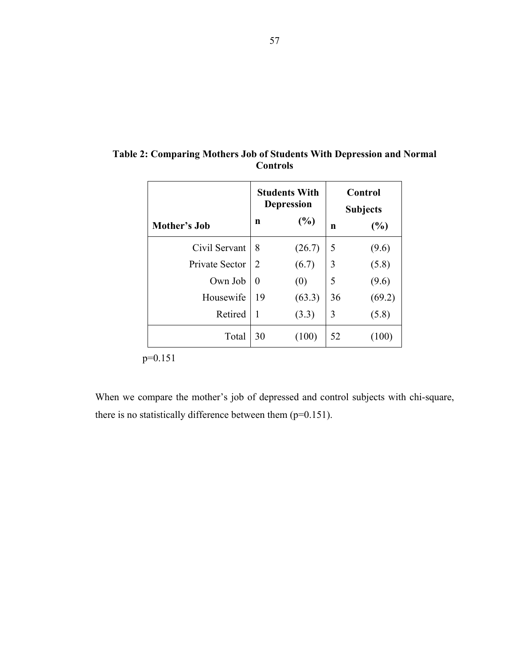|                |          | <b>Students With</b><br><b>Depression</b> | Control<br><b>Subjects</b> |        |
|----------------|----------|-------------------------------------------|----------------------------|--------|
| Mother's Job   | n        | (%)                                       | n                          | (%)    |
| Civil Servant  | 8        | (26.7)                                    | 5                          | (9.6)  |
| Private Sector | 2        | (6.7)                                     | 3                          | (5.8)  |
| Own Job        | $\theta$ | (0)                                       | 5                          | (9.6)  |
| Housewife      | 19       | (63.3)                                    | 36                         | (69.2) |
| Retired        | 1        | (3.3)                                     | 3                          | (5.8)  |
| Total          | 30       | (100)                                     | 52                         |        |

**Table 2: Comparing Mothers Job of Students With Depression and Normal Controls** 

p=0.151

When we compare the mother's job of depressed and control subjects with chi-square, there is no statistically difference between them (p=0.151).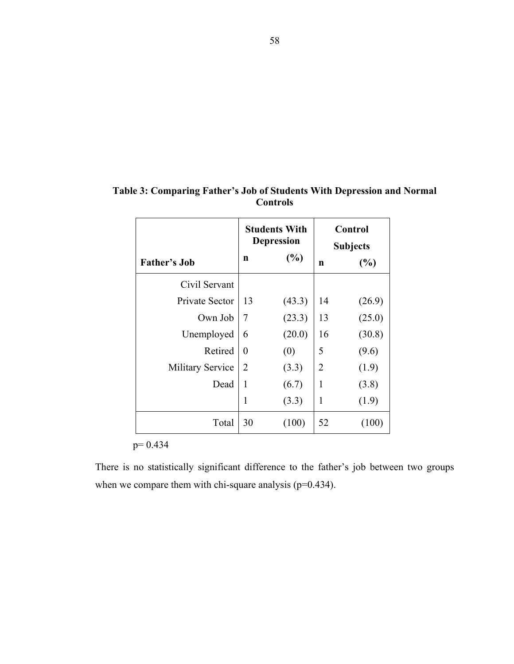|                         | <b>Students With</b><br><b>Depression</b> |        | Control<br><b>Subjects</b> |        |
|-------------------------|-------------------------------------------|--------|----------------------------|--------|
| <b>Father's Job</b>     | n                                         | $(\%)$ | $\mathbf n$                | (%)    |
| Civil Servant           |                                           |        |                            |        |
| Private Sector          | 13                                        | (43.3) | 14                         | (26.9) |
| Own Job                 | 7                                         | (23.3) | 13                         | (25.0) |
| Unemployed              | 6                                         | (20.0) | 16                         | (30.8) |
| Retired                 | 0                                         | (0)    | 5                          | (9.6)  |
| <b>Military Service</b> | 2                                         | (3.3)  | $\overline{2}$             | (1.9)  |
| Dead                    | 1                                         | (6.7)  | 1                          | (3.8)  |
|                         | 1                                         | (3.3)  | 1                          | (1.9)  |
| Total                   | 30                                        | (100)  | 52                         | (100)  |

**Table 3: Comparing Father's Job of Students With Depression and Normal Controls** 

p= 0.434

There is no statistically significant difference to the father's job between two groups when we compare them with chi-square analysis ( $p=0.434$ ).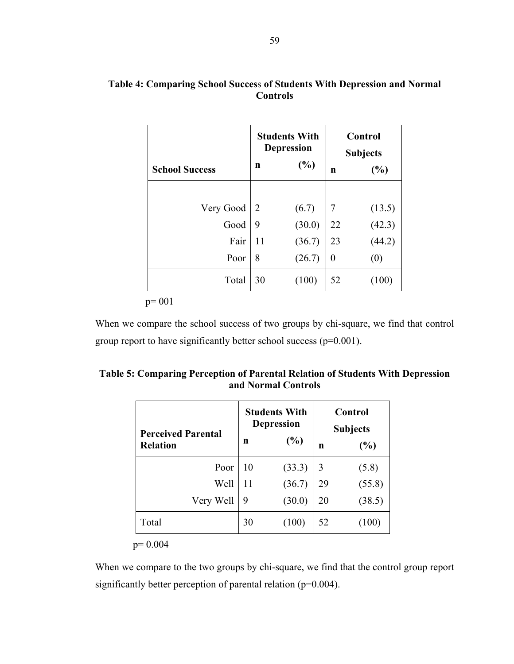# **Table 4: Comparing School Succes**s **of Students With Depression and Normal Controls**

|                       | <b>Students With</b><br><b>Depression</b> |          | Control<br><b>Subjects</b> |        |
|-----------------------|-------------------------------------------|----------|----------------------------|--------|
| <b>School Success</b> | n                                         | (%)<br>n |                            | (%)    |
|                       |                                           |          |                            |        |
| Very Good             | 2                                         | (6.7)    | $\overline{7}$             | (13.5) |
| Good                  | 9                                         | (30.0)   | 22                         | (42.3) |
| Fair                  | 11                                        | (36.7)   | 23                         | (44.2) |
| Poor                  | 8                                         | (26.7)   | $\boldsymbol{0}$           | (0)    |
| Total                 | 30                                        | (100)    | 52                         | (100)  |

p= 001

When we compare the school success of two groups by chi-square, we find that control group report to have significantly better school success (p=0.001).

| Table 5: Comparing Perception of Parental Relation of Students With Depression |  |
|--------------------------------------------------------------------------------|--|
| and Normal Controls                                                            |  |

| <b>Perceived Parental</b><br><b>Relation</b> | <b>Students With</b><br><b>Depression</b><br>$(\%)$<br>n |        | <b>Control</b><br><b>Subjects</b><br>(%)<br>n |         |
|----------------------------------------------|----------------------------------------------------------|--------|-----------------------------------------------|---------|
| Poor                                         | 10                                                       | (33.3) | 3                                             | (5.8)   |
| Well                                         | 11                                                       | (36.7) | 29                                            | (55.8)  |
| Very Well                                    | 9                                                        | (30.0) | 20                                            | (38.5)  |
| Total                                        | 30                                                       | (100)  | 52                                            | $100\,$ |

p= 0.004

When we compare to the two groups by chi-square, we find that the control group report significantly better perception of parental relation (p=0.004).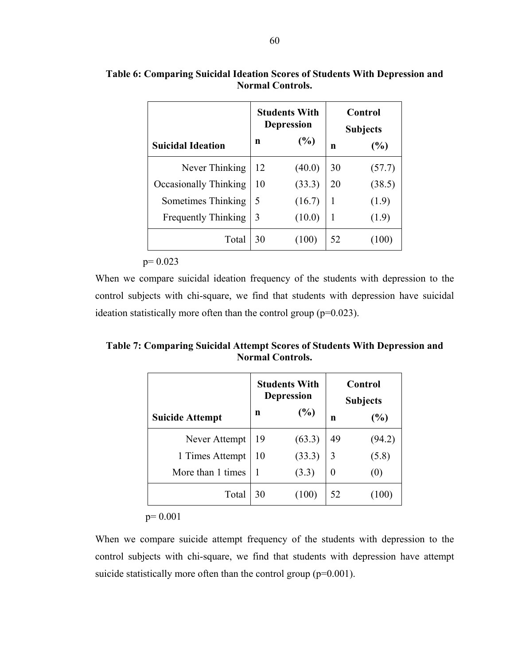| <b>Suicidal Ideation</b>   | n  | <b>Students With</b><br><b>Depression</b><br>(%) | Control<br><b>Subjects</b><br>(%)<br>n |        |
|----------------------------|----|--------------------------------------------------|----------------------------------------|--------|
| Never Thinking             | 12 | (40.0)                                           | 30                                     | (57.7) |
| Occasionally Thinking      | 10 | (33.3)                                           | 20                                     | (38.5) |
| Sometimes Thinking         | 5  | (16.7)                                           | 1                                      | (1.9)  |
| <b>Frequently Thinking</b> | 3  | (10.0)                                           | 1                                      | (1.9)  |
| Total                      | 30 | (100)                                            | 52                                     |        |

# **Table 6: Comparing Suicidal Ideation Scores of Students With Depression and Normal Controls.**

 $p= 0.023$ 

When we compare suicidal ideation frequency of the students with depression to the control subjects with chi-square, we find that students with depression have suicidal ideation statistically more often than the control group (p=0.023).

**Table 7: Comparing Suicidal Attempt Scores of Students With Depression and Normal Controls.** 

|                        | <b>Students With</b><br><b>Depression</b> |        | <b>Control</b><br><b>Subjects</b> |        |
|------------------------|-------------------------------------------|--------|-----------------------------------|--------|
| <b>Suicide Attempt</b> | n                                         | (%)    | n                                 | (%)    |
| Never Attempt          | 19                                        | (63.3) | 49                                | (94.2) |
| 1 Times Attempt        | 10                                        | (33.3) | 3                                 | (5.8)  |
| More than 1 times      |                                           | (3.3)  | $\theta$                          | (U)    |
| Total                  | 30                                        | (100)  | 52                                |        |

p= 0.001

When we compare suicide attempt frequency of the students with depression to the control subjects with chi-square, we find that students with depression have attempt suicide statistically more often than the control group ( $p=0.001$ ).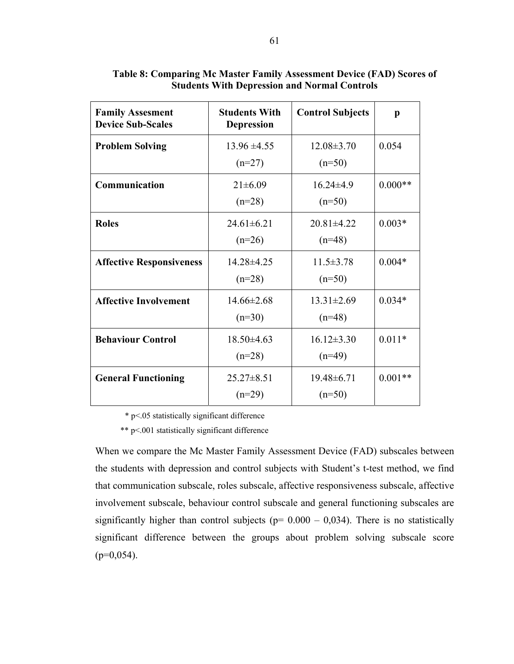| <b>Family Assesment</b><br><b>Device Sub-Scales</b> | <b>Students With</b><br><b>Depression</b> | <b>Control Subjects</b>      | p         |
|-----------------------------------------------------|-------------------------------------------|------------------------------|-----------|
| <b>Problem Solving</b>                              | $13.96 \pm 4.55$<br>$(n=27)$              | $12.08 \pm 3.70$<br>$(n=50)$ | 0.054     |
| Communication                                       | $21 \pm 6.09$<br>$(n=28)$                 | $16.24\pm4.9$<br>$(n=50)$    | $0.000**$ |
| <b>Roles</b>                                        | $24.61 \pm 6.21$<br>$(n=26)$              | $20.81 \pm 4.22$<br>$(n=48)$ | $0.003*$  |
| <b>Affective Responsiveness</b>                     | 14.28±4.25<br>$(n=28)$                    | $11.5 \pm 3.78$<br>$(n=50)$  | $0.004*$  |
| <b>Affective Involvement</b>                        | $14.66\pm2.68$<br>$(n=30)$                | $13.31 \pm 2.69$<br>$(n=48)$ | $0.034*$  |
| <b>Behaviour Control</b>                            | $18.50\pm4.63$<br>$(n=28)$                | $16.12 \pm 3.30$<br>$(n=49)$ | $0.011*$  |
| <b>General Functioning</b>                          | $25.27 \pm 8.51$<br>$(n=29)$              | $19.48 \pm 6.71$<br>$(n=50)$ | $0.001**$ |

# **Table 8: Comparing Mc Master Family Assessment Device (FAD) Scores of Students With Depression and Normal Controls**

\* p<.05 statistically significant difference

\*\* p<.001 statistically significant difference

When we compare the Mc Master Family Assessment Device (FAD) subscales between the students with depression and control subjects with Student's t-test method, we find that communication subscale, roles subscale, affective responsiveness subscale, affective involvement subscale, behaviour control subscale and general functioning subscales are significantly higher than control subjects ( $p= 0.000 - 0.034$ ). There is no statistically significant difference between the groups about problem solving subscale score  $(p=0.054)$ .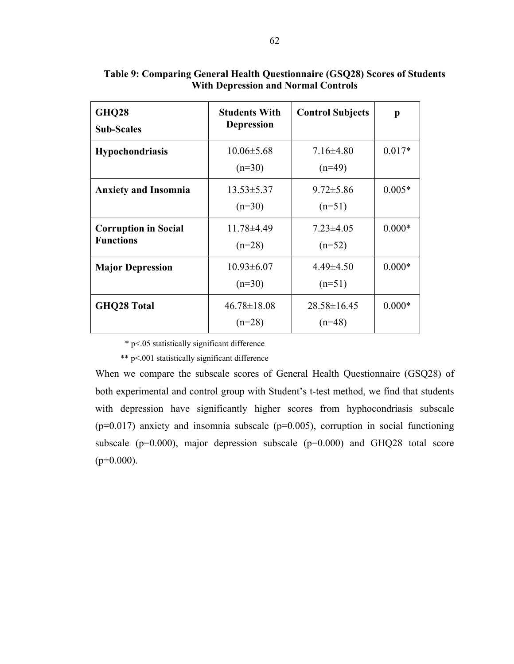| <b>GHQ28</b><br><b>Sub-Scales</b>               | <b>Students With</b><br><b>Depression</b> | <b>Control Subjects</b>       | p        |
|-------------------------------------------------|-------------------------------------------|-------------------------------|----------|
| <b>Hypochondriasis</b>                          | $10.06 \pm 5.68$<br>$(n=30)$              | $7.16\pm4.80$<br>$(n=49)$     | $0.017*$ |
| <b>Anxiety and Insomnia</b>                     | $13.53 \pm 5.37$<br>$(n=30)$              | $9.72 \pm 5.86$<br>$(n=51)$   | $0.005*$ |
| <b>Corruption in Social</b><br><b>Functions</b> | 11.78±4.49<br>$(n=28)$                    | $7.23 \pm 4.05$<br>$(n=52)$   | $0.000*$ |
| <b>Major Depression</b>                         | $10.93 \pm 6.07$<br>$(n=30)$              | $4.49\pm4.50$<br>$(n=51)$     | $0.000*$ |
| <b>GHQ28 Total</b>                              | $46.78 \pm 18.08$<br>$(n=28)$             | $28.58 \pm 16.45$<br>$(n=48)$ | $0.000*$ |

**Table 9: Comparing General Health Questionnaire (GSQ28) Scores of Students With Depression and Normal Controls** 

\* p<.05 statistically significant difference

\*\* p<.001 statistically significant difference

When we compare the subscale scores of General Health Questionnaire (GSQ28) of both experimental and control group with Student's t-test method, we find that students with depression have significantly higher scores from hyphocondriasis subscale  $(p=0.017)$  anxiety and insomnia subscale  $(p=0.005)$ , corruption in social functioning subscale ( $p=0.000$ ), major depression subscale ( $p=0.000$ ) and GHQ28 total score  $(p=0.000)$ .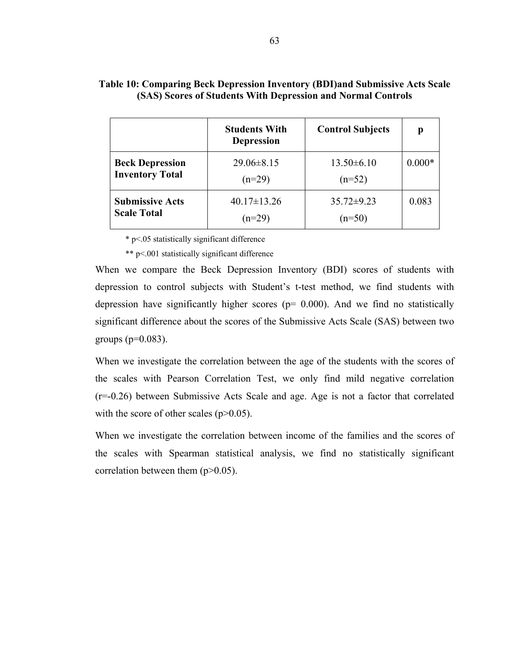|                        | <b>Students With</b><br><b>Depression</b> | <b>Control Subjects</b> | р        |
|------------------------|-------------------------------------------|-------------------------|----------|
| <b>Beck Depression</b> | $29.06 \pm 8.15$                          | $13.50\pm 6.10$         | $0.000*$ |
| <b>Inventory Total</b> | $(n=29)$                                  | $(n=52)$                |          |
| <b>Submissive Acts</b> | $40.17 \pm 13.26$                         | $35.72\pm9.23$          | 0.083    |
| <b>Scale Total</b>     | $(n=29)$                                  | $(n=50)$                |          |

# **Table 10: Comparing Beck Depression Inventory (BDI)and Submissive Acts Scale (SAS) Scores of Students With Depression and Normal Controls**

\* p<.05 statistically significant difference

\*\* p<.001 statistically significant difference

When we compare the Beck Depression Inventory (BDI) scores of students with depression to control subjects with Student's t-test method, we find students with depression have significantly higher scores ( $p= 0.000$ ). And we find no statistically significant difference about the scores of the Submissive Acts Scale (SAS) between two groups ( $p=0.083$ ).

When we investigate the correlation between the age of the students with the scores of the scales with Pearson Correlation Test, we only find mild negative correlation (r=-0.26) between Submissive Acts Scale and age. Age is not a factor that correlated with the score of other scales  $(p>0.05)$ .

When we investigate the correlation between income of the families and the scores of the scales with Spearman statistical analysis, we find no statistically significant correlation between them (p>0.05).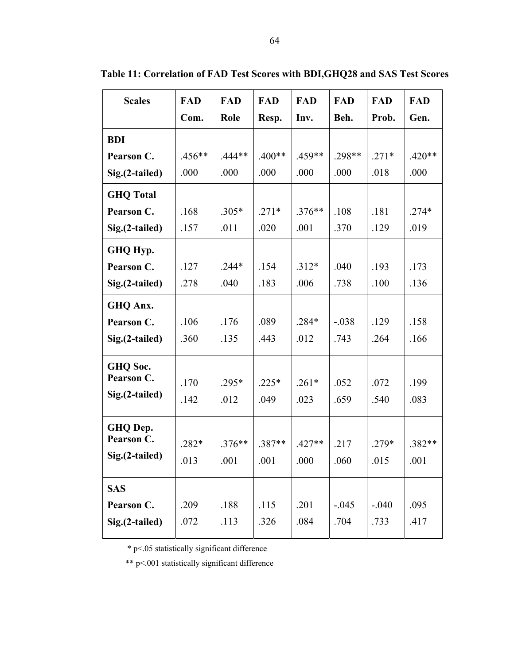| <b>Scales</b>    | <b>FAD</b> | <b>FAD</b> | <b>FAD</b> | <b>FAD</b> | <b>FAD</b> | <b>FAD</b> | <b>FAD</b> |
|------------------|------------|------------|------------|------------|------------|------------|------------|
|                  | Com.       | Role       | Resp.      | Inv.       | Beh.       | Prob.      | Gen.       |
| <b>BDI</b>       |            |            |            |            |            |            |            |
| Pearson C.       | .456**     | $.444**$   | $.400**$   | $.459**$   | $.298**$   | $.271*$    | $.420**$   |
| Sig.(2-tailed)   | .000       | .000       | .000       | .000       | .000       | .018       | .000       |
| <b>GHO</b> Total |            |            |            |            |            |            |            |
| Pearson C.       | .168       | $.305*$    | $.271*$    | $.376**$   | .108       | .181       | $.274*$    |
| Sig.(2-tailed)   | .157       | .011       | .020       | .001       | .370       | .129       | .019       |
| GHQ Hyp.         |            |            |            |            |            |            |            |
| Pearson C.       | .127       | $.244*$    | .154       | $.312*$    | .040       | .193       | .173       |
| Sig.(2-tailed)   | .278       | .040       | .183       | .006       | .738       | .100       | .136       |
| GHQ Anx.         |            |            |            |            |            |            |            |
| Pearson C.       | .106       | .176       | .089       | $.284*$    | $-.038$    | .129       | .158       |
| Sig.(2-tailed)   | .360       | .135       | .443       | .012       | .743       | .264       | .166       |
| GHQ Soc.         |            |            |            |            |            |            |            |
| Pearson C.       | .170       | $.295*$    | $.225*$    | $.261*$    | .052       | .072       | .199       |
| Sig.(2-tailed)   | .142       | .012       | .049       | .023       | .659       | .540       | .083       |
| GHQ Dep.         |            |            |            |            |            |            |            |
| Pearson C.       | $.282*$    | $.376**$   | $.387**$   | $.427**$   | .217       | $.279*$    | .382**     |
| Sig.(2-tailed)   | .013       | .001       | .001       | .000       | .060       | .015       | .001       |
| <b>SAS</b>       |            |            |            |            |            |            |            |
| Pearson C.       | .209       | .188       | .115       | .201       | $-.045$    | $-.040$    | .095       |
| Sig.(2-tailed)   | .072       | .113       | .326       | .084       | .704       | .733       | .417       |

**Table 11: Correlation of FAD Test Scores with BDI,GHQ28 and SAS Test Scores** 

\* p<.05 statistically significant difference

\*\* p<.001 statistically significant difference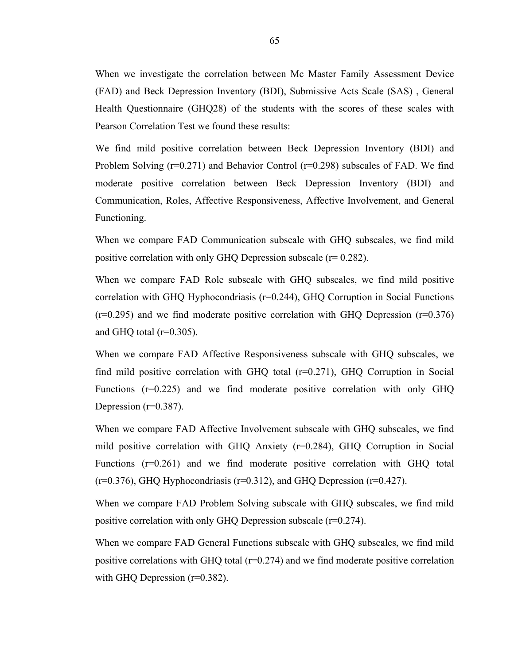When we investigate the correlation between Mc Master Family Assessment Device (FAD) and Beck Depression Inventory (BDI), Submissive Acts Scale (SAS) , General Health Questionnaire (GHQ28) of the students with the scores of these scales with Pearson Correlation Test we found these results:

We find mild positive correlation between Beck Depression Inventory (BDI) and Problem Solving  $(r=0.271)$  and Behavior Control  $(r=0.298)$  subscales of FAD. We find moderate positive correlation between Beck Depression Inventory (BDI) and Communication, Roles, Affective Responsiveness, Affective Involvement, and General Functioning.

When we compare FAD Communication subscale with GHQ subscales, we find mild positive correlation with only GHQ Depression subscale  $(r= 0.282)$ .

When we compare FAD Role subscale with GHQ subscales, we find mild positive correlation with GHQ Hyphocondriasis (r=0.244), GHQ Corruption in Social Functions  $(r=0.295)$  and we find moderate positive correlation with GHQ Depression  $(r=0.376)$ and GHQ total  $(r=0.305)$ .

When we compare FAD Affective Responsiveness subscale with GHQ subscales, we find mild positive correlation with GHQ total  $(r=0.271)$ , GHQ Corruption in Social Functions  $(r=0.225)$  and we find moderate positive correlation with only GHQ Depression  $(r=0.387)$ .

When we compare FAD Affective Involvement subscale with GHQ subscales, we find mild positive correlation with GHQ Anxiety (r=0.284), GHQ Corruption in Social Functions (r=0.261) and we find moderate positive correlation with GHQ total  $(r=0.376)$ , GHQ Hyphocondriasis  $(r=0.312)$ , and GHQ Depression  $(r=0.427)$ .

When we compare FAD Problem Solving subscale with GHQ subscales, we find mild positive correlation with only GHQ Depression subscale (r=0.274).

When we compare FAD General Functions subscale with GHQ subscales, we find mild positive correlations with GHQ total (r=0.274) and we find moderate positive correlation with GHQ Depression (r=0.382).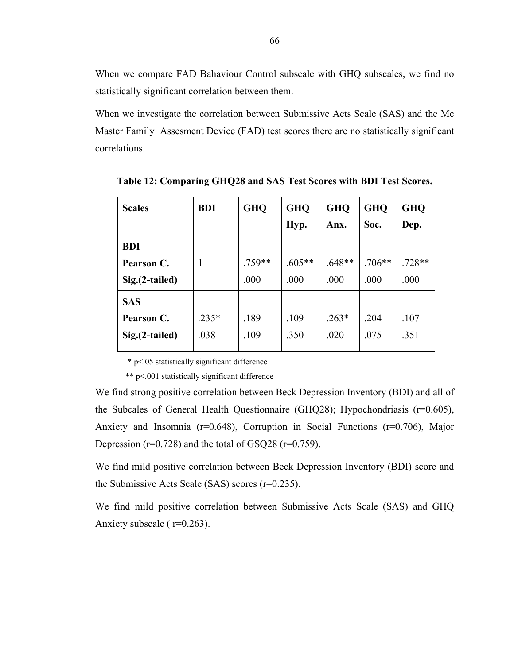When we compare FAD Bahaviour Control subscale with GHQ subscales, we find no statistically significant correlation between them.

When we investigate the correlation between Submissive Acts Scale (SAS) and the Mc Master Family Assesment Device (FAD) test scores there are no statistically significant correlations.

| <b>Scales</b>   | <b>BDI</b> | <b>GHQ</b> | <b>GHQ</b> | <b>GHQ</b> | <b>GHQ</b> | <b>GHQ</b> |
|-----------------|------------|------------|------------|------------|------------|------------|
|                 |            |            | Hyp.       | Anx.       | Soc.       | Dep.       |
| <b>BDI</b>      |            |            |            |            |            |            |
| Pearson C.      | 1          | .759**     | $.605**$   | $.648**$   | $.706**$   | $.728**$   |
| Sig.(2-tailed)  |            | .000       | .000       | .000       | .000       | .000       |
| <b>SAS</b>      |            |            |            |            |            |            |
| Pearson C.      | $.235*$    | .189       | .109       | $.263*$    | .204       | .107       |
| Sig. (2-tailed) | .038       | .109       | .350       | .020       | .075       | .351       |
|                 |            |            |            |            |            |            |

**Table 12: Comparing GHQ28 and SAS Test Scores with BDI Test Scores.** 

\* p<.05 statistically significant difference

\*\* p<.001 statistically significant difference

We find strong positive correlation between Beck Depression Inventory (BDI) and all of the Subcales of General Health Questionnaire (GHQ28); Hypochondriasis (r=0.605), Anxiety and Insomnia (r=0.648), Corruption in Social Functions (r=0.706), Major Depression ( $r=0.728$ ) and the total of GSQ28 ( $r=0.759$ ).

We find mild positive correlation between Beck Depression Inventory (BDI) score and the Submissive Acts Scale (SAS) scores (r=0.235).

We find mild positive correlation between Submissive Acts Scale (SAS) and GHQ Anxiety subscale ( r=0.263).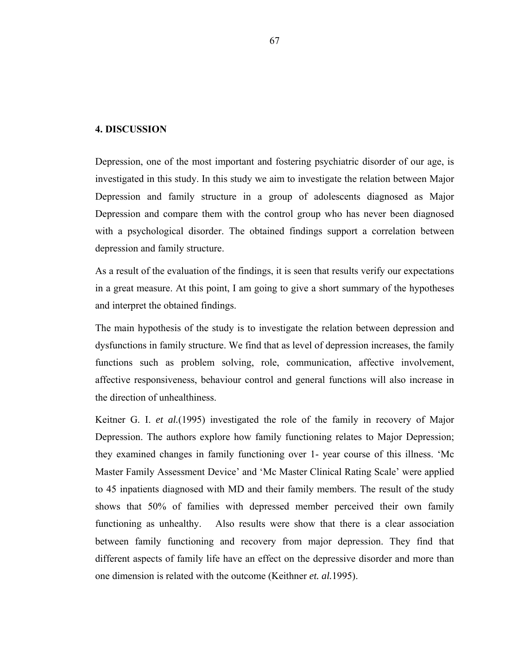### **4. DISCUSSION**

Depression, one of the most important and fostering psychiatric disorder of our age, is investigated in this study. In this study we aim to investigate the relation between Major Depression and family structure in a group of adolescents diagnosed as Major Depression and compare them with the control group who has never been diagnosed with a psychological disorder. The obtained findings support a correlation between depression and family structure.

As a result of the evaluation of the findings, it is seen that results verify our expectations in a great measure. At this point, I am going to give a short summary of the hypotheses and interpret the obtained findings.

The main hypothesis of the study is to investigate the relation between depression and dysfunctions in family structure. We find that as level of depression increases, the family functions such as problem solving, role, communication, affective involvement, affective responsiveness, behaviour control and general functions will also increase in the direction of unhealthiness.

Keitner G. I. *et al.*(1995) investigated the role of the family in recovery of Major Depression. The authors explore how family functioning relates to Major Depression; they examined changes in family functioning over 1- year course of this illness. 'Mc Master Family Assessment Device' and 'Mc Master Clinical Rating Scale' were applied to 45 inpatients diagnosed with MD and their family members. The result of the study shows that 50% of families with depressed member perceived their own family functioning as unhealthy. Also results were show that there is a clear association between family functioning and recovery from major depression. They find that different aspects of family life have an effect on the depressive disorder and more than one dimension is related with the outcome (Keithner *et. al.*1995).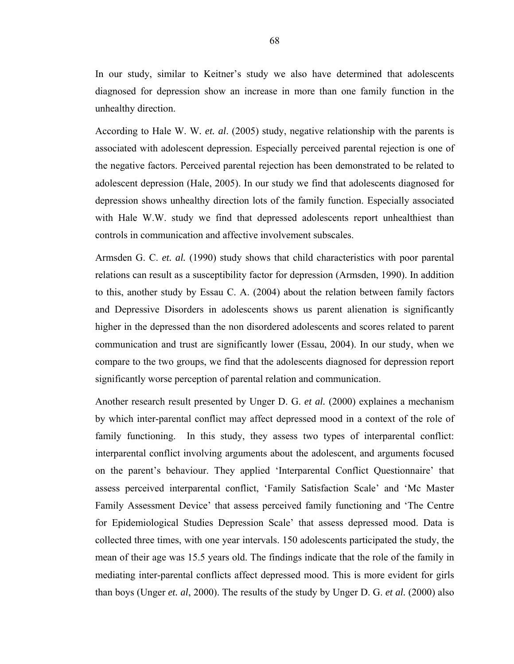In our study, similar to Keitner's study we also have determined that adolescents diagnosed for depression show an increase in more than one family function in the unhealthy direction.

According to Hale W. W*. et. al*. (2005) study, negative relationship with the parents is associated with adolescent depression. Especially perceived parental rejection is one of the negative factors. Perceived parental rejection has been demonstrated to be related to adolescent depression (Hale, 2005). In our study we find that adolescents diagnosed for depression shows unhealthy direction lots of the family function. Especially associated with Hale W.W. study we find that depressed adolescents report unhealthiest than controls in communication and affective involvement subscales.

Armsden G. C. *et. al.* (1990) study shows that child characteristics with poor parental relations can result as a susceptibility factor for depression (Armsden, 1990). In addition to this, another study by Essau C. A. (2004) about the relation between family factors and Depressive Disorders in adolescents shows us parent alienation is significantly higher in the depressed than the non disordered adolescents and scores related to parent communication and trust are significantly lower (Essau, 2004). In our study, when we compare to the two groups, we find that the adolescents diagnosed for depression report significantly worse perception of parental relation and communication.

Another research result presented by Unger D. G. *et al.* (2000) explaines a mechanism by which inter-parental conflict may affect depressed mood in a context of the role of family functioning. In this study, they assess two types of interparental conflict: interparental conflict involving arguments about the adolescent, and arguments focused on the parent's behaviour. They applied 'Interparental Conflict Questionnaire' that assess perceived interparental conflict, 'Family Satisfaction Scale' and 'Mc Master Family Assessment Device' that assess perceived family functioning and 'The Centre for Epidemiological Studies Depression Scale' that assess depressed mood. Data is collected three times, with one year intervals. 150 adolescents participated the study, the mean of their age was 15.5 years old. The findings indicate that the role of the family in mediating inter-parental conflicts affect depressed mood. This is more evident for girls than boys (Unger *et. al*, 2000). The results of the study by Unger D. G. *et al.* (2000) also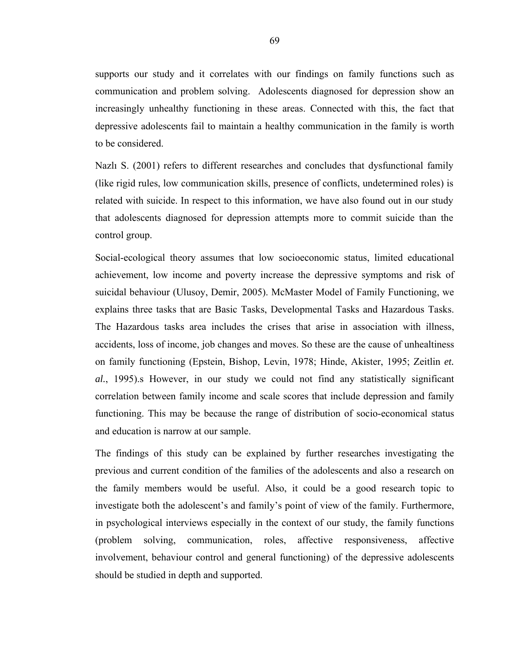supports our study and it correlates with our findings on family functions such as communication and problem solving. Adolescents diagnosed for depression show an increasingly unhealthy functioning in these areas. Connected with this, the fact that depressive adolescents fail to maintain a healthy communication in the family is worth to be considered.

Nazlı S. (2001) refers to different researches and concludes that dysfunctional family (like rigid rules, low communication skills, presence of conflicts, undetermined roles) is related with suicide. In respect to this information, we have also found out in our study that adolescents diagnosed for depression attempts more to commit suicide than the control group.

Social-ecological theory assumes that low socioeconomic status, limited educational achievement, low income and poverty increase the depressive symptoms and risk of suicidal behaviour (Ulusoy, Demir, 2005). McMaster Model of Family Functioning, we explains three tasks that are Basic Tasks, Developmental Tasks and Hazardous Tasks. The Hazardous tasks area includes the crises that arise in association with illness, accidents, loss of income, job changes and moves. So these are the cause of unhealtiness on family functioning (Epstein, Bishop, Levin, 1978; Hinde, Akister, 1995; Zeitlin *et. al.*, 1995).s However, in our study we could not find any statistically significant correlation between family income and scale scores that include depression and family functioning. This may be because the range of distribution of socio-economical status and education is narrow at our sample.

The findings of this study can be explained by further researches investigating the previous and current condition of the families of the adolescents and also a research on the family members would be useful. Also, it could be a good research topic to investigate both the adolescent's and family's point of view of the family. Furthermore, in psychological interviews especially in the context of our study, the family functions (problem solving, communication, roles, affective responsiveness, affective involvement, behaviour control and general functioning) of the depressive adolescents should be studied in depth and supported.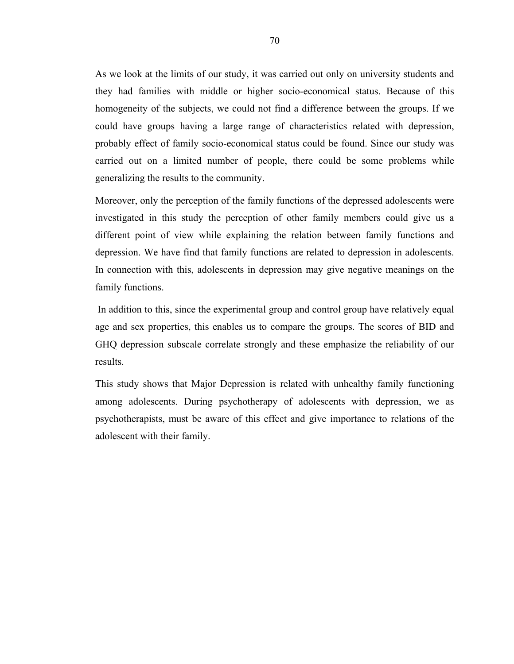As we look at the limits of our study, it was carried out only on university students and they had families with middle or higher socio-economical status. Because of this homogeneity of the subjects, we could not find a difference between the groups. If we could have groups having a large range of characteristics related with depression, probably effect of family socio-economical status could be found. Since our study was carried out on a limited number of people, there could be some problems while generalizing the results to the community.

Moreover, only the perception of the family functions of the depressed adolescents were investigated in this study the perception of other family members could give us a different point of view while explaining the relation between family functions and depression. We have find that family functions are related to depression in adolescents. In connection with this, adolescents in depression may give negative meanings on the family functions.

 In addition to this, since the experimental group and control group have relatively equal age and sex properties, this enables us to compare the groups. The scores of BID and GHQ depression subscale correlate strongly and these emphasize the reliability of our results.

This study shows that Major Depression is related with unhealthy family functioning among adolescents. During psychotherapy of adolescents with depression, we as psychotherapists, must be aware of this effect and give importance to relations of the adolescent with their family.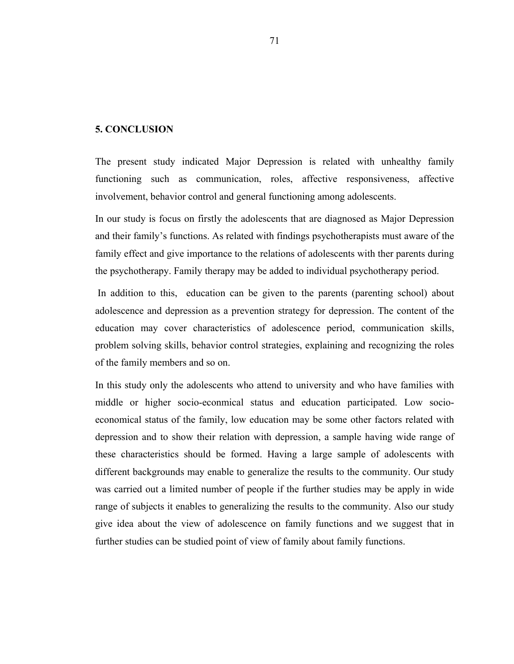### **5. CONCLUSION**

The present study indicated Major Depression is related with unhealthy family functioning such as communication, roles, affective responsiveness, affective involvement, behavior control and general functioning among adolescents.

In our study is focus on firstly the adolescents that are diagnosed as Major Depression and their family's functions. As related with findings psychotherapists must aware of the family effect and give importance to the relations of adolescents with ther parents during the psychotherapy. Family therapy may be added to individual psychotherapy period.

 In addition to this, education can be given to the parents (parenting school) about adolescence and depression as a prevention strategy for depression. The content of the education may cover characteristics of adolescence period, communication skills, problem solving skills, behavior control strategies, explaining and recognizing the roles of the family members and so on.

In this study only the adolescents who attend to university and who have families with middle or higher socio-econmical status and education participated. Low socioeconomical status of the family, low education may be some other factors related with depression and to show their relation with depression, a sample having wide range of these characteristics should be formed. Having a large sample of adolescents with different backgrounds may enable to generalize the results to the community. Our study was carried out a limited number of people if the further studies may be apply in wide range of subjects it enables to generalizing the results to the community. Also our study give idea about the view of adolescence on family functions and we suggest that in further studies can be studied point of view of family about family functions.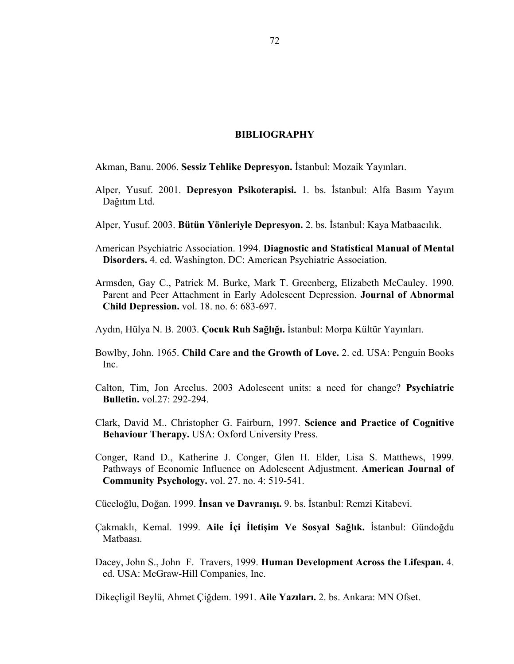#### **BIBLIOGRAPHY**

Akman, Banu. 2006. **Sessiz Tehlike Depresyon.** İstanbul: Mozaik Yayınları.

- Alper, Yusuf. 2001. **Depresyon Psikoterapisi.** 1. bs. İstanbul: Alfa Basım Yayım Dağıtım Ltd.
- Alper, Yusuf. 2003. **Bütün Yönleriyle Depresyon.** 2. bs. İstanbul: Kaya Matbaacılık.
- American Psychiatric Association. 1994. **Diagnostic and Statistical Manual of Mental Disorders.** 4. ed. Washington. DC: American Psychiatric Association.
- Armsden, Gay C., Patrick M. Burke, Mark T. Greenberg, Elizabeth McCauley. 1990. Parent and Peer Attachment in Early Adolescent Depression. **Journal of Abnormal Child Depression.** vol. 18. no. 6: 683-697.
- Aydın, Hülya N. B. 2003. **Çocuk Ruh Sağlığı.** İstanbul: Morpa Kültür Yayınları.
- Bowlby, John. 1965. **Child Care and the Growth of Love.** 2. ed. USA: Penguin Books Inc.
- Calton, Tim, Jon Arcelus. 2003 Adolescent units: a need for change? **Psychiatric Bulletin.** vol.27: 292-294.
- Clark, David M., Christopher G. Fairburn, 1997. **Science and Practice of Cognitive Behaviour Therapy.** USA: Oxford University Press.
- Conger, Rand D., Katherine J. Conger, Glen H. Elder, Lisa S. Matthews, 1999. Pathways of Economic Influence on Adolescent Adjustment. **American Journal of Community Psychology.** vol. 27. no. 4: 519-541.

Cüceloğlu, Doğan. 1999. **İnsan ve Davranışı.** 9. bs. İstanbul: Remzi Kitabevi.

- Çakmaklı, Kemal. 1999. **Aile İçi İletişim Ve Sosyal Sağlık.** İstanbul: Gündoğdu Matbaası.
- Dacey, John S., John F. Travers, 1999. **Human Development Across the Lifespan.** 4. ed. USA: McGraw-Hill Companies, Inc.

Dikeçligil Beylü, Ahmet Çiğdem. 1991. **Aile Yazıları.** 2. bs. Ankara: MN Ofset.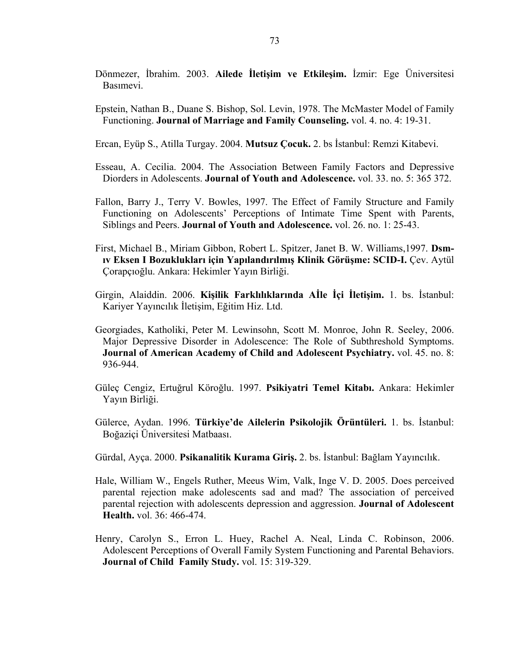- Dönmezer, İbrahim. 2003. **Ailede İletişim ve Etkileşim.** İzmir: Ege Üniversitesi Basımevi.
- Epstein, Nathan B., Duane S. Bishop, Sol. Levin, 1978. The McMaster Model of Family Functioning. **Journal of Marriage and Family Counseling.** vol. 4. no. 4: 19-31.
- Ercan, Eyüp S., Atilla Turgay. 2004. **Mutsuz Çocuk.** 2. bs İstanbul: Remzi Kitabevi.
- Esseau, A. Cecilia. 2004. The Association Between Family Factors and Depressive Diorders in Adolescents. **Journal of Youth and Adolescence.** vol. 33. no. 5: 365 372.
- Fallon, Barry J., Terry V. Bowles, 1997. The Effect of Family Structure and Family Functioning on Adolescents' Perceptions of Intimate Time Spent with Parents, Siblings and Peers. **Journal of Youth and Adolescence.** vol. 26. no. 1: 25-43.
- First, Michael B., Miriam Gibbon, Robert L. Spitzer, Janet B. W. Williams,1997. **Dsmıv Eksen I Bozuklukları için Yapılandırılmış Klinik Görüşme: SCID-I.** Çev. Aytül Çorapçıoğlu. Ankara: Hekimler Yayın Birliği.
- Girgin, Alaiddin. 2006. **Kişilik Farklılıklarında Aİle İçi İletişim.** 1. bs. İstanbul: Kariyer Yayıncılık İletişim, Eğitim Hiz. Ltd.
- Georgiades, Katholiki, Peter M. Lewinsohn, Scott M. Monroe, John R. Seeley, 2006. Major Depressive Disorder in Adolescence: The Role of Subthreshold Symptoms. **Journal of American Academy of Child and Adolescent Psychiatry.** vol. 45. no. 8: 936-944.
- Güleç Cengiz, Ertuğrul Köroğlu. 1997. **Psikiyatri Temel Kitabı.** Ankara: Hekimler Yayın Birliği.
- Gülerce, Aydan. 1996. **Türkiye'de Ailelerin Psikolojik Örüntüleri.** 1. bs. İstanbul: Boğaziçi Üniversitesi Matbaası.
- Gürdal, Ayça. 2000. **Psikanalitik Kurama Giriş.** 2. bs. İstanbul: Bağlam Yayıncılık.
- Hale, William W., Engels Ruther, Meeus Wim, Valk, Inge V. D. 2005. Does perceived parental rejection make adolescents sad and mad? The association of perceived parental rejection with adolescents depression and aggression. **Journal of Adolescent Health.** vol. 36: 466-474.
- Henry, Carolyn S., Erron L. Huey, Rachel A. Neal, Linda C. Robinson, 2006. Adolescent Perceptions of Overall Family System Functioning and Parental Behaviors. **Journal of Child Family Study.** vol. 15: 319-329.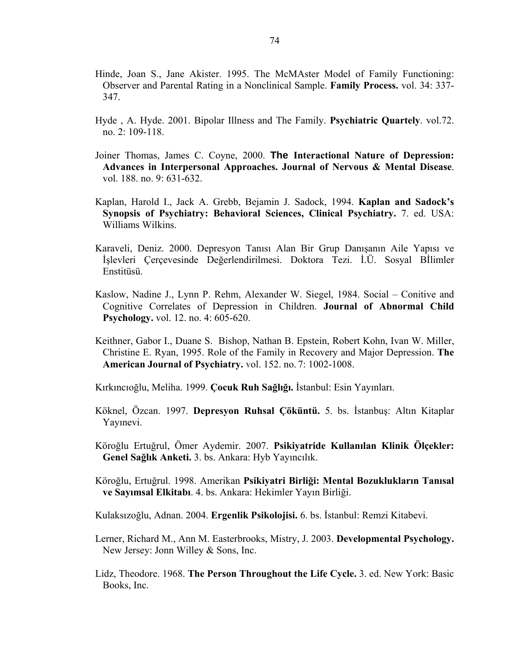- Hinde, Joan S., Jane Akister. 1995. The McMAster Model of Family Functioning: Observer and Parental Rating in a Nonclinical Sample. **Family Process.** vol. 34: 337- 347.
- Hyde , A. Hyde. 2001. Bipolar Illness and The Family. **Psychiatric Quartely**. vol.72. no. 2: 109-118.
- Joiner Thomas, James C. Coyne, 2000. **The Interactional Nature of Depression: Advances in Interpersonal Approaches. Journal of Nervous & Mental Disease**. vol. 188. no. 9: 631-632.
- Kaplan, Harold I., Jack A. Grebb, Bejamin J. Sadock, 1994. **Kaplan and Sadock's Synopsis of Psychiatry: Behavioral Sciences, Clinical Psychiatry.** 7. ed. USA: Williams Wilkins.
- Karaveli, Deniz. 2000. Depresyon Tanısı Alan Bir Grup Danışanın Aile Yapısı ve İşlevleri Çerçevesinde Değerlendirilmesi. Doktora Tezi. İ.Ü. Sosyal Bİlimler Enstitüsü.
- Kaslow, Nadine J., Lynn P. Rehm, Alexander W. Siegel, 1984. Social Conitive and Cognitive Correlates of Depression in Children. **Journal of Abnormal Child Psychology.** vol. 12. no. 4: 605-620.
- Keithner, Gabor I., Duane S. Bishop, Nathan B. Epstein, Robert Kohn, Ivan W. Miller, Christine E. Ryan, 1995. Role of the Family in Recovery and Major Depression. **The American Journal of Psychiatry. v**ol. 152. no. 7: 1002-1008.

Kırkıncıoğlu, Meliha. 1999. **Çocuk Ruh Sağlığı.** İstanbul: Esin Yayınları.

- Köknel, Özcan. 1997. **Depresyon Ruhsal Çöküntü.** 5. bs. İstanbuş: Altın Kitaplar Yayınevi.
- Köroğlu Ertuğrul, Ömer Aydemir. 2007. **Psikiyatride Kullanılan Klinik Ölçekler: Genel Sağlık Anketi.** 3. bs. Ankara: Hyb Yayıncılık.
- Köroğlu, Ertuğrul. 1998. Amerikan **Psikiyatri Birliği: Mental Bozuklukların Tanısal ve Sayımsal Elkitabı**. 4. bs. Ankara: Hekimler Yayın Birliği.

Kulaksızoğlu, Adnan. 2004. **Ergenlik Psikolojisi.** 6. bs. İstanbul: Remzi Kitabevi.

- Lerner, Richard M., Ann M. Easterbrooks, Mistry, J. 2003. **Developmental Psychology.**  New Jersey: Jonn Willey & Sons, Inc.
- Lidz, Theodore. 1968. **The Person Throughout the Life Cycle.** 3. ed. New York: Basic Books, Inc.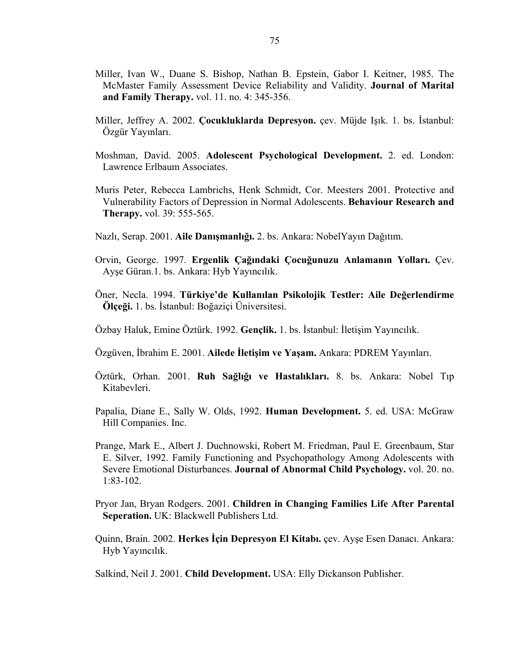- Miller, Ivan W., Duane S. Bishop, Nathan B. Epstein, Gabor I. Keitner, 1985. The McMaster Family Assessment Device Reliability and Validity. **Journal of Marital and Family Therapy.** vol. 11. no. 4: 345-356.
- Miller, Jeffrey A. 2002. **Çocukluklarda Depresyon.** çev. Müjde Işık. 1. bs. İstanbul: Özgür Yayınları.
- Moshman, David. 2005. **Adolescent Psychological Development.** 2. ed. London: Lawrence Erlbaum Associates.
- Muris Peter, Rebecca Lambrichs, Henk Schmidt, Cor. Meesters 2001. Protective and Vulnerability Factors of Depression in Normal Adolescents. **Behaviour Research and Therapy.** vol. 39: 555-565.
- Nazlı, Serap. 2001. **Aile Danışmanlığı.** 2. bs. Ankara: NobelYayın Dağıtım.
- Orvin, George. 1997. **Ergenlik Çağındaki Çocuğunuzu Anlamanın Yolları.** Çev. Ayşe Güran.1. bs. Ankara: Hyb Yayıncılık.
- Öner, Necla. 1994. **Türkiye'de Kullanılan Psikolojik Testler: Aile Değerlendirme Ölçeği.** 1. bs. İstanbul: Boğaziçi Üniversitesi.

Özbay Haluk, Emine Öztürk. 1992. **Gençlik.** 1. bs. İstanbul: İletişim Yayıncılık.

- Özgüven, İbrahim E. 2001. **Ailede İletişim ve Yaşam.** Ankara: PDREM Yayınları.
- Öztürk, Orhan. 2001. **Ruh Sağlığı ve Hastalıkları.** 8. bs. Ankara: Nobel Tıp Kitabevleri.
- Papalia, Diane E., Sally W. Olds, 1992. **Human Development.** 5. ed. USA: McGraw Hill Companies. Inc.
- Prange, Mark E., Albert J. Duchnowski, Robert M. Friedman, Paul E. Greenbaum, Star E. Silver, 1992. Family Functioning and Psychopathology Among Adolescents with Severe Emotional Disturbances. **Journal of Abnormal Child Psychology.** vol. 20. no. 1:83-102.
- Pryor Jan, Bryan Rodgers. 2001. **Children in Changing Families Life After Parental Seperation.** UK: Blackwell Publishers Ltd.
- Quinn, Brain. 2002. **Herkes İçin Depresyon El Kitabı.** çev. Ayşe Esen Danacı. Ankara: Hyb Yayıncılık.

Salkind, Neil J. 2001. **Child Development.** USA: Elly Dickanson Publisher.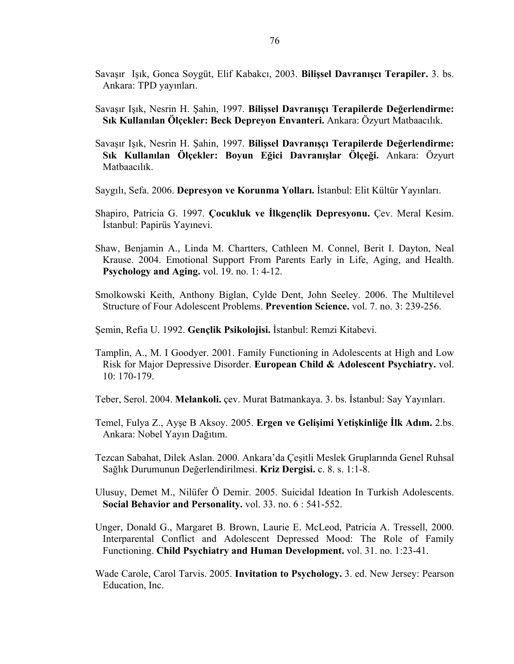- Savaşır Işık, Gonca Soygüt, Elif Kabakcı, 2003. **Bilişsel Davranışcı Terapiler.** 3. bs. Ankara: TPD yayınları.
- Savaşır Işık, Nesrin H. Şahin, 1997. **Bilişsel Davranışçı Terapilerde Değerlendirme: Sık Kullanılan Ölçekler: Beck Depreyon Envanteri.** Ankara: Özyurt Matbaacılık.
- Savaşır Işık, Nesrin H. Şahin, 1997. **Bilişsel Davranışçı Terapilerde Değerlendirme: Sık Kullanılan Ölçekler: Boyun Eğici Davranışlar Ölçeği.** Ankara: Özyurt Matbaacılık.
- Saygılı, Sefa. 2006. **Depresyon ve Korunma Yolları.** İstanbul: Elit Kültür Yayınları.
- Shapiro, Patricia G. 1997. **Çocukluk ve İlkgençlik Depresyonu.** Çev. Meral Kesim. İstanbul: Papirüs Yayınevi.
- Shaw, Benjamin A., Linda M. Chartters, Cathleen M. Connel, Berit I. Dayton, Neal Krause. 2004. Emotional Support From Parents Early in Life, Aging, and Health. **Psychology and Aging.** vol. 19. no. 1: 4-12.
- Smolkowski Keith, Anthony Biglan, Cylde Dent, John Seeley. 2006. The Multilevel Structure of Four Adolescent Problems. **Prevention Science.** vol. 7. no. 3: 239-256.
- Şemin, Refia U. 1992. **Gençlik Psikolojisi.** İstanbul: Remzi Kitabevi.
- Tamplin, A., M. I Goodyer. 2001. Family Functioning in Adolescents at High and Low Risk for Major Depressive Disorder. **European Child & Adolescent Psychiatry.** vol. 10: 170-179.
- Teber, Serol. 2004. **Melankoli.** çev. Murat Batmankaya. 3. bs. İstanbul: Say Yayınları.
- Temel, Fulya Z., Ayşe B Aksoy. 2005. **Ergen ve Gelişimi Yetişkinliğe İlk Adım.** 2.bs. Ankara: Nobel Yayın Dağıtım.
- Tezcan Sabahat, Dilek Aslan. 2000. Ankara'da Çeşitli Meslek Gruplarında Genel Ruhsal Sağlık Durumunun Değerlendirilmesi. **Kriz Dergisi.** c. 8. s. 1:1-8.
- Ulusuy, Demet M., Nilüfer Ö Demir. 2005. Suicidal Ideation In Turkish Adolescents. **Social Behavior and Personality.** vol. 33. no. 6 : 541-552.
- Unger, Donald G., Margaret B. Brown, Laurie E. McLeod, Patricia A. Tressell, 2000. Interparental Conflict and Adolescent Depressed Mood: The Role of Family Functioning. **Child Psychiatry and Human Development.** vol. 31. no. 1:23-41.
- Wade Carole, Carol Tarvis. 2005. **Invitation to Psychology.** 3. ed. New Jersey: Pearson Education, Inc.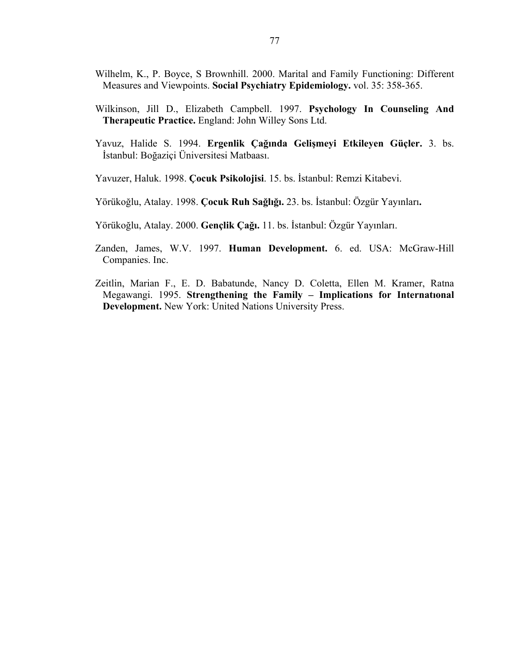- Wilhelm, K., P. Boyce, S Brownhill. 2000. Marital and Family Functioning: Different Measures and Viewpoints. **Social Psychiatry Epidemiology.** vol. 35: 358-365.
- Wilkinson, Jill D., Elizabeth Campbell. 1997. **Psychology In Counseling And Therapeutic Practice.** England: John Willey Sons Ltd.
- Yavuz, Halide S. 1994. **Ergenlik Çağında Gelişmeyi Etkileyen Güçler.** 3. bs. İstanbul: Boğaziçi Üniversitesi Matbaası.
- Yavuzer, Haluk. 1998. **Çocuk Psikolojisi**. 15. bs. İstanbul: Remzi Kitabevi.
- Yörükoğlu, Atalay. 1998. **Çocuk Ruh Sağlığı.** 23. bs. İstanbul: Özgür Yayınları**.**
- Yörükoğlu, Atalay. 2000. **Gençlik Çağı.** 11. bs. İstanbul: Özgür Yayınları.
- Zanden, James, W.V. 1997. **Human Development.** 6. ed. USA: McGraw-Hill Companies. Inc.
- Zeitlin, Marian F., E. D. Babatunde, Nancy D. Coletta, Ellen M. Kramer, Ratna Megawangi. 1995. **Strengthening the Family – Implications for Internatıonal Development.** New York: United Nations University Press.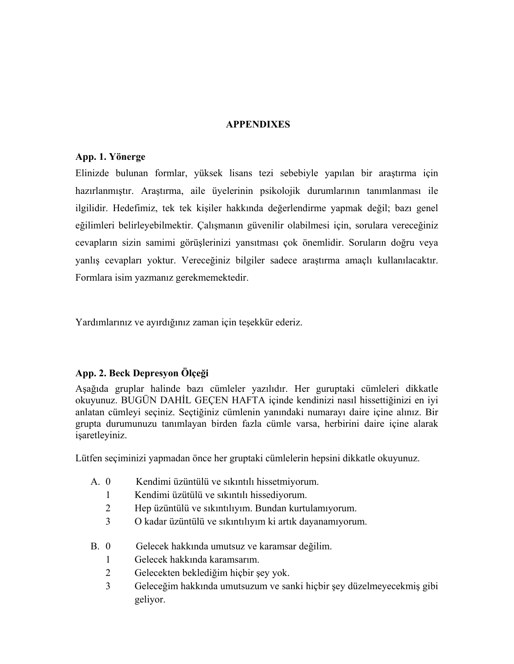## **APPENDIXES**

## **App. 1. Yönerge**

Elinizde bulunan formlar, yüksek lisans tezi sebebiyle yapılan bir araştırma için hazırlanmıştır. Araştırma, aile üyelerinin psikolojik durumlarının tanımlanması ile ilgilidir. Hedefimiz, tek tek kişiler hakkında değerlendirme yapmak değil; bazı genel eğilimleri belirleyebilmektir. Çalışmanın güvenilir olabilmesi için, sorulara vereceğiniz cevapların sizin samimi görüşlerinizi yansıtması çok önemlidir. Soruların doğru veya yanlış cevapları yoktur. Vereceğiniz bilgiler sadece araştırma amaçlı kullanılacaktır. Formlara isim yazmanız gerekmemektedir.

Yardımlarınız ve ayırdığınız zaman için teşekkür ederiz.

# **App. 2. Beck Depresyon Ölçeği**

Aşağıda gruplar halinde bazı cümleler yazılıdır. Her guruptaki cümleleri dikkatle okuyunuz. BUGÜN DAHİL GEÇEN HAFTA içinde kendinizi nasıl hissettiğinizi en iyi anlatan cümleyi seçiniz. Seçtiğiniz cümlenin yanındaki numarayı daire içine alınız. Bir grupta durumunuzu tanımlayan birden fazla cümle varsa, herbirini daire içine alarak işaretleyiniz.

Lütfen seçiminizi yapmadan önce her gruptaki cümlelerin hepsini dikkatle okuyunuz.

- A. 0 Kendimi üzüntülü ve sıkıntılı hissetmiyorum.
	- 1 Kendimi üzütülü ve sıkıntılı hissediyorum.
	- 2 Hep üzüntülü ve sıkıntılıyım. Bundan kurtulamıyorum.
	- 3 O kadar üzüntülü ve sıkıntılıyım ki artık dayanamıyorum.
- B. 0 Gelecek hakkında umutsuz ve karamsar değilim.
	- 1 Gelecek hakkında karamsarım.
	- 2 Gelecekten beklediğim hiçbir şey yok.
	- 3 Geleceğim hakkında umutsuzum ve sanki hiçbir şey düzelmeyecekmiş gibi geliyor.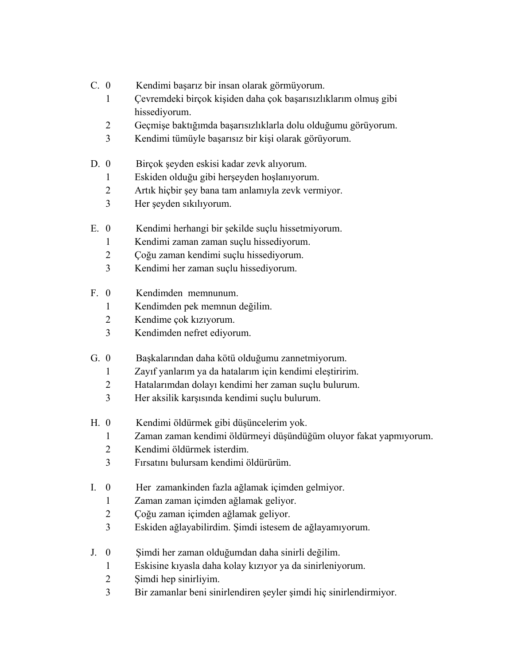- C. 0 Kendimi başarız bir insan olarak görmüyorum.
	- Çevremdeki birçok kişiden daha çok başarısızlıklarım olmuş gibi hissediyorum.
	- Geçmişe baktığımda başarısızlıklarla dolu olduğumu görüyorum.
	- Kendimi tümüyle başarısız bir kişi olarak görüyorum.
- D. 0 Birçok şeyden eskisi kadar zevk alıyorum.
	- Eskiden olduğu gibi herşeyden hoşlanıyorum.
	- Artık hiçbir şey bana tam anlamıyla zevk vermiyor.
	- Her şeyden sıkılıyorum.
- E. 0 Kendimi herhangi bir şekilde suçlu hissetmiyorum.
	- Kendimi zaman zaman suçlu hissediyorum.
	- Çoğu zaman kendimi suçlu hissediyorum.
	- Kendimi her zaman suçlu hissediyorum.
- F. 0 Kendimden memnunum.
	- Kendimden pek memnun değilim.
	- Kendime çok kızıyorum.
	- Kendimden nefret ediyorum.
- G. 0 Başkalarından daha kötü olduğumu zannetmiyorum.
	- Zayıf yanlarım ya da hatalarım için kendimi eleştiririm.
	- Hatalarımdan dolayı kendimi her zaman suçlu bulurum.
	- Her aksilik karşısında kendimi suçlu bulurum.
- H. 0 Kendimi öldürmek gibi düşüncelerim yok.
	- Zaman zaman kendimi öldürmeyi düşündüğüm oluyor fakat yapmıyorum.
	- Kendimi öldürmek isterdim.
	- Fırsatını bulursam kendimi öldürürüm.
- I. 0 Her zamankinden fazla ağlamak içimden gelmiyor.
	- Zaman zaman içimden ağlamak geliyor.
	- Çoğu zaman içimden ağlamak geliyor.
	- Eskiden ağlayabilirdim. Şimdi istesem de ağlayamıyorum.
- J. 0 Şimdi her zaman olduğumdan daha sinirli değilim.
	- Eskisine kıyasla daha kolay kızıyor ya da sinirleniyorum.
	- Şimdi hep sinirliyim.
	- Bir zamanlar beni sinirlendiren şeyler şimdi hiç sinirlendirmiyor.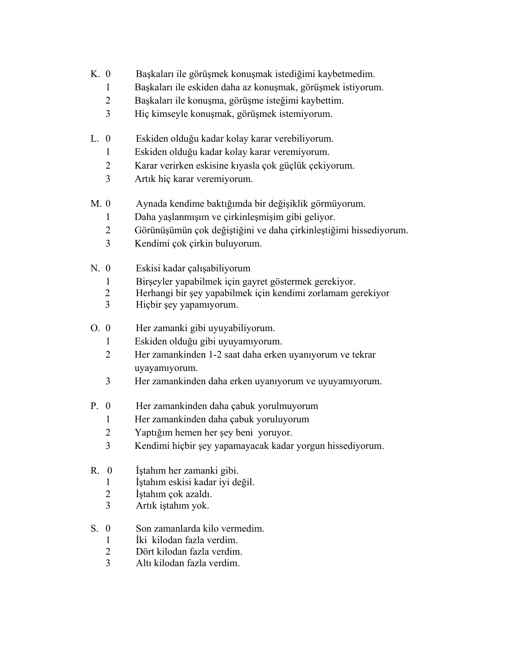- K. 0 Başkaları ile görüşmek konuşmak istediğimi kaybetmedim.
	- 1 Başkaları ile eskiden daha az konuşmak, görüşmek istiyorum.
	- 2 Başkaları ile konuşma, görüşme isteğimi kaybettim.
	- 3 Hiç kimseyle konuşmak, görüşmek istemiyorum.
- L. 0 Eskiden olduğu kadar kolay karar verebiliyorum.
	- 1 Eskiden olduğu kadar kolay karar veremiyorum.
	- 2 Karar verirken eskisine kıyasla çok güçlük çekiyorum.
	- 3 Artık hiç karar veremiyorum.
- M. 0 Aynada kendime baktığımda bir değişiklik görmüyorum.
	- 1 Daha yaşlanmışım ve çirkinleşmişim gibi geliyor.
	- 2 Görünüşümün çok değiştiğini ve daha çirkinleştiğimi hissediyorum.
	- 3 Kendimi çok çirkin buluyorum.
- N. 0 Eskisi kadar çalışabiliyorum
	- 1 Birşeyler yapabilmek için gayret göstermek gerekiyor.
	- 2 Herhangi bir şey yapabilmek için kendimi zorlamam gerekiyor
	- 3 Hiçbir şey yapamıyorum.
- O. 0 Her zamanki gibi uyuyabiliyorum.
	- 1 Eskiden olduğu gibi uyuyamıyorum.
	- 2 Her zamankinden 1-2 saat daha erken uyanıyorum ve tekrar uyayamıyorum.
	- 3 Her zamankinden daha erken uyanıyorum ve uyuyamıyorum.
- P. 0 Her zamankinden daha çabuk yorulmuyorum
	- 1 Her zamankinden daha çabuk yoruluyorum
	- 2 Yaptığım hemen her şey beni yoruyor.
	- 3 Kendimi hiçbir şey yapamayacak kadar yorgun hissediyorum.
- R. 0 İştahım her zamanki gibi.
	- 1 İştahım eskisi kadar iyi değil.
	- 2 İştahım çok azaldı.
	- 3 Artık iştahım yok.
- S. 0 Son zamanlarda kilo vermedim.
	- 1 İki kilodan fazla verdim.
	- 2 Dört kilodan fazla verdim.
	- 3 Altı kilodan fazla verdim.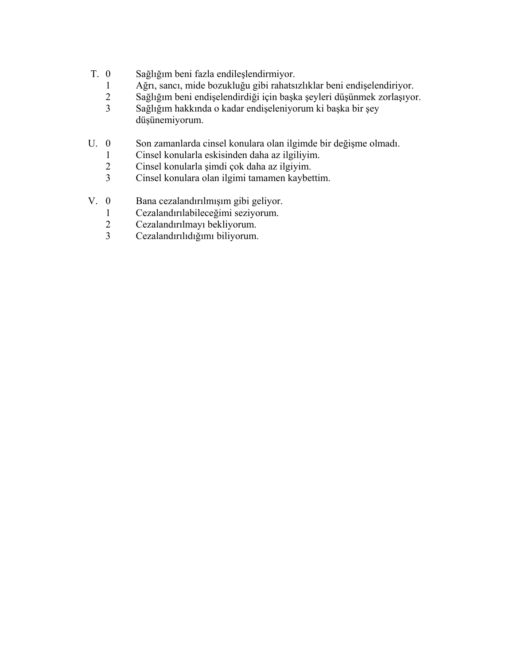- T. 0 Sağlığım beni fazla endileşlendirmiyor.
	- 1 Ağrı, sancı, mide bozukluğu gibi rahatsızlıklar beni endişelendiriyor.
	- 2 Sağlığım beni endişelendirdiği için başka şeyleri düşünmek zorlaşıyor.
	- 3 Sağlığım hakkında o kadar endişeleniyorum ki başka bir şey düşünemiyorum.
- U. 0 Son zamanlarda cinsel konulara olan ilgimde bir değişme olmadı.
	- 1 Cinsel konularla eskisinden daha az ilgiliyim.
	- 2 Cinsel konularla şimdi çok daha az ilgiyim.
	- Cinsel konulara olan ilgimi tamamen kaybettim.
- V. 0 Bana cezalandırılmışım gibi geliyor.
	- 1 Cezalandırılabileceğimi seziyorum.<br>2 Cezalandırılmayı bekliyorum.
	- 2 Cezalandırılmayı bekliyorum.<br>3 Cezalandırılıdığımı biliyorum.
	- Cezalandırılıdığımı biliyorum.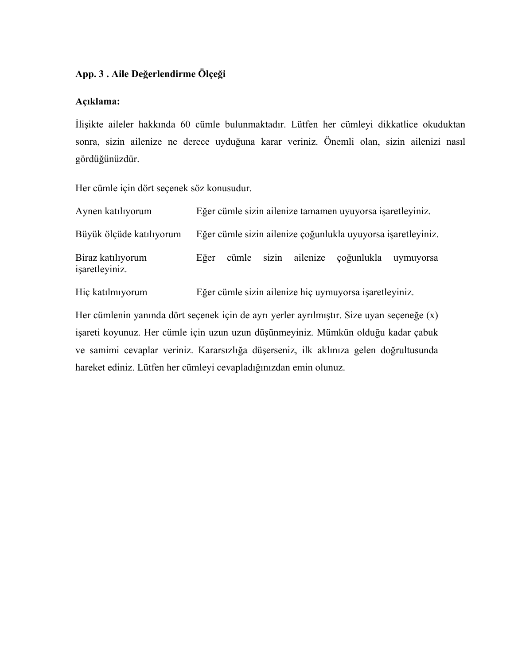## **App. 3 . Aile Değerlendirme Ölçeği**

## **Açıklama:**

İlişikte aileler hakkında 60 cümle bulunmaktadır. Lütfen her cümleyi dikkatlice okuduktan sonra, sizin ailenize ne derece uyduğuna karar veriniz. Önemli olan, sizin ailenizi nasıl gördüğünüzdür.

Her cümle için dört seçenek söz konusudur.

| Aynen katılıyorum                   | Eğer cümle sizin ailenize tamamen uyuyorsa işaretleyiniz. |  |  |  |                                                              |           |
|-------------------------------------|-----------------------------------------------------------|--|--|--|--------------------------------------------------------------|-----------|
| Büyük ölçüde katılıyorum            |                                                           |  |  |  | Eğer cümle sizin ailenize çoğunlukla uyuyorsa işaretleyiniz. |           |
| Biraz katılıyorum<br>işaretleyiniz. | Eğer                                                      |  |  |  | cümle sizin ailenize çoğunlukla                              | uymuyorsa |

Hiç katılmıyorum Eğer cümle sizin ailenize hiç uymuyorsa işaretleyiniz.

Her cümlenin yanında dört seçenek için de ayrı yerler ayrılmıştır. Size uyan seçeneğe (x) işareti koyunuz. Her cümle için uzun uzun düşünmeyiniz. Mümkün olduğu kadar çabuk ve samimi cevaplar veriniz. Kararsızlığa düşerseniz, ilk aklınıza gelen doğrultusunda hareket ediniz. Lütfen her cümleyi cevapladığınızdan emin olunuz.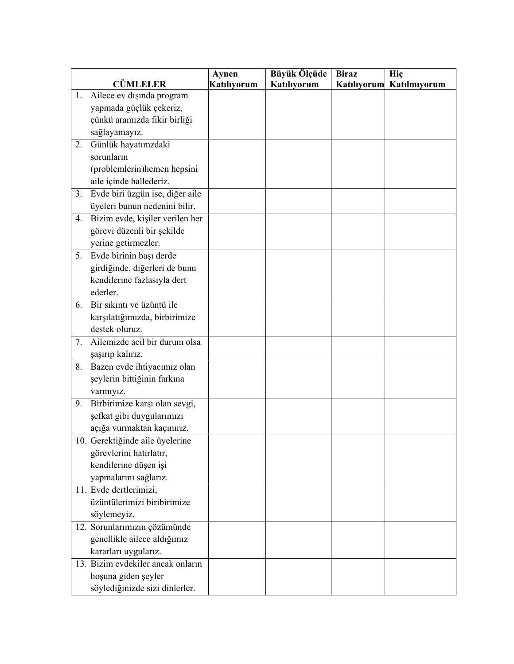|                | <b>CÜMLELER</b>                   | Aynen<br><b>Katiliyorum</b> | Büyük Ölçüde<br>Katılıyorum | <b>Biraz</b> | Hiç<br>Katılıyorum Katılmıyorum |
|----------------|-----------------------------------|-----------------------------|-----------------------------|--------------|---------------------------------|
| 1.             | Ailece ev dışında program         |                             |                             |              |                                 |
|                | yapmada güçlük çekeriz,           |                             |                             |              |                                 |
|                | çünkü aramızda fikir birliği      |                             |                             |              |                                 |
|                | sağlayamayız.                     |                             |                             |              |                                 |
| 2.             | Günlük hayatımzdaki               |                             |                             |              |                                 |
|                | sorunların                        |                             |                             |              |                                 |
|                | (problemlerin) hemen hepsini      |                             |                             |              |                                 |
|                | aile içinde hallederiz.           |                             |                             |              |                                 |
| 3 <sub>1</sub> | Evde biri üzgün ise, diğer aile   |                             |                             |              |                                 |
|                | üyeleri bunun nedenini bilir.     |                             |                             |              |                                 |
| 4.             | Bizim evde, kişiler verilen her   |                             |                             |              |                                 |
|                | görevi düzenli bir şekilde        |                             |                             |              |                                 |
|                | yerine getirmezler.               |                             |                             |              |                                 |
| 5.             | Evde birinin başı derde           |                             |                             |              |                                 |
|                | girdiğinde, diğerleri de bunu     |                             |                             |              |                                 |
|                | kendilerine fazlasıyla dert       |                             |                             |              |                                 |
|                | ederler.                          |                             |                             |              |                                 |
| 6.             | Bir sıkıntı ve üzüntü ile         |                             |                             |              |                                 |
|                | karşılatığımızda, birbirimize     |                             |                             |              |                                 |
|                | destek oluruz.                    |                             |                             |              |                                 |
| 7.             | Ailemizde acil bir durum olsa     |                             |                             |              |                                 |
|                | şaşırıp kalırız.                  |                             |                             |              |                                 |
| 8.             | Bazen evde ihtiyacımız olan       |                             |                             |              |                                 |
|                | şeylerin bittiğinin farkına       |                             |                             |              |                                 |
|                | varmıyız.                         |                             |                             |              |                                 |
| 9.             | Birbirimize karşı olan sevgi,     |                             |                             |              |                                 |
|                | şefkat gibi duygularımızı         |                             |                             |              |                                 |
|                | açığa vurmaktan kaçınırız.        |                             |                             |              |                                 |
|                | 10. Gerektiğinde aile üyelerine   |                             |                             |              |                                 |
|                | görevlerini hatırlatır,           |                             |                             |              |                                 |
|                | kendilerine düşen işi             |                             |                             |              |                                 |
|                | yapmalarını sağlarız.             |                             |                             |              |                                 |
|                | 11. Evde dertlerimizi,            |                             |                             |              |                                 |
|                | üzüntülerimizi biribirimize       |                             |                             |              |                                 |
|                | söylemeyiz.                       |                             |                             |              |                                 |
|                | 12. Sorunlarımızın çözümünde      |                             |                             |              |                                 |
|                | genellikle ailece aldığımız       |                             |                             |              |                                 |
|                | kararları uygularız.              |                             |                             |              |                                 |
|                | 13. Bizim evdekiler ancak onların |                             |                             |              |                                 |
|                | hoşuna giden şeyler               |                             |                             |              |                                 |
|                | söylediğinizde sizi dinlerler.    |                             |                             |              |                                 |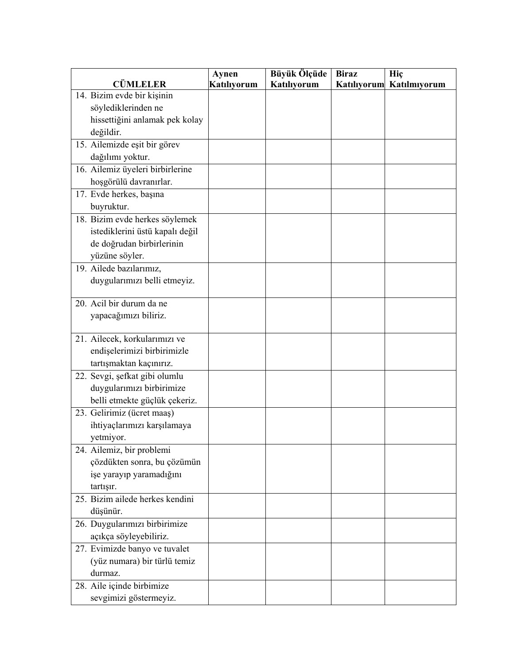|                                  | Aynen       | Büyük Ölçüde | <b>Biraz</b> | Hiç          |
|----------------------------------|-------------|--------------|--------------|--------------|
| <b>CÜMLELER</b>                  | Katılıyorum | Katılıyorum  | Katılıyorum  | Katılmıyorum |
| 14. Bizim evde bir kişinin       |             |              |              |              |
| söylediklerinden ne              |             |              |              |              |
| hissettiğini anlamak pek kolay   |             |              |              |              |
| değildir.                        |             |              |              |              |
| 15. Ailemizde eşit bir görev     |             |              |              |              |
| dağılımı yoktur.                 |             |              |              |              |
| 16. Ailemiz üyeleri birbirlerine |             |              |              |              |
| hoşgörülü davranırlar.           |             |              |              |              |
| 17. Evde herkes, başına          |             |              |              |              |
| buyruktur.                       |             |              |              |              |
| 18. Bizim evde herkes söylemek   |             |              |              |              |
| istediklerini üstü kapalı değil  |             |              |              |              |
| de doğrudan birbirlerinin        |             |              |              |              |
| yüzüne söyler.                   |             |              |              |              |
| 19. Ailede bazılarımız,          |             |              |              |              |
| duygularımızı belli etmeyiz.     |             |              |              |              |
|                                  |             |              |              |              |
| 20. Acil bir durum da ne         |             |              |              |              |
| yapacağımızı biliriz.            |             |              |              |              |
|                                  |             |              |              |              |
| 21. Ailecek, korkularımızı ve    |             |              |              |              |
| endişelerimizi birbirimizle      |             |              |              |              |
| tartışmaktan kaçınırız.          |             |              |              |              |
| 22. Sevgi, şefkat gibi olumlu    |             |              |              |              |
| duygularımızı birbirimize        |             |              |              |              |
| belli etmekte güçlük çekeriz.    |             |              |              |              |
| 23. Gelirimiz (ücret maaş)       |             |              |              |              |
| ihtiyaçlarımızı karşılamaya      |             |              |              |              |
| yetmiyor.                        |             |              |              |              |
| 24. Ailemiz, bir problemi        |             |              |              |              |
| çözdükten sonra, bu çözümün      |             |              |              |              |
| işe yarayıp yaramadığını         |             |              |              |              |
| tartışır.                        |             |              |              |              |
| 25. Bizim ailede herkes kendini  |             |              |              |              |
| düşünür.                         |             |              |              |              |
| 26. Duygularımızı birbirimize    |             |              |              |              |
| açıkça söyleyebiliriz.           |             |              |              |              |
| 27. Evimizde banyo ve tuvalet    |             |              |              |              |
| (yüz numara) bir türlü temiz     |             |              |              |              |
| durmaz.                          |             |              |              |              |
| 28. Aile içinde birbimize        |             |              |              |              |
| sevgimizi göstermeyiz.           |             |              |              |              |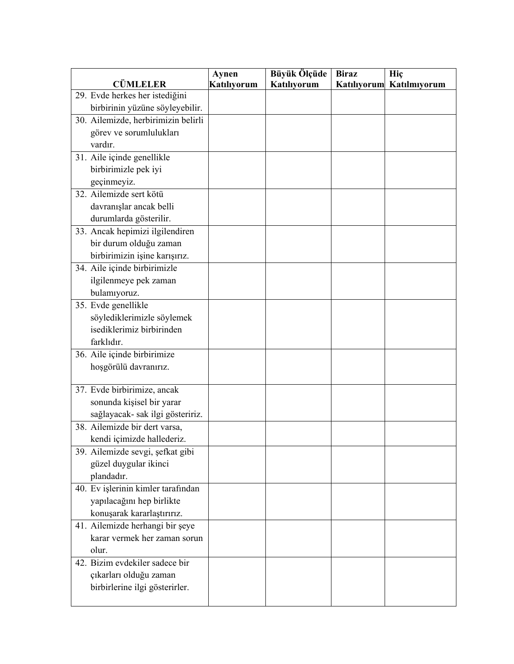| <b>CÜMLELER</b>                     | Aynen       | Büyük Ölçüde<br><b>Katılıyorum</b> | <b>Biraz</b> | Hiç          |
|-------------------------------------|-------------|------------------------------------|--------------|--------------|
| 29. Evde herkes her istediğini      | Katılıyorum |                                    | Katılıyorum  | Katılmıyorum |
| birbirinin yüzüne söyleyebilir.     |             |                                    |              |              |
| 30. Ailemizde, herbirimizin belirli |             |                                    |              |              |
| görev ve sorumlulukları             |             |                                    |              |              |
| vardır.                             |             |                                    |              |              |
| 31. Aile içinde genellikle          |             |                                    |              |              |
| birbirimizle pek iyi                |             |                                    |              |              |
| geçinmeyiz.                         |             |                                    |              |              |
| 32. Ailemizde sert kötü             |             |                                    |              |              |
| davranışlar ancak belli             |             |                                    |              |              |
| durumlarda gösterilir.              |             |                                    |              |              |
| 33. Ancak hepimizi ilgilendiren     |             |                                    |              |              |
| bir durum olduğu zaman              |             |                                    |              |              |
| birbirimizin işine karışırız.       |             |                                    |              |              |
| 34. Aile içinde birbirimizle        |             |                                    |              |              |
| ilgilenmeye pek zaman               |             |                                    |              |              |
| bulamıyoruz.                        |             |                                    |              |              |
| 35. Evde genellikle                 |             |                                    |              |              |
| söylediklerimizle söylemek          |             |                                    |              |              |
| isediklerimiz birbirinden           |             |                                    |              |              |
| farklıdır.                          |             |                                    |              |              |
| 36. Aile içinde birbirimize         |             |                                    |              |              |
| hoşgörülü davranırız.               |             |                                    |              |              |
|                                     |             |                                    |              |              |
| 37. Evde birbirimize, ancak         |             |                                    |              |              |
| sonunda kişisel bir yarar           |             |                                    |              |              |
| sağlayacak- sak ilgi gösteririz.    |             |                                    |              |              |
| 38. Ailemizde bir dert varsa,       |             |                                    |              |              |
| kendi içimizde hallederiz.          |             |                                    |              |              |
| 39. Ailemizde sevgi, şefkat gibi    |             |                                    |              |              |
| güzel duygular ikinci               |             |                                    |              |              |
| plandadır.                          |             |                                    |              |              |
| 40. Ev işlerinin kimler tarafından  |             |                                    |              |              |
| yapılacağını hep birlikte           |             |                                    |              |              |
| konuşarak kararlaştırırız.          |             |                                    |              |              |
| 41. Ailemizde herhangi bir şeye     |             |                                    |              |              |
| karar vermek her zaman sorun        |             |                                    |              |              |
| olur.                               |             |                                    |              |              |
| 42. Bizim evdekiler sadece bir      |             |                                    |              |              |
| çıkarları olduğu zaman              |             |                                    |              |              |
| birbirlerine ilgi gösterirler.      |             |                                    |              |              |
|                                     |             |                                    |              |              |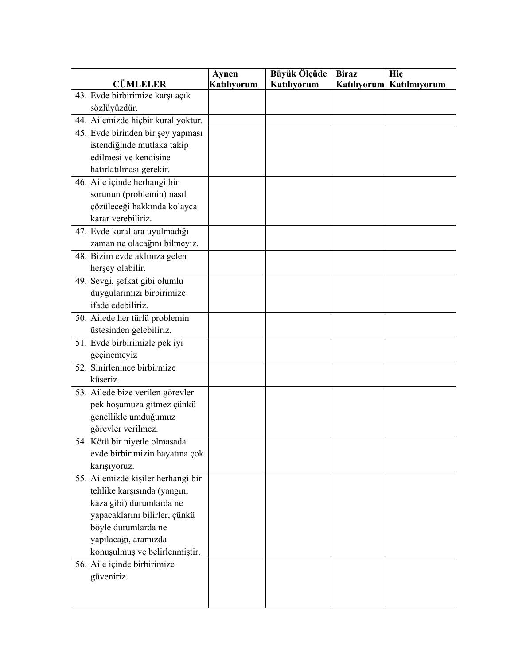|                                    | Aynen       | Büyük Ölçüde | <b>Biraz</b> | Hiç                      |
|------------------------------------|-------------|--------------|--------------|--------------------------|
| <b>CÜMLELER</b>                    | Katılıyorum | Katılıyorum  |              | Katılıyorum Katılmıyorum |
| 43. Evde birbirimize karşı açık    |             |              |              |                          |
| sözlüyüzdür.                       |             |              |              |                          |
| 44. Ailemizde hiçbir kural yoktur. |             |              |              |                          |
| 45. Evde birinden bir şey yapması  |             |              |              |                          |
| istendiğinde mutlaka takip         |             |              |              |                          |
| edilmesi ve kendisine              |             |              |              |                          |
| hatırlatılması gerekir.            |             |              |              |                          |
| 46. Aile içinde herhangi bir       |             |              |              |                          |
| sorunun (problemin) nasıl          |             |              |              |                          |
| çözüleceği hakkında kolayca        |             |              |              |                          |
| karar verebiliriz.                 |             |              |              |                          |
| 47. Evde kurallara uyulmadığı      |             |              |              |                          |
| zaman ne olacağını bilmeyiz.       |             |              |              |                          |
| 48. Bizim evde aklınıza gelen      |             |              |              |                          |
| herşey olabilir.                   |             |              |              |                          |
| 49. Sevgi, şefkat gibi olumlu      |             |              |              |                          |
| duygularımızı birbirimize          |             |              |              |                          |
| ifade edebiliriz.                  |             |              |              |                          |
| 50. Ailede her türlü problemin     |             |              |              |                          |
| üstesinden gelebiliriz.            |             |              |              |                          |
| 51. Evde birbirimizle pek iyi      |             |              |              |                          |
| geçinemeyiz                        |             |              |              |                          |
| 52. Sinirlenince birbirmize        |             |              |              |                          |
| küseriz.                           |             |              |              |                          |
| 53. Ailede bize verilen görevler   |             |              |              |                          |
| pek hoşumuza gitmez çünkü          |             |              |              |                          |
| genellikle umduğumuz               |             |              |              |                          |
| görevler verilmez.                 |             |              |              |                          |
| 54. Kötü bir niyetle olmasada      |             |              |              |                          |
| evde birbirimizin hayatına çok     |             |              |              |                          |
| karışıyoruz.                       |             |              |              |                          |
| 55. Ailemizde kişiler herhangi bir |             |              |              |                          |
| tehlike karşısında (yangın,        |             |              |              |                          |
| kaza gibi) durumlarda ne           |             |              |              |                          |
| yapacaklarını bilirler, çünkü      |             |              |              |                          |
| böyle durumlarda ne                |             |              |              |                          |
| yapılacağı, aramızda               |             |              |              |                          |
| konuşulmuş ve belirlenmiştir.      |             |              |              |                          |
| 56. Aile içinde birbirimize        |             |              |              |                          |
| güveniriz.                         |             |              |              |                          |
|                                    |             |              |              |                          |
|                                    |             |              |              |                          |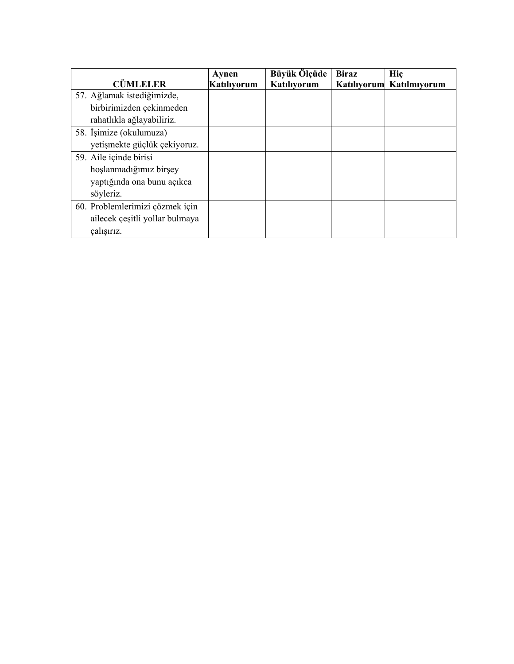|                                 | Aynen              | Büyük Ölçüde | <b>Biraz</b> | Hic                      |
|---------------------------------|--------------------|--------------|--------------|--------------------------|
| <b>CÜMLELER</b>                 | <b>Katiliyorum</b> | Katılıyorum  |              | Katılıyorum Katılmıyorum |
| 57. Ağlamak istediğimizde,      |                    |              |              |                          |
| birbirimizden çekinmeden        |                    |              |              |                          |
| rahatlıkla ağlayabiliriz.       |                    |              |              |                          |
| 58. İşimize (okulumuza)         |                    |              |              |                          |
| yetişmekte güçlük çekiyoruz.    |                    |              |              |                          |
| 59. Aile içinde birisi          |                    |              |              |                          |
| hoslanmadığımız birşey          |                    |              |              |                          |
| yaptığında ona bunu açıkca      |                    |              |              |                          |
| söyleriz.                       |                    |              |              |                          |
| 60. Problemlerimizi çözmek için |                    |              |              |                          |
| ailecek çeşitli yollar bulmaya  |                    |              |              |                          |
| çalışırız.                      |                    |              |              |                          |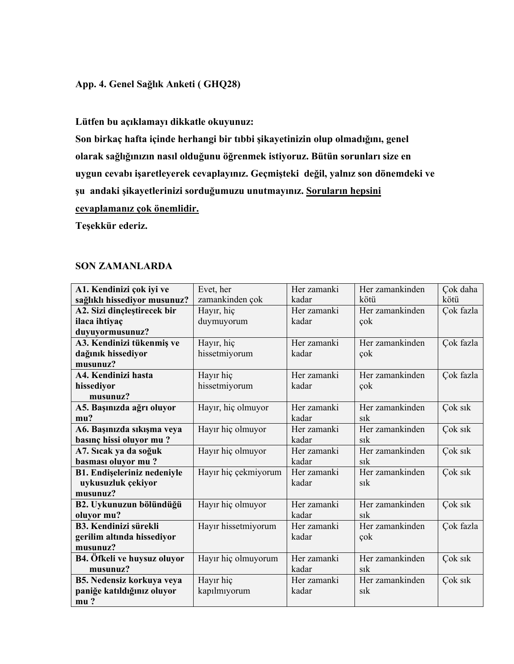# **App. 4. Genel Sağlık Anketi ( GHQ28)**

**Lütfen bu açıklamayı dikkatle okuyunuz:** 

**Son birkaç hafta içinde herhangi bir tıbbi şikayetinizin olup olmadığını, genel olarak sağlığınızın nasıl olduğunu öğrenmek istiyoruz. Bütün sorunları size en uygun cevabı işaretleyerek cevaplayınız. Geçmişteki değil, yalnız son dönemdeki ve** 

**şu andaki şikayetlerinizi sorduğumuzu unutmayınız. Soruların hepsini** 

**cevaplamanız çok önemlidir.**

**Teşekkür ederiz.** 

### **SON ZAMANLARDA**

| A1. Kendinizi çok iyi ve           | Evet, her            | Her zamanki | Her zamankinden | Cok daha  |
|------------------------------------|----------------------|-------------|-----------------|-----------|
| sağlıklı hissediyor musunuz?       | zamankinden çok      | kadar       | kötü            | kötü      |
| A2. Sizi dinçleştirecek bir        | Hayır, hiç           | Her zamanki | Her zamankinden | Çok fazla |
| ilaca ihtiyaç                      | duymuyorum           | kadar       | çok             |           |
| duyuyormusunuz?                    |                      |             |                 |           |
| A3. Kendinizi tükenmiş ve          | Hayır, hiç           | Her zamanki | Her zamankinden | Çok fazla |
| dağınık hissediyor                 | hissetmiyorum        | kadar       | cok             |           |
| musunuz?                           |                      |             |                 |           |
| A4. Kendinizi hasta                | Hayır hiç            | Her zamanki | Her zamankinden | Çok fazla |
| hissediyor                         | hissetmiyorum        | kadar       | cok             |           |
| musunuz?                           |                      |             |                 |           |
| A5. Başınızda ağrı oluyor          | Hayır, hiç olmuyor   | Her zamanki | Her zamankinden | Çok sık   |
| mu?                                |                      | kadar       | sık             |           |
| A6. Başınızda sıkışma veya         | Hayır hiç olmuyor    | Her zamanki | Her zamankinden | Çok sık   |
| basınç hissi oluyor mu?            |                      | kadar       | $s_{1}k$        |           |
| A7. Sicak ya da soğuk              | Hayır hiç olmuyor    | Her zamanki | Her zamankinden | Cok sik   |
| basması oluyor mu?                 |                      | kadar       | $s_{1}$         |           |
| <b>B1. Endişeleriniz nedeniyle</b> | Hayır hiç çekmiyorum | Her zamanki | Her zamankinden | Çok sık   |
| uykusuzluk çekiyor                 |                      | kadar       | $s_{1}$         |           |
| musunuz?                           |                      |             |                 |           |
| B2. Uykunuzun bölündüğü            | Hayır hiç olmuyor    | Her zamanki | Her zamankinden | Çok sık   |
| oluyor mu?                         |                      | kadar       | sik             |           |
| <b>B3. Kendinizi sürekli</b>       | Hayır hissetmiyorum  | Her zamanki | Her zamankinden | Çok fazla |
| gerilim altında hissediyor         |                      | kadar       | çok             |           |
| musunuz?                           |                      |             |                 |           |
| B4. Öfkeli ve huysuz oluyor        | Hayır hiç olmuyorum  | Her zamanki | Her zamankinden | Cok sık   |
| musunuz?                           |                      | kadar       | $s_{1}k$        |           |
| <b>B5. Nedensiz korkuya veya</b>   | Hayır hiç            | Her zamanki | Her zamankinden | Çok sık   |
| paniğe katıldığınız oluyor         | kapılmıyorum         | kadar       | sik             |           |
| mu?                                |                      |             |                 |           |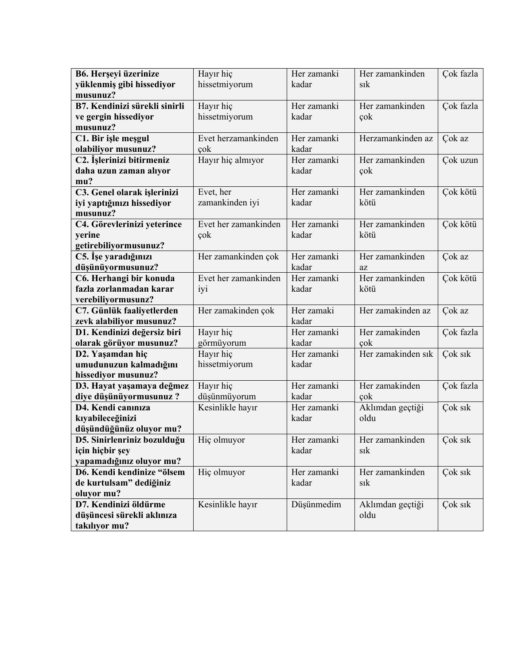| B6. Herşeyi üzerinize         | Hayır hiç            | Her zamanki | Her zamankinden    | Çok fazla |
|-------------------------------|----------------------|-------------|--------------------|-----------|
| yüklenmiş gibi hissediyor     | hissetmiyorum        | kadar       | sik                |           |
| musunuz?                      |                      |             |                    |           |
| B7. Kendinizi sürekli sinirli | Hayır hiç            | Her zamanki | Her zamankinden    | Çok fazla |
| ve gergin hissediyor          | hissetmiyorum        | kadar       | çok                |           |
| musunuz?                      |                      |             |                    |           |
| C1. Bir işle meşgul           | Evet herzamankinden  | Her zamanki | Herzamankinden az  | Çok az    |
| olabiliyor musunuz?           | cok                  | kadar       |                    |           |
| C2. İşlerinizi bitirmeniz     | Hayır hiç almıyor    | Her zamanki | Her zamankinden    | Çok uzun  |
| daha uzun zaman alıyor        |                      | kadar       | çok                |           |
| mu?                           |                      |             |                    |           |
| C3. Genel olarak işlerinizi   | Evet, her            | Her zamanki | Her zamankinden    | Çok kötü  |
| iyi yaptığınızı hissediyor    | zamankinden iyi      | kadar       | kötü               |           |
| musunuz?                      |                      |             |                    |           |
| C4. Görevlerinizi yeterince   | Evet her zamankinden | Her zamanki | Her zamankinden    | Çok kötü  |
| yerine                        | çok                  | kadar       | kötü               |           |
| getirebiliyormusunuz?         |                      |             |                    |           |
| C5. İşe yaradığınızı          | Her zamankinden çok  | Her zamanki | Her zamankinden    | Çok az    |
| düşünüyormusunuz?             |                      | kadar       | az                 |           |
| C6. Herhangi bir konuda       | Evet her zamankinden | Her zamanki | Her zamankinden    | Çok kötü  |
| fazla zorlanmadan karar       | iyi                  | kadar       | kötü               |           |
| verebiliyormusunz?            |                      |             |                    |           |
| C7. Günlük faaliyetlerden     | Her zamakinden çok   | Her zamaki  | Her zamakinden az  | Cok az    |
| zevk alabiliyor musunuz?      |                      | kadar       |                    |           |
| D1. Kendinizi değersiz biri   | Hayır hiç            | Her zamanki | Her zamakinden     | Çok fazla |
| olarak görüyor musunuz?       | görmüyorum           | kadar       | cok                |           |
| D2. Yaşamdan hiç              | Hayır hiç            | Her zamanki | Her zamakinden sık | Çok sık   |
| umudunuzun kalmadığını        | hissetmiyorum        | kadar       |                    |           |
| hissediyor musunuz?           |                      |             |                    |           |
| D3. Hayat yaşamaya değmez     | Hayır hiç            | Her zamanki | Her zamakinden     | Çok fazla |
| diye düşünüyormusunuz?        | düşünmüyorum         | kadar       | çok                |           |
| D4. Kendi canınıza            | Kesinlikle hayır     | Her zamanki | Aklımdan geçtiği   | Çok sık   |
| kıyabileceğinizi              |                      | kadar       | oldu               |           |
| düşündüğünüz oluyor mu?       |                      |             |                    |           |
| D5. Sinirlenriniz bozulduğu   | Hiç olmuyor          | Her zamanki | Her zamankinden    | Çok sık   |
| için hiçbir şey               |                      | kadar       | sık                |           |
| yapamadığınız oluyor mu?      |                      |             |                    |           |
| D6. Kendi kendinize "ölsem    | Hiç olmuyor          | Her zamanki | Her zamankinden    | Çok sık   |
| de kurtulsam" dediğiniz       |                      | kadar       | sık                |           |
| oluyor mu?                    |                      |             |                    |           |
| D7. Kendinizi öldürme         | Kesinlikle hayır     | Düşünmedim  | Aklımdan geçtiği   | Çok sık   |
| düşüncesi sürekli aklınıza    |                      |             | oldu               |           |
| takılıyor mu?                 |                      |             |                    |           |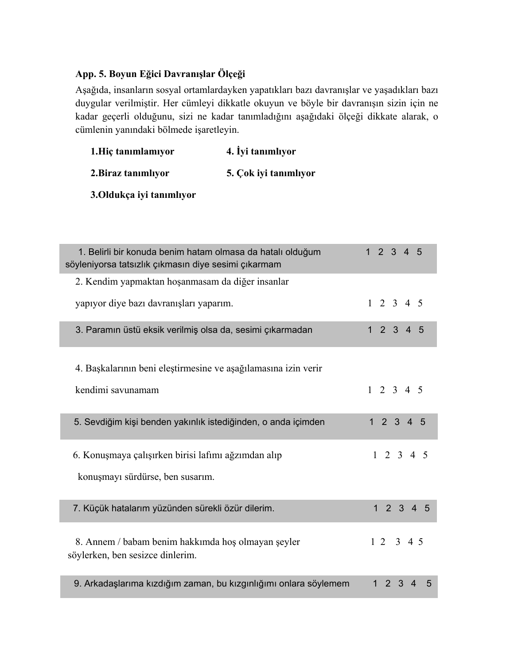# **App. 5. Boyun Eğici Davranışlar Ölçeği**

Aşağıda, insanların sosyal ortamlardayken yapatıkları bazı davranışlar ve yaşadıkları bazı duygular verilmiştir. Her cümleyi dikkatle okuyun ve böyle bir davranışın sizin için ne kadar geçerli olduğunu, sizi ne kadar tanımladığını aşağıdaki ölçeği dikkate alarak, o cümlenin yanındaki bölmede işaretleyin.

| 1. Hiç tanımlamıyor | 4. Iyi tanımlıyor     |
|---------------------|-----------------------|
| 2. Biraz tanımlıyor | 5. Çok iyi tanımlıyor |

**3.Oldukça iyi tanımlıyor** 

| 1. Belirli bir konuda benim hatam olmasa da hatalı olduğum<br>söyleniyorsa tatsızlık çıkmasın diye sesimi çıkarmam | $\mathbf{1}$<br>2 3 4 5                         |
|--------------------------------------------------------------------------------------------------------------------|-------------------------------------------------|
| 2. Kendim yapmaktan hoşanmasam da diğer insanlar                                                                   |                                                 |
| yapıyor diye bazı davranışları yaparım.                                                                            | $1 \t2 \t3 \t4 \t5$                             |
| 3. Paramın üstü eksik verilmiş olsa da, sesimi çıkarmadan                                                          | 1234<br>$5\overline{5}$                         |
| 4. Başkalarının beni eleştirmesine ve aşağılamasına izin verir                                                     |                                                 |
| kendimi savunamam                                                                                                  | $1 \t2 \t3 \t4 \t5$                             |
| 5. Sevdiğim kişi benden yakınlık istediğinden, o anda içimden                                                      | $1 \quad 2 \quad 3 \quad 4$<br>$5\overline{5}$  |
| 6. Konuşmaya çalışırken birisi lafimi ağzımdan alıp                                                                | $1 \t2 \t3 \t4 \t5$                             |
| konuşmayı sürdürse, ben susarım.                                                                                   |                                                 |
| 7. Küçük hatalarım yüzünden sürekli özür dilerim.                                                                  | $2 \t3 \t4$<br>$\mathbf{1}$<br>5                |
| 8. Annem / babam benim hakkimda hoş olmayan şeyler<br>söylerken, ben sesizce dinlerim.                             | 12345                                           |
| 9. Arkadaşlarıma kızdığım zaman, bu kızgınlığımı onlara söylemem                                                   | $\overline{2}$<br>3<br>1<br>$\overline{4}$<br>5 |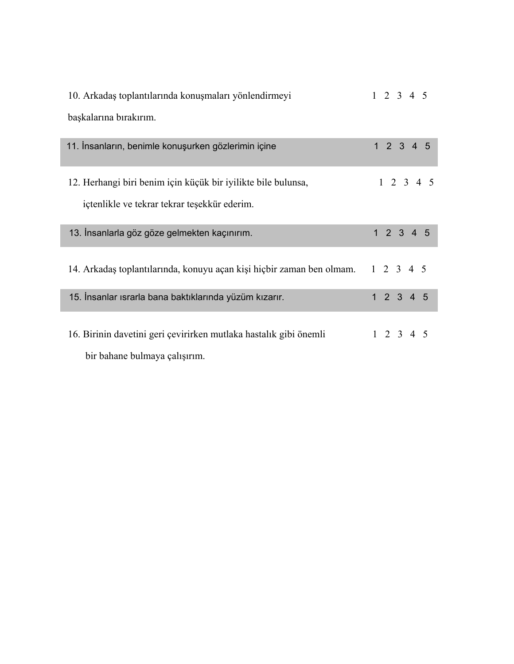| 10. Arkadaş toplantılarında konuşmaları yönlendirmeyi                                              | $1 \t2 \t3 \t4 \t5$ |
|----------------------------------------------------------------------------------------------------|---------------------|
| başkalarına bırakırım.                                                                             |                     |
| 11. İnsanların, benimle konuşurken gözlerimin içine                                                | 12345               |
| 12. Herhangi biri benim için küçük bir iyilikte bile bulunsa,                                      | $1 \t2 \t3 \t4 \t5$ |
| içtenlikle ve tekrar tekrar teşekkür ederim.                                                       |                     |
| 13. İnsanlarla göz göze gelmekten kaçınırım.                                                       | 12345               |
| 14. Arkadaş toplantılarında, konuyu açan kişi hiçbir zaman ben olmam. 1 2 3 4 5                    |                     |
| 15. İnsanlar ısrarla bana baktıklarında yüzüm kızarır.                                             | 12345               |
| 16. Birinin davetini geri çevirirken mutlaka hastalık gibi önemli<br>bir bahane bulmaya çalışırım. | $1 \t2 \t3 \t4 \t5$ |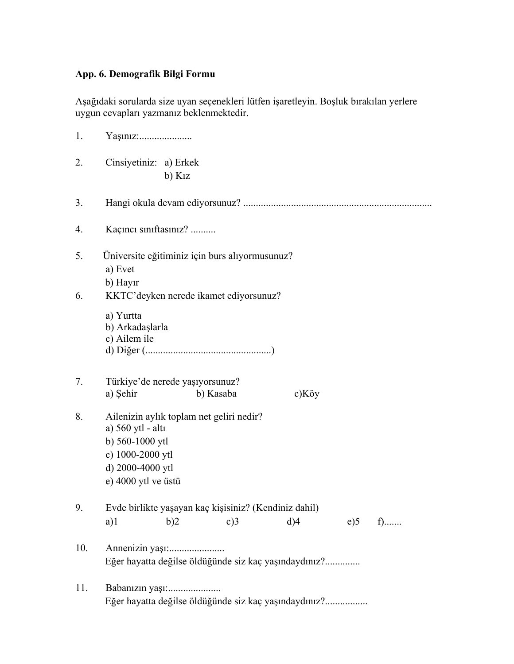# **App. 6. Demografik Bilgi Formu**

Aşağıdaki sorularda size uyan seçenekleri lütfen işaretleyin. Boşluk bırakılan yerlere uygun cevapları yazmanız beklenmektedir.

| 1.       | Yaşınız:                                                                                                        |                         |                                                              |  |                               |     |      |  |
|----------|-----------------------------------------------------------------------------------------------------------------|-------------------------|--------------------------------------------------------------|--|-------------------------------|-----|------|--|
| 2.       | Cinsiyetiniz: a) Erkek                                                                                          | $b)$ K <sub>1</sub> $z$ |                                                              |  |                               |     |      |  |
| 3.       |                                                                                                                 |                         |                                                              |  |                               |     |      |  |
| 4.       | Kaçıncı sınıftasınız?                                                                                           |                         |                                                              |  |                               |     |      |  |
| 5.<br>6. | Üniversite eğitiminiz için burs alıyormusunuz?<br>a) Evet<br>b) Hayir<br>KKTC'deyken nerede ikamet ediyorsunuz? |                         |                                                              |  |                               |     |      |  |
|          | a) Yurtta<br>b) Arkadaşlarla<br>c) Ailem ile                                                                    |                         |                                                              |  |                               |     |      |  |
| 7.       | Türkiye'de nerede yaşıyorsunuz?<br>a) Şehir                                                                     |                         | b) Kasaba                                                    |  | $c)$ Köy                      |     |      |  |
| 8.       | a) 560 ytl - altı<br>b) 560-1000 ytl<br>c) 1000-2000 ytl<br>d) 2000-4000 ytl<br>e) 4000 ytl ve üstü             |                         | Ailenizin aylık toplam net geliri nedir?                     |  |                               |     |      |  |
| 9.       | a)1                                                                                                             | b)2                     | Evde birlikte yaşayan kaç kişisiniz? (Kendiniz dahil)<br>c)3 |  | $d$ <sup><math>4</math></sup> | e)5 | $f)$ |  |
| 10.      |                                                                                                                 |                         | Eğer hayatta değilse öldüğünde siz kaç yaşındaydınız?        |  |                               |     |      |  |
| 11.      | Babanızın yaşı:                                                                                                 |                         | Eğer hayatta değilse öldüğünde siz kaç yaşındaydınız?        |  |                               |     |      |  |